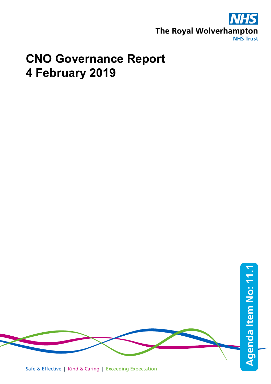

# **CNO Governance Report 4 February 2019**

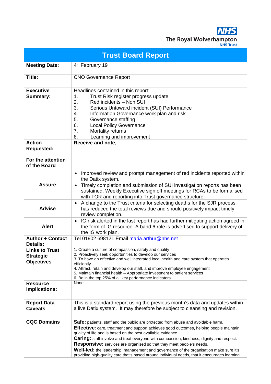**The Royal Wolverhampt NHS Trust** 

**Trust Board Report Meeting Date:** 4<sup>th</sup> February 19 **Title:** CNO Governance Report **Executive Summary:** Headlines contained in this report: 1. Trust Risk register progress update 2. Red incidents – Non SUI 3. Serious Untoward incident (SUI) Performance 4. Information Governance work plan and risk 5. Governance staffing 6. Local Policy Governance 7. Mortality returns 8. Learning and improvement **Action Requested: Receive and note, For the attention of the Board Assure** • Improved review and prompt management of red incidents reported within the Datix system. • Timely completion and submission of SUI investigation reports has been sustained. Weekly Executive sign off meetings for RCAs to be formalised with TOR and reporting into Trust governance structure. **Advise** • A change to the Trust criteria for selecting deaths for the SJR process has reduced the total reviews due and should positively impact timely review completion. **Alert** • IG risk alerted in the last report has had further mitigating action agreed in the form of IG resource. A band 6 role is advertised to support delivery of the IG work plan. **Author + Contact Details:** Tel 01902 698121 Email [maria.arthur@nhs.net](mailto:maria.arthur@nhs.net) **Links to Trust Strategic Objectives** 1. Create a culture of compassion, safety and quality 2. Proactively seek opportunities to develop our services 3. To have an effective and well integrated local health and care system that operates efficiently 4. Attract, retain and develop our staff, and improve employee engagement 5. Maintain financial health – Appropriate investment to patient services 6. Be in the top 25% of all key performance indicators **Resource Implications:** None **Report Data Caveats** This is a standard report using the previous month's data and updates within a live Datix system. It may therefore be subject to cleansing and revision. **CQC Domains Safe:** patients, staff and the public are protected from abuse and avoidable harm. **Effective:** care, treatment and support achieves good outcomes, helping people maintain quality of life and is based on the best available evidence. **Caring:** staff involve and treat everyone with compassion, kindness, dignity and respect. **Responsive:** services are organised so that they meet people's needs.

> **Well-led:** the leadership, management and governance of the organisation make sure it's providing high-quality care that's based around individual needs, that it encourages learning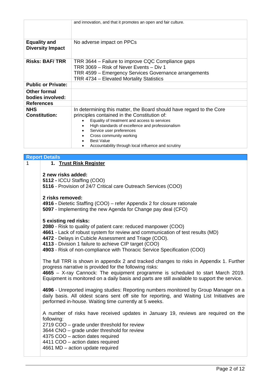|                                                | and innovation, and that it promotes an open and fair culture.                                                                                                                                    |
|------------------------------------------------|---------------------------------------------------------------------------------------------------------------------------------------------------------------------------------------------------|
|                                                |                                                                                                                                                                                                   |
| <b>Equality and</b><br><b>Diversity Impact</b> | No adverse impact on PPCs                                                                                                                                                                         |
| <b>Risks: BAF/TRR</b>                          | TRR 3644 – Failure to improve CQC Compliance gaps<br>TRR 3069 - Risk of Never Events - Div 1<br>TRR 4599 - Emergency Services Governance arrangements<br>TRR 4734 - Elevated Mortality Statistics |
| <b>Public or Private:</b>                      |                                                                                                                                                                                                   |
| Other formal<br>bodies involved:               |                                                                                                                                                                                                   |
| <b>References</b>                              |                                                                                                                                                                                                   |
| <b>NHS</b>                                     | In determining this matter, the Board should have regard to the Core                                                                                                                              |
| <b>Constitution:</b>                           | principles contained in the Constitution of:                                                                                                                                                      |
|                                                | Equality of treatment and access to services                                                                                                                                                      |
|                                                | High standards of excellence and professionalism<br>Service user preferences                                                                                                                      |
|                                                | Cross community working                                                                                                                                                                           |
|                                                | <b>Best Value</b>                                                                                                                                                                                 |
|                                                | Accountability through local influence and scrutiny                                                                                                                                               |
|                                                |                                                                                                                                                                                                   |

#### **Report Details**

#### 1 **1. Trust Risk Register**

#### **2 new risks added:**

**5112 -** ICCU Staffing (COO) **5116** - Provision of 24/7 Critical care Outreach Services (COO)

#### **2 risks removed:**

**4916 -** Dietetic Staffing (COO) – refer Appendix 2 for closure rationale

**5097** - Implementing the new Agenda for Change pay deal (CFO)

#### **5 existing red risks:**

- **2080** Risk to quality of patient care: reduced manpower (COO)
- **4661** Lack of robust system for review and communication of test results (MD)
- **4472** Delays in Cubicle Assessment and Triage (COO).
- **4113** Division 1 failure to achieve CIP target (COO)

**4903** - Risk of non-compliance with Thoracic Service Specification (COO)

The full TRR is shown in appendix 2 and tracked changes to risks in Appendix 1. Further progress narrative is provided for the following risks:

**4665** – X-ray Cannock: The equipment programme is scheduled to start March 2019. Equipment is monitored on a daily basis and parts are still available to support the service.

**4696** - Unreported imaging studies: Reporting numbers monitored by Group Manager on a daily basis. All oldest scans sent off site for reporting, and Waiting List Initiatives are performed in-house. Waiting time currently at 5 weeks.

A number of risks have received updates in January 19, reviews are required on the following:

2719 COO – grade under threshold for review

3644 CNO – grade under threshold for review

4375 COO – action dates required

4411 COO – action dates required

4661 MD – action update required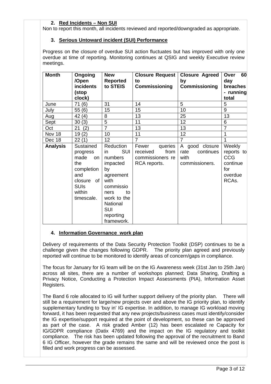## **2. Red Incidents – Non SUI**

Non to report this month, all incidents reviewed and reported/downgraded as appropriate.

#### **3. Serious Untoward incident (SUI) Performance**

Progress on the closure of overdue SUI action fluctuates but has improved with only one overdue at time of reporting. Monitoring continues at QSIG and weekly Executive review meetings.

| <b>Month</b>    | Ongoing<br>/Open<br>incidents<br>(stop<br>clock)                                                                          | <b>New</b><br><b>Reported</b><br>to STEIS                                                                                                                                       | <b>Closure Request</b><br>to<br>Commissioning                            | <b>Closure Agreed</b><br>by<br>Commissioning                  | 60<br>Over<br>day<br>breaches<br>- running<br>total                       |
|-----------------|---------------------------------------------------------------------------------------------------------------------------|---------------------------------------------------------------------------------------------------------------------------------------------------------------------------------|--------------------------------------------------------------------------|---------------------------------------------------------------|---------------------------------------------------------------------------|
| June            | 71(6)                                                                                                                     | 31                                                                                                                                                                              | 14                                                                       | 5                                                             | 5                                                                         |
| July            | 55(6)                                                                                                                     | 15                                                                                                                                                                              | 15                                                                       | 10                                                            | 9                                                                         |
| Aug             | 42(4)                                                                                                                     | 8                                                                                                                                                                               | 13                                                                       | 25                                                            | 13                                                                        |
| Sept            | 30(3)                                                                                                                     | 5                                                                                                                                                                               | 11                                                                       | 12                                                            | 6                                                                         |
| Oct             | 21<br>(2)                                                                                                                 | $\overline{7}$                                                                                                                                                                  | 13                                                                       | 13                                                            | $\overline{7}$                                                            |
| Nov 18          | 19(2)                                                                                                                     | 10                                                                                                                                                                              | 11                                                                       | 12                                                            | 1                                                                         |
| Dec 18          | 22(1)                                                                                                                     | 12                                                                                                                                                                              | $\overline{7}$                                                           | $\overline{7}$                                                | 1                                                                         |
| <b>Analysis</b> | Sustained<br>progress<br>made<br>on<br>the<br>completion<br>and<br>of I<br>closure<br><b>SUIs</b><br>within<br>timescale. | Reduction<br><b>SUI</b><br>in.<br>numbers<br>impacted<br>by<br>agreement<br>with<br>commissio<br>ners<br>to<br>work to the<br>National<br><b>SUI</b><br>reporting<br>framework. | Fewer<br>queries<br>from<br>received<br>commissioners re<br>RCA reports. | A good closure<br>continues<br>rate<br>with<br>commissioners. | Weekly<br>reports to<br><b>CCG</b><br>continue<br>for<br>overdue<br>RCAs. |

#### **4. Information Governance work plan**

Delivery of requirements of the Data Security Protection Toolkit (DSP) continues to be a challenge given the changes following GDPR. The priority plan agreed and previously reported will continue to be monitored to identify areas of concern/gaps in compliance.

The focus for January for IG team will be on the IG Awareness week (31st Jan to 25th Jan) across all sites, there are a number of workshops planned; Data Sharing, Drafting a Privacy Notice, Conducting a Protection Impact Assessments (PIA), Information Asset Registers.

The Band 6 role allocated to IG will further support delivery of the priority plan. There will still be a requirement for large/new projects over and above the IG priority plan, to identify supplementary funding to 'buy in' IG expertise. In addition, to manage IG workload moving forward, it has been requested that any new projects/business cases must identify/consider the IG expertise/support required at the point of development, so these can be approved as part of the case. A risk graded Amber (12) has been escalated re Capacity for IG/GDPR compliance (Datix 4769) and the impact on the IG regulatory and toolkit compliance. The risk has been updated following the approval of the recruitment to Band 6 IG Officer, however the grade remains the same and will be reviewed once the post is filled and work progress can be assessed.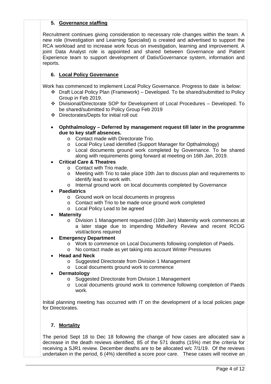## **5. Governance staffing**

Recruitment continues giving consideration to necessary role changes within the team. A new role (Investigation and Learning Specialist) is created and advertised to support the RCA workload and to increase work focus on investigation, learning and improvement. A joint Data Analyst role is appointed and shared between Governance and Patient Experience team to support development of Datix/Governance system, information and reports.

## **6. Local Policy Governance**

Work has commenced to implement Local Policy Governance. Progress to date is below:

- Draft Local Policy Plan (Framework) Developed. To be shared/submitted to Policy Group in Feb 2019.
- Divisional/Directorate SOP for Development of Local Procedures Developed. To be shared/submitted to Policy Group Feb 2019
- Directorates/Depts for initial roll out:
- **Ophthalmology – Deferred by management request till later in the programme due to key staff absences.**
	- o Contact made with Directorate Trio.
	- o Local Policy Lead identified (Support Manager for Opthalmology)
	- o Local documents ground work completed by Governance. To be shared along with requirements going forward at meeting on 16th Jan, 2019.

## • **Critical Care & Theatres**

- 
- o Contact with Trio made.<br>
o Meeting with Trio to take Meeting with Trio to take place 10th Jan to discuss plan and requirements to identify lead to work with.
- o Internal ground work on local documents completed by Governance

#### • **Paediatrics**

- o Ground work on local documents in progress
- o Contact with Trio to be made once ground work completed
- o Local Policy Lead to be agreed

#### • **Maternity**

o Division 1 Management requested (10th Jan) Maternity work commences at a later stage due to impending Midwifery Review and recent RCOG visit/actions required

#### **Emergency Department**

- o Work to commence on Local Documents following completion of Paeds.
- o No contact made as yet taking into account Winter Pressures
- **Head and Neck**
	- o Suggested Directorate from Division 1 Management
	- o Local documents ground work to commence

#### • **Dermatology**

- o Suggested Directorate from Division 1 Management
- o Local documents ground work to commence following completion of Paeds work.

Initial planning meeting has occurred with IT on the development of a local policies page for Directorates.

## **7. Mortality**

The period Sept 18 to Dec 18 following the change of how cases are allocated saw a decrease in the death reviews identified, 85 of the 571 deaths (15%) met the criteria for receiving a SJR1 review. December deaths are to be allocated w/c 7/1/19. Of the reviews undertaken in the period, 6 (4%) identified a score poor care. These cases will receive an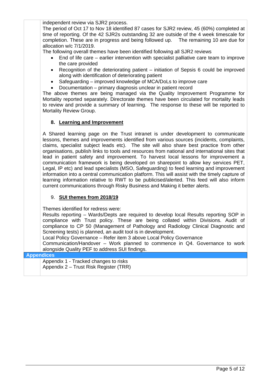independent review via SJR2 process.

The period of Oct 17 to Nov 18 identified 87 cases for SJR2 review, 45 (60%) completed at time of reporting. Of the 42 SJR2s outstanding 32 are outside of the 4 week timescale for completion. These are in progress and being followed up. The remaining 10 are due for allocation w/c 7/1/2019.

The following overall themes have been identified following all SJR2 reviews

- End of life care earlier intervention with specialist palliative care team to improve the care provided
- Recognition of the deteriorating patient initiation of Sepsis 6 could be improved along with identification of deteriorating patient
- Safeguarding improved knowledge of MCA/DoLs to improve care
- Documentation primary diagnosis unclear in patient record

The above themes are being managed via the Quality Improvement Programme for Mortality reported separately. Directorate themes have been circulated for mortality leads to review and provide a summary of learning. The response to these will be reported to Mortality Review Group.

#### **8. Learning and Improvement**

A Shared learning page on the Trust intranet is under development to communicate lessons, themes and improvements identified from various sources (incidents, complaints, claims, specialist subject leads etc). The site will also share best practice from other organisations, publish links to tools and resources from national and international sites that lead in patient safety and improvement. To harvest local lessons for improvement a communication framework is being developed on sharepoint to allow key services PET, Legal, IP etc) and lead specialists (MSO, Safeguarding) to feed learning and improvement information into a central communication platform. This will assist with the timely capture of learning information relative to RWT to be publicised/alerted. This feed will also inform current communications through Risky Business and Making it better alerts.

#### 9. **SUI themes from 2018/19**

Themes identified for redress were:

Results reporting – Wards/Depts are required to develop local Results reporting SOP in compliance with Trust policy. These are being collated within Divisions. Audit of compliance to CP 50 (Management of Pathology and Radiology Clinical Diagnostic and Screening tests) is planned, an audit tool is in development.

Local Policy Governance – Refer item 3 above Local Policy Governance

Communication/Handover – Work planned to commence in Q4. Governance to work alongside Quality PEF to address SUI findings.

#### **Appendices**

Appendix 1 - Tracked changes to risks Appendix 2 – Trust Risk Register (TRR)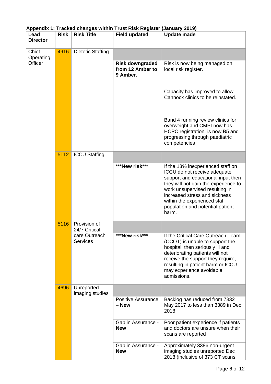| Lead<br><b>Director</b> | <b>Risk</b> | <b>Risk Title</b>                | <b>Field updated</b>                                   | <b>Update made</b>                                                                                                                                                                                                                                                                              |
|-------------------------|-------------|----------------------------------|--------------------------------------------------------|-------------------------------------------------------------------------------------------------------------------------------------------------------------------------------------------------------------------------------------------------------------------------------------------------|
| Chief<br>Operating      | 4916        | <b>Dietetic Staffing</b>         |                                                        |                                                                                                                                                                                                                                                                                                 |
| Officer                 |             |                                  | <b>Risk downgraded</b><br>from 12 Amber to<br>9 Amber. | Risk is now being managed on<br>local risk register.                                                                                                                                                                                                                                            |
|                         |             |                                  |                                                        | Capacity has improved to allow<br>Cannock clinics to be reinstated.                                                                                                                                                                                                                             |
|                         |             |                                  |                                                        | Band 4 running review clinics for<br>overweight and CMPI now has<br>HCPC registration, is now B5 and<br>progressing through paediatric<br>competencies                                                                                                                                          |
|                         | 5112        | <b>ICCU Staffing</b>             |                                                        |                                                                                                                                                                                                                                                                                                 |
|                         |             |                                  | ***New risk***                                         | If the 13% inexperienced staff on<br>ICCU do not receive adequate<br>support and educational input then<br>they will not gain the experience to<br>work unsupervised resulting in<br>increased stress and sickness<br>within the experienced staff<br>population and potential patient<br>harm. |
|                         | 5116        | Provision of<br>24/7 Critical    |                                                        |                                                                                                                                                                                                                                                                                                 |
|                         |             | care Outreach<br><b>Services</b> | ***New risk***                                         | If the Critical Care Outreach Team<br>(CCOT) is unable to support the<br>hospital, then seriously ill and<br>deteriorating patients will not<br>receive the support they require,<br>resulting in patient harm or ICCU<br>may experience avoidable<br>admissions.                               |
|                         | 4696        | Unreported<br>imaging studies    |                                                        |                                                                                                                                                                                                                                                                                                 |
|                         |             |                                  | <b>Positive Assurance</b><br>- New                     | Backlog has reduced from 7332<br>May 2017 to less than 3389 in Dec<br>2018                                                                                                                                                                                                                      |
|                         |             |                                  | Gap in Assurance -<br><b>New</b>                       | Poor patient experience if patients<br>and doctors are unsure when their<br>scans are reported                                                                                                                                                                                                  |
|                         |             |                                  | Gap in Assurance -<br><b>New</b>                       | Approximately 3386 non-urgent<br>imaging studies unreported Dec<br>2018 (inclusive of 373 CT scans                                                                                                                                                                                              |

## **Appendix 1: Tracked changes within Trust Risk Register (January 2019)**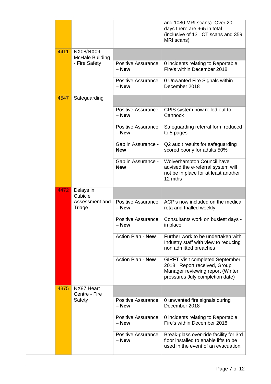|      |                                     |                                    | and 1080 MRI scans). Over 20<br>days there are 965 in total<br>(inclusive of 131 CT scans and 359<br>MRI scans)                               |
|------|-------------------------------------|------------------------------------|-----------------------------------------------------------------------------------------------------------------------------------------------|
| 4411 | NX08/NX09<br><b>McHale Building</b> |                                    |                                                                                                                                               |
|      | - Fire Safety                       | <b>Positive Assurance</b><br>– New | 0 incidents relating to Reportable<br>Fire's within December 2018                                                                             |
|      |                                     | <b>Positive Assurance</b><br>– New | 0 Unwanted Fire Signals within<br>December 2018                                                                                               |
| 4547 | Safeguarding                        |                                    |                                                                                                                                               |
|      |                                     | <b>Positive Assurance</b><br>– New | CPIS system now rolled out to<br>Cannock                                                                                                      |
|      |                                     | <b>Positive Assurance</b><br>– New | Safeguarding referral form reduced<br>to 5 pages                                                                                              |
|      |                                     | Gap in Assurance -<br><b>New</b>   | Q2 audit results for safeguarding<br>scored poorly for adults 50%                                                                             |
|      |                                     | Gap in Assurance -<br><b>New</b>   | Wolverhampton Council have<br>advised the e-referral system will<br>not be in place for at least another<br>12 mths                           |
| 4472 | Delays in                           |                                    |                                                                                                                                               |
|      | Cubicle                             |                                    |                                                                                                                                               |
|      | Assessment and<br>Triage            | <b>Positive Assurance</b><br>– New | ACP's now included on the medical<br>rota and trialled weekly                                                                                 |
|      |                                     | <b>Positive Assurance</b><br>– New | Consultants work on busiest days -<br>in place                                                                                                |
|      |                                     | Action Plan - New                  | Further work to be undertaken with<br>Industry staff with view to reducing<br>non admitted breaches                                           |
|      |                                     | Action Plan - New                  | <b>GIRFT Visit completed September</b><br>2018. Report received, Group<br>Manager reviewing report (Winter<br>pressures July completion date) |
| 4375 | NX87 Heart<br>Centre - Fire         |                                    |                                                                                                                                               |
|      | Safety                              | <b>Positive Assurance</b><br>– New | 0 unwanted fire signals during<br>December 2018                                                                                               |
|      |                                     | <b>Positive Assurance</b><br>- New | 0 incidents relating to Reportable<br>Fire's within December 2018                                                                             |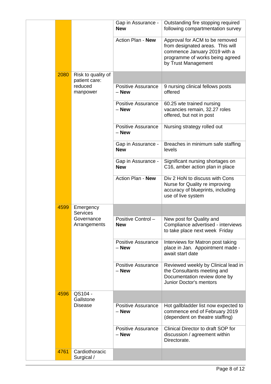|      |                                     | Gap in Assurance -<br><b>New</b>   | Outstanding fire stopping required<br>following compartmentation survey                                                                                      |
|------|-------------------------------------|------------------------------------|--------------------------------------------------------------------------------------------------------------------------------------------------------------|
|      |                                     | Action Plan - New                  | Approval for ACM to be removed<br>from designated areas. This will<br>commence January 2019 with a<br>programme of works being agreed<br>by Trust Management |
| 2080 | Risk to quality of<br>patient care: |                                    |                                                                                                                                                              |
|      | reduced<br>manpower                 | <b>Positive Assurance</b><br>– New | 9 nursing clinical fellows posts<br>offered                                                                                                                  |
|      |                                     | <b>Positive Assurance</b><br>- New | 60.25 wte trained nursing<br>vacancies remain, 32.27 roles<br>offered, but not in post                                                                       |
|      |                                     | <b>Positive Assurance</b><br>- New | Nursing strategy rolled out                                                                                                                                  |
|      |                                     | Gap in Assurance -<br><b>New</b>   | Breaches in minimum safe staffing<br>levels                                                                                                                  |
|      |                                     | Gap in Assurance -<br><b>New</b>   | Significant nursing shortages on<br>C16, amber action plan in place                                                                                          |
|      |                                     | Action Plan - New                  | Div 2 HoN to discuss with Cons<br>Nurse for Quality re improving<br>accuracy of blueprints, including<br>use of live system                                  |
| 4599 | Emergency<br><b>Services</b>        |                                    |                                                                                                                                                              |
|      | Governance<br>Arrangements          | Positive Control-<br><b>New</b>    | New post for Quality and<br>Compliance advertised - interviews<br>to take place next week Friday                                                             |
|      |                                     | Positive Assurance<br>– New        | Interviews for Matron post taking<br>place in Jan. Appointment made -<br>await start date                                                                    |
|      |                                     | <b>Positive Assurance</b><br>- New | Reviewed weekly by Clinical lead in<br>the Consultants meeting and<br>Documentation review done by<br>Junior Doctor's mentors                                |
| 4596 | QS104 -<br>Gallstone                |                                    |                                                                                                                                                              |
|      | <b>Disease</b>                      | <b>Positive Assurance</b><br>– New | Hot gallbladder list now expected to<br>commence end of February 2019<br>(dependent on theatre staffing)                                                     |
|      |                                     | <b>Positive Assurance</b><br>- New | Clinical Director to draft SOP for<br>discussion / agreement within<br>Directorate.                                                                          |
| 4761 | Cardiothoracic<br>Surgical /        |                                    |                                                                                                                                                              |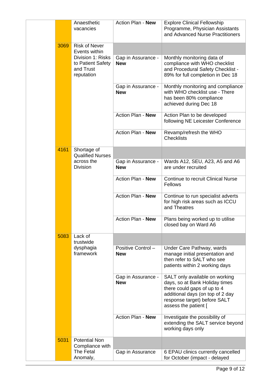|      | Anaesthetic<br>vacancies                                          | Action Plan - New                | <b>Explore Clinical Fellowship</b><br>Programme, Physician Assistants<br>and Advanced Nurse Practitioners                                                                                   |
|------|-------------------------------------------------------------------|----------------------------------|---------------------------------------------------------------------------------------------------------------------------------------------------------------------------------------------|
| 3069 | <b>Risk of Never</b><br>Events within                             |                                  |                                                                                                                                                                                             |
|      | Division 1: Risks<br>to Patient Safety<br>and Trust<br>reputation | Gap in Assurance -<br><b>New</b> | Monthly monitoring data of<br>compliance with WHO checklist<br>and Procedural Safety Checklist -<br>89% for full completion in Dec 18                                                       |
|      |                                                                   | Gap in Assurance -<br><b>New</b> | Monthly monitoring and compliance<br>with WHO checklist use - There<br>has been 80% compliance<br>achieved during Dec 18                                                                    |
|      |                                                                   | Action Plan - New                | Action Plan to be developed<br>following NE Leicester Conference                                                                                                                            |
|      |                                                                   | Action Plan - New                | Revamp/refresh the WHO<br><b>Checklists</b>                                                                                                                                                 |
| 4161 | Shortage of<br><b>Qualified Nurses</b>                            |                                  |                                                                                                                                                                                             |
|      | across the<br><b>Division</b>                                     | Gap in Assurance -<br><b>New</b> | Wards A12, SEU, A23, A5 and A6<br>are under recruited                                                                                                                                       |
|      |                                                                   | Action Plan - New                | <b>Continue to recruit Clinical Nurse</b><br>Fellows                                                                                                                                        |
|      |                                                                   | <b>Action Plan - New</b>         | Continue to run specialist adverts<br>for high risk areas such as ICCU<br>and Theatres                                                                                                      |
|      |                                                                   | Action Plan - New                | Plans being worked up to utilise<br>closed bay on Ward A6                                                                                                                                   |
| 5083 | Lack of<br>trustwide                                              |                                  |                                                                                                                                                                                             |
|      | dysphagia<br>framework                                            | Positive Control-<br><b>New</b>  | Under Care Pathway, wards<br>manage initial presentation and<br>then refer to SALT who see<br>patients within 2 working days                                                                |
|      |                                                                   | Gap in Assurance -<br><b>New</b> | SALT only available on working<br>days, so at Bank Holiday times<br>there could gaps of up to 4<br>additional days (on top of 2 day<br>response target) before SALT<br>assess the patient [ |
|      |                                                                   | Action Plan - New                | Investigate the possibility of<br>extending the SALT service beyond<br>working days only                                                                                                    |
| 5031 | <b>Potential Non</b><br>Compliance with                           |                                  |                                                                                                                                                                                             |
|      | The Fetal<br>Anomaly,                                             | Gap in Assurance                 | 6 EPAU clinics currently cancelled<br>for October (impact - delayed                                                                                                                         |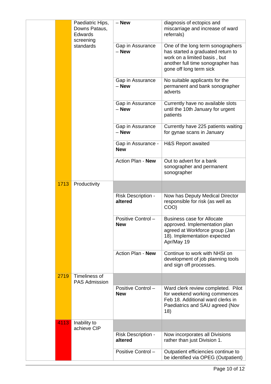|      | Paediatric Hips,<br>Downs Pataus,<br><b>Edwards</b><br>screening | - New                                | diagnosis of ectopics and<br>miscarriage and increase of ward<br>referrals)                                                                                            |
|------|------------------------------------------------------------------|--------------------------------------|------------------------------------------------------------------------------------------------------------------------------------------------------------------------|
|      | standards                                                        | Gap in Assurance<br>– New            | One of the long term sonographers<br>has started a graduated return to<br>work on a limited basis, but<br>another full time sonographer has<br>gone off long term sick |
|      |                                                                  | Gap in Assurance<br>$-$ New          | No suitable applicants for the<br>permanent and bank sonographer<br>adverts                                                                                            |
|      |                                                                  | Gap in Assurance<br>- New            | Currently have no available slots<br>until the 10th January for urgent<br>patients                                                                                     |
|      |                                                                  | Gap in Assurance<br>– New            | Currently have 225 patients waiting<br>for gynae scans in January                                                                                                      |
|      |                                                                  | Gap in Assurance -<br><b>New</b>     | <b>H&amp;S Report awaited</b>                                                                                                                                          |
|      |                                                                  | Action Plan - New                    | Out to advert for a bank<br>sonographer and permanent<br>sonographer                                                                                                   |
| 1713 | Productivity                                                     |                                      |                                                                                                                                                                        |
|      |                                                                  | <b>Risk Description -</b><br>altered | Now has Deputy Medical Director<br>responsible for risk (as well as<br>COO)                                                                                            |
|      |                                                                  | Positive Control-<br><b>New</b>      | <b>Business case for Allocate</b><br>approved. Implementation plan<br>agreed at Workforce group (Jan<br>18). Implementation expected<br>Apr/May 19                     |
|      |                                                                  | Action Plan - New                    | Continue to work with NHSI on<br>development of job planning tools<br>and sign off processes.                                                                          |
| 2719 | Timeliness of<br><b>PAS Admission</b>                            |                                      |                                                                                                                                                                        |
|      |                                                                  | Positive Control-<br><b>New</b>      | Ward clerk review completed. Pilot<br>for weekend working commences<br>Feb 18. Additional ward clerks in<br>Paediatrics and SAU agreed (Nov<br>18)                     |
| 4113 | Inability to<br>achieve CIP                                      |                                      |                                                                                                                                                                        |
|      |                                                                  | <b>Risk Description -</b><br>altered | Now incorporates all Divisions<br>rather than just Division 1.                                                                                                         |
|      |                                                                  | Positive Control-                    | Outpatient efficiencies continue to<br>be identified via OPEG (Outpatient)                                                                                             |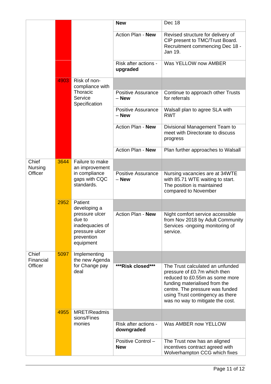|                         |      |                                                                                          | <b>New</b>                           | Dec 18                                                                                                                                                                                                                                         |
|-------------------------|------|------------------------------------------------------------------------------------------|--------------------------------------|------------------------------------------------------------------------------------------------------------------------------------------------------------------------------------------------------------------------------------------------|
|                         |      |                                                                                          | Action Plan - New                    | Revised structure for delivery of<br>CIP present to TMC/Trust Board.<br>Recruitment commencing Dec 18 -<br>Jan 19.                                                                                                                             |
|                         |      |                                                                                          | Risk after actions -<br>upgraded     | Was YELLOW now AMBER                                                                                                                                                                                                                           |
|                         | 4903 | Risk of non-<br>compliance with                                                          |                                      |                                                                                                                                                                                                                                                |
|                         |      | Thoracic<br>Service<br>Specification                                                     | <b>Positive Assurance</b><br>$-$ New | Continue to approach other Trusts<br>for referrals                                                                                                                                                                                             |
|                         |      |                                                                                          | Positive Assurance<br>– New          | Walsall plan to agree SLA with<br><b>RWT</b>                                                                                                                                                                                                   |
|                         |      |                                                                                          | Action Plan - New                    | Divisional Management Team to<br>meet with Directorate to discuss<br>progress                                                                                                                                                                  |
|                         |      |                                                                                          | Action Plan - New                    | Plan further approaches to Walsall                                                                                                                                                                                                             |
| Chief<br><b>Nursing</b> | 3644 | Failure to make<br>an improvement                                                        |                                      |                                                                                                                                                                                                                                                |
| Officer                 |      | in compliance<br>gaps with CQC<br>standards.                                             | <b>Positive Assurance</b><br>– New   | Nursing vacancies are at 34WTE<br>with 85.71 WTE waiting to start.<br>The position is maintained<br>compared to November                                                                                                                       |
|                         | 2952 | Patient<br>developing a                                                                  |                                      |                                                                                                                                                                                                                                                |
|                         |      | pressure ulcer<br>due to<br>inadequacies of<br>pressure ulcer<br>prevention<br>equipment | Action Plan - New                    | Night comfort service accessible<br>from Nov 2018 by Adult Community<br>Services -ongoing monitoring of<br>service.                                                                                                                            |
| Chief<br>Financial      | 5097 | Implementing<br>the new Agenda                                                           |                                      |                                                                                                                                                                                                                                                |
| Officer                 |      | for Change pay<br>deal                                                                   | ***Risk closed***                    | The Trust calculated an unfunded<br>pressure of £0.7m which then<br>reduced to £0.55m as some more<br>funding materialised from the<br>centre. The pressure was funded<br>using Trust contingency as there<br>was no way to mitigate the cost. |
|                         | 4955 | MRET/Readmis<br>sions/Fines                                                              |                                      |                                                                                                                                                                                                                                                |
|                         |      | monies                                                                                   | Risk after actions -<br>downgraded   | Was AMBER now YELLOW                                                                                                                                                                                                                           |
|                         |      |                                                                                          | Positive Control-<br><b>New</b>      | The Trust now has an aligned<br>incentives contract agreed with<br>Wolverhampton CCG which fixes                                                                                                                                               |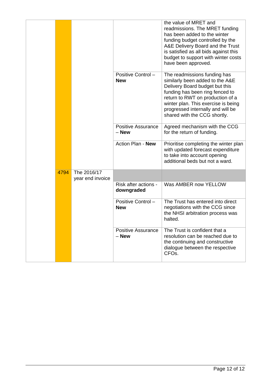|      |                                 |                                    | the value of MRET and<br>readmissions. The MRET funding<br>has been added to the winter<br>funding budget controlled by the<br>A&E Delivery Board and the Trust<br>is satisfied as all bids against this<br>budget to support with winter costs<br>have been approved.               |
|------|---------------------------------|------------------------------------|--------------------------------------------------------------------------------------------------------------------------------------------------------------------------------------------------------------------------------------------------------------------------------------|
|      |                                 | Positive Control-<br><b>New</b>    | The readmissions funding has<br>similarly been added to the A&E<br>Delivery Board budget but this<br>funding has been ring fenced to<br>return to RWT on production of a<br>winter plan. This exercise is being<br>progressed internally and will be<br>shared with the CCG shortly. |
|      |                                 | <b>Positive Assurance</b><br>– New | Agreed mechanism with the CCG<br>for the return of funding.                                                                                                                                                                                                                          |
|      |                                 | Action Plan - New                  | Prioritise completing the winter plan<br>with updated forecast expenditure<br>to take into account opening<br>additional beds but not a ward.                                                                                                                                        |
| 4794 | The 2016/17<br>year end invoice |                                    |                                                                                                                                                                                                                                                                                      |
|      |                                 | Risk after actions -<br>downgraded | Was AMBER now YELLOW                                                                                                                                                                                                                                                                 |
|      |                                 | Positive Control-<br><b>New</b>    | The Trust has entered into direct<br>negotiations with the CCG since<br>the NHSI arbitration process was<br>halted.                                                                                                                                                                  |
|      |                                 | Positive Assurance<br>- New        | The Trust is confident that a<br>resolution can be reached due to<br>the continuing and constructive<br>dialogue between the respective<br>CFO <sub>s</sub> .                                                                                                                        |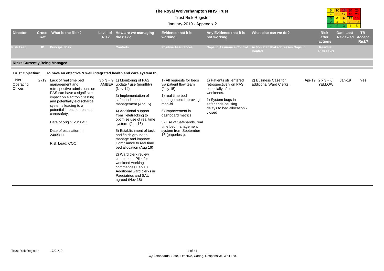#### **The Royal Wolverhampton NHS Trust**

|                               |                     |                                                                                                                                                                                                                                                                                                                                     |                         |                                                                                                                                                                                                                                                                                                                                                                                       | <b>Trust Risk Register</b><br>January-2019 - Appendix 2                                                                                                                                                                                                         |                                                                                                                                                                         |                                                 | 4 8 12 16 20<br>4 6 8 10<br>$3 \mid 4$<br>2 | $-5$                                |                                     |
|-------------------------------|---------------------|-------------------------------------------------------------------------------------------------------------------------------------------------------------------------------------------------------------------------------------------------------------------------------------------------------------------------------------|-------------------------|---------------------------------------------------------------------------------------------------------------------------------------------------------------------------------------------------------------------------------------------------------------------------------------------------------------------------------------------------------------------------------------|-----------------------------------------------------------------------------------------------------------------------------------------------------------------------------------------------------------------------------------------------------------------|-------------------------------------------------------------------------------------------------------------------------------------------------------------------------|-------------------------------------------------|---------------------------------------------|-------------------------------------|-------------------------------------|
| <b>Director</b>               | <b>Cross</b><br>Ref | What is the Risk?                                                                                                                                                                                                                                                                                                                   | Level of<br><b>Risk</b> | How are we managing<br>the risk?                                                                                                                                                                                                                                                                                                                                                      | <b>Evidence that it is</b><br>working.                                                                                                                                                                                                                          | Any Evidence that it is<br>not working.                                                                                                                                 | What else can we do?                            | <b>Risk</b><br>after<br>actions             | <b>Date Last</b><br><b>Reviewed</b> | <b>TB</b><br><b>Accept</b><br>Risk? |
| <b>isk Lead</b>               | ID.                 | <b>Principal Risk</b>                                                                                                                                                                                                                                                                                                               |                         | <b>Controls</b>                                                                                                                                                                                                                                                                                                                                                                       | <b>Positive Assurances</b>                                                                                                                                                                                                                                      | <b>Gaps in Assurance/Control</b>                                                                                                                                        | Action Plan that addresses Gaps in<br>Control   | Residual<br><b>Risk Level</b>               |                                     |                                     |
|                               |                     | <b>Risks Currently Being Managed</b>                                                                                                                                                                                                                                                                                                |                         |                                                                                                                                                                                                                                                                                                                                                                                       |                                                                                                                                                                                                                                                                 |                                                                                                                                                                         |                                                 |                                             |                                     |                                     |
| Trust Objective:              |                     | To have an effective & well integrated health and care system th                                                                                                                                                                                                                                                                    |                         |                                                                                                                                                                                                                                                                                                                                                                                       |                                                                                                                                                                                                                                                                 |                                                                                                                                                                         |                                                 |                                             |                                     |                                     |
| Chief<br>Operating<br>Officer |                     | 2719 Lack of real time bed<br>management and<br>retrospective admissions on<br>PAS can have a significant<br>impact on electronic testing<br>and potentially e-discharge<br>systems leading to a<br>potential impact on patient<br>care/safety.<br>Date of origin: 23/05/11<br>Date of escalation $=$<br>24/05/11<br>Risk Lead: COO |                         | $3 \times 3 = 9$ 1) Monitoring of PAS<br>AMBER update / use (monthly)<br>(Nov 14)<br>3) Implementation of<br>safehands bed<br>management (Apr 15)<br>4) Additional support<br>from Teletracking to<br>optimise use of real time<br>system - (Jan 16)<br>5) Establishment of task<br>and finish groups to<br>manage and improve.<br>Compliance to real time<br>bed allocation (Aug 16) | 1) All requests for beds<br>via patient flow team<br>(July 15)<br>1) real time bed<br>management improving<br>mon-fri<br>5) Improvement in<br>dashboard metrics<br>3) Use of Safehands, real<br>time bed management<br>system from September<br>16 (paperless). | 1) Patients still entered<br>retrospectively on PAS.<br>especially after<br>weekends.<br>1) System bugs in<br>safehands causing<br>delays to bed allocation -<br>closed | 2) Business Case for<br>additional Ward Clerks. | Apr-19 $2 \times 3 = 6$<br><b>YELLOW</b>    | $Jan-19$                            | Yes                                 |
|                               |                     |                                                                                                                                                                                                                                                                                                                                     |                         | 2) Ward clerk review<br>completed. Pilot for<br>weekend working                                                                                                                                                                                                                                                                                                                       |                                                                                                                                                                                                                                                                 |                                                                                                                                                                         |                                                 |                                             |                                     |                                     |

<mark>5 10 15 20 25</mark>

#### **Trust Objective: To have an effective**

commences Feb 18. Additional ward clerks inPaediatrics and SAU agreed (Nov 18)

**Director**

Operating Officer

| Trust Risk Reaister | 17/01/19 |  | of 41 |
|---------------------|----------|--|-------|
|---------------------|----------|--|-------|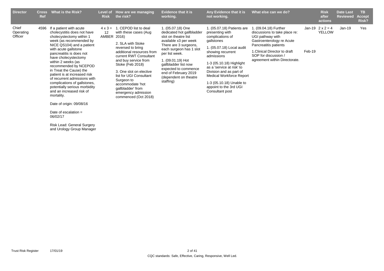| <b>Director</b>               | <b>Cross</b><br>Ref | What is the Risk?                                                                                                                                                                                                                                                                                                                                                                                                                                                                                                                             | Level of<br><b>Risk</b>       | How are we managing<br>the risk?                                                                                                                                                                                                                                                                                                                                 | <b>Evidence that it is</b><br>working.                                                                                                                                                                                                                                                                   | Any Evidence that it is<br>not working.                                                                                                                                                                                                                                                                                                         | What else can we do?                                                                                                                                                                                                    |        | <b>Risk</b><br>after<br>actions          | <b>Date Last</b><br><b>Reviewed</b> | TB.<br><b>Accept</b><br>Risk? |
|-------------------------------|---------------------|-----------------------------------------------------------------------------------------------------------------------------------------------------------------------------------------------------------------------------------------------------------------------------------------------------------------------------------------------------------------------------------------------------------------------------------------------------------------------------------------------------------------------------------------------|-------------------------------|------------------------------------------------------------------------------------------------------------------------------------------------------------------------------------------------------------------------------------------------------------------------------------------------------------------------------------------------------------------|----------------------------------------------------------------------------------------------------------------------------------------------------------------------------------------------------------------------------------------------------------------------------------------------------------|-------------------------------------------------------------------------------------------------------------------------------------------------------------------------------------------------------------------------------------------------------------------------------------------------------------------------------------------------|-------------------------------------------------------------------------------------------------------------------------------------------------------------------------------------------------------------------------|--------|------------------------------------------|-------------------------------------|-------------------------------|
| Chief<br>Operating<br>Officer | 4596                | If a patient with acute<br>cholecystitis does not have<br>cholecystectomy within 1<br>week (as recommended by<br>NICE QS104) and a patient<br>with acute gallstone<br>pancreatitis is does not<br>have cholecystectomy<br>within 2 weeks (as<br>recommended by NCEPOD<br>in Treat the Cause) the<br>patient is at increased risk<br>of recurrent admissions with<br>complications of gallstones,<br>potentially serious morbidity<br>and an increased risk of<br>mortality.<br>Date of origin: 09/08/16<br>Date of escalation $=$<br>06/02/17 | $4 \times 3 =$<br>12<br>AMBER | . CEPOD list to deal<br>with these cases (Aug.<br>2016)<br>2. SLA with Stoke<br>reversed to bring<br>additional resources from<br>current RWT Consultant<br>and buy service from<br>Stoke (Feb 2018)<br>3. One slot on elective<br>list for UGI Consultant<br>Surgeon to<br>accommodate 'hot<br>qallbladder' from<br>emergency admission<br>commenced (Oct 2018) | 1. (05.07.18) One<br>dedicated hot gallbladder<br>slot on theatre list<br>available x3 per week<br>There are 3 surgeons,<br>each surgeon has 1 slot<br>per list week.<br>1. (09.01.19) Hot<br>gallbladder list now<br>expected to commence<br>end of February 2019<br>(dependent on theatre<br>staffing) | 1. (05.07.18) Patients are<br>presenting with<br>complications of<br>gallstones<br>1. (05.07.18) Local audit<br>showing recurrent<br>admissions<br>1-3 (05.10.18) Highlight<br>as a 'service at risk' to<br>Division and as part of<br><b>Medical Workforce Report</b><br>1-3 (05.10.18) Unable to<br>appoint to the 3rd UGI<br>Consultant post | (09.04.18) Further<br>discussions to take place re:<br>UGI pathway with<br>Gastroenterology re Acute<br>Pancreatitis patients<br>1. Clinical Director to draft<br>SOP for discussion /<br>agreement within Directorate. | Feb-19 | Jan-19 $2 \times 2 = 4$<br><b>YELLOW</b> | $Jan-19$                            | Yes                           |

Risk Lead: General Surgery and Urology Group Manager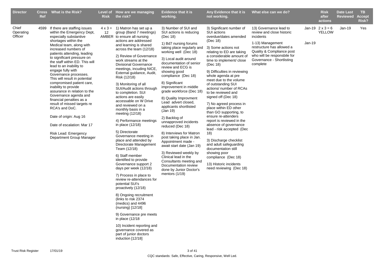| <b>Director</b>               | <b>Ref</b> | Cross What is the Risk?                                                                                                                                                                                                                                                                                                                                                                                                                                                                                                                                                                                                                                                               | <b>Risk</b> | Level of How are we managing<br>the risk?                                                                                                                                                                                                                                                                                                                                                                                                                                                                                                                                                                                                                                                                                                                                                                                                                                                                                                                                                                                                                                                                                                      | <b>Evidence that it is</b><br>working.                                                                                                                                                                                                                                                                                                                                                                                                                                                                                                                                                                                                                                                                                                                | Any Evidence that it is<br>not working.                                                                                                                                                                                                                                                                                                                                                                                                                                                                                                                                                                                                                                                                                                                   | What else can we do?                                                                                                                                                                                                   |          | <b>Risk</b><br>after<br>actions          | <b>Date Last</b><br><b>Reviewed</b> | TB.<br><b>Accept</b><br>Risk? |
|-------------------------------|------------|---------------------------------------------------------------------------------------------------------------------------------------------------------------------------------------------------------------------------------------------------------------------------------------------------------------------------------------------------------------------------------------------------------------------------------------------------------------------------------------------------------------------------------------------------------------------------------------------------------------------------------------------------------------------------------------|-------------|------------------------------------------------------------------------------------------------------------------------------------------------------------------------------------------------------------------------------------------------------------------------------------------------------------------------------------------------------------------------------------------------------------------------------------------------------------------------------------------------------------------------------------------------------------------------------------------------------------------------------------------------------------------------------------------------------------------------------------------------------------------------------------------------------------------------------------------------------------------------------------------------------------------------------------------------------------------------------------------------------------------------------------------------------------------------------------------------------------------------------------------------|-------------------------------------------------------------------------------------------------------------------------------------------------------------------------------------------------------------------------------------------------------------------------------------------------------------------------------------------------------------------------------------------------------------------------------------------------------------------------------------------------------------------------------------------------------------------------------------------------------------------------------------------------------------------------------------------------------------------------------------------------------|-----------------------------------------------------------------------------------------------------------------------------------------------------------------------------------------------------------------------------------------------------------------------------------------------------------------------------------------------------------------------------------------------------------------------------------------------------------------------------------------------------------------------------------------------------------------------------------------------------------------------------------------------------------------------------------------------------------------------------------------------------------|------------------------------------------------------------------------------------------------------------------------------------------------------------------------------------------------------------------------|----------|------------------------------------------|-------------------------------------|-------------------------------|
| Chief<br>Operating<br>Officer |            | 4599 If there are staffing issues<br>within the Emergency Dept,<br>especially substantive<br>shortages within the<br>Medical team, along with<br>increased numbers of<br>patients attending, leading<br>to significant pressure on<br>the staff within ED. This will<br>lead to an inability to<br>engage fully with<br>Governance processes.<br>This will result in potential<br>compromised patient care,<br>inability to provide<br>assurance in relation to the<br>Governance agenda and<br>financial penalties as a<br>result of missed targets re<br>RCA's and DoC.<br>Date of origin: Aug 16<br>Date of escalation: Mar 17<br>Risk Lead: Emergency<br>Department Group Manager | 12          | $4 \times 3 = 1$ ) Matron has set up a<br>group (Band 7 meetings)<br>AMBER to ensure all nursing<br>actions are addressed<br>and learning is shared<br>across the team (12/18)<br>2) Review of Governance<br>work streams at the<br><b>Divisional Governance</b><br>meetings, incuding NICE,<br>External guidance, Audit,<br>Risk (12/18)<br>3) Monitoring of all<br>SUI/Audit actions through<br>to completion. SUI<br>actions are easily<br>accessable on W Drive<br>and reviewed on a<br>monthly basis in a<br>meeting (12/18)<br>4) Performance meetings<br>in place (12/18)<br>5) Directorate<br>Governance meeting in<br>place and attended by<br>Directorate Management<br>Team (12/18)<br>6) Staff member<br>identified to provide<br>Governance support 2<br>days per week (12/18)<br>7) Process in place to<br>review re-attendances for<br>potential SUI's<br>proactively (12/18)<br>8) Ongoing recruitment<br>(links to risk 2374<br>(medics) and 4496<br>(nursing) [12/18]<br>9) Governance pre meets<br>in place $(12/18)$<br>10) Incident reporting and<br>governance covered as<br>part of junior doctors<br>induction [12/18] | 3) Number of SUI and<br>SUI actions is reducing<br>(Dec 18)<br>1) Bd7 nursing forums<br>taking place regularly and<br>working well (Dec 18)<br>3) Local audit around<br>documentation of senior<br>review and ECG is<br>showing good<br>compliance (Dec 18)<br>8) Significant<br>improvement in middle<br>grade workforce (Dec 18)<br>8) Quality Improvment<br>Lead advert closed,<br>applicants shortlisted<br>(Jan 19)<br>2) Backlog of<br>unnapproved incidents<br>reduced (Dec 18)<br>8) Interviews for Matron<br>post taking place in Jan.<br>Appointment made -<br>await start date (Jan 19)<br>3) Reviewed weekly by<br>Clinical lead in the<br>Consultants meeting and<br>Documentation review<br>done by Junior Doctor's<br>mentors $(1/19)$ | 3) Significant number of<br>SUI actions<br>overdue/dates amended<br>(Dec 18)<br>3) Some actions not<br>relating to ED are taking<br>a considerable amount of<br>time to implement/ close<br>(Dec 18)<br>9) Difficulties in reviewing<br>whole agenda at pre<br>meet due to the volume<br>of outstanding SUI<br>actions/ number of RCAs<br>to be reviewed and<br>signed off (Dec 18)<br>7) No agreed process in<br>place within ED other<br>than GO supporting, to<br>ensure re-attenders<br>report is reviewed in the<br>absence of governance<br>lead - risk accepted (Dec<br>18)<br>3) Discharge checklist<br>and adult safeguarding<br>documentation still<br>showing poor<br>compliance (Dec 18)<br>13) Historic incidents<br>need reviewing (Dec 18) | 13) Governance lead to<br>review and close historic<br>incidents<br>1-13) Management<br>restructure has allowed a<br>Quality & Compliance post<br>who will be responsbile for<br>Governance - Shortlisting<br>complete | $Jan-19$ | Jan-19 $2 \times 3 = 6$<br><b>YELLOW</b> | Jan-19                              | Yes                           |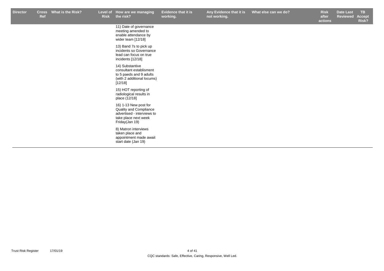**Any Evidence that it is not working.**

r Cross What is the Risk? Level of How are we managing Evidence that it is Any Evidence that it is What else can we do? Risk Date Last TB **Risk after What else can we do? Date Last <b>Risk Date Last** 

**actions Reviewed Accept Risk?**

11) Date of governance meeting amended to enable attendance by wider team [12/18]

13) Band 7s to pick up incidents so Governance lead can focus on true incidents [12/18]

14) Substantive consultant establisment to 5 paeds and 9 adults (with 2 additional locums) [12/18]

15) HOT reporting of radiological results in place (12/18]

16) 1-13 New post for Quality and Compliance advertised - interviews to take place next week Friday(Jan 19)

8) Matron interviews taken place and appointment made await start date (Jan 19)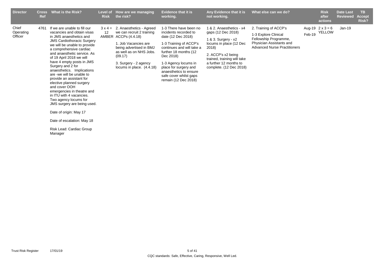| <b>Director</b>               | <b>Cross</b><br>Ref | What is the Risk?                                                                                                                                                                                                                                                                                                                                                                                                                                                                                                                                                                                                                                       | Level of<br><b>Risk</b> | How are we managing<br>the risk?                                                                                                                                                                                               | <b>Evidence that it is</b><br>working.                                                                                                                                                                                                                                                          | Any Evidence that it is<br>not working.                                                                                                                                                                             | What else can we do?                                                                                                                      |        | <b>Risk</b><br>after<br>actions   | Date Last<br><b>Reviewed</b> | TB.<br><b>Accept</b><br>Risk? |
|-------------------------------|---------------------|---------------------------------------------------------------------------------------------------------------------------------------------------------------------------------------------------------------------------------------------------------------------------------------------------------------------------------------------------------------------------------------------------------------------------------------------------------------------------------------------------------------------------------------------------------------------------------------------------------------------------------------------------------|-------------------------|--------------------------------------------------------------------------------------------------------------------------------------------------------------------------------------------------------------------------------|-------------------------------------------------------------------------------------------------------------------------------------------------------------------------------------------------------------------------------------------------------------------------------------------------|---------------------------------------------------------------------------------------------------------------------------------------------------------------------------------------------------------------------|-------------------------------------------------------------------------------------------------------------------------------------------|--------|-----------------------------------|------------------------------|-------------------------------|
| Chief<br>Operating<br>Officer | 4761                | If we are unable to fill our<br>vacancies and obtain visas<br>in JMS anaesthetics and<br><b>JMS Cardiothoracic Surgery</b><br>we will be unable to provide<br>a comprehensive cardiac<br>and anaesthetic service. As<br>of 19 April 2018 we will<br>have 4 empty posts in JMS<br>Surgery and 2 for<br>anaesthetics. Implications<br>are -we will be unable to<br>provide an assistant for<br>elective planned surgery<br>and cover OOH<br>emergencies in theatre and<br>in ITU with 4 vacancies.<br>Two agency locums for<br>JMS surgery are being used.<br>Date of origin: May 17<br>Date of escalation: May 18<br>Risk Lead: Cardiac Group<br>Manager | $3 \times 4 =$<br>12    | 2. Anaesthetics - Agreed<br>we can recruit 2 training<br>AMBER ACCPs (4.4.18)<br>1. Job Vacancies are<br>being advertised in BMJ<br>as well as on NHS Jobs.<br>(09.17)<br>3. Surgery - 2 agency<br>locums in place. $(4.4.18)$ | 1-3 There have been no<br>incidents recorded to<br>date (12 Dec 2018)<br>1-3 Training of ACCP's<br>continues and will take a<br>further 18 months (12<br>Dec 2018)<br>1-3 Agency locums in<br>place for surgery and<br>anaesthetics to ensure<br>safe cover whilst gaps<br>remain (12 Dec 2018) | 1 & 2. Anaesthetics - x4<br>gaps (12 Dec 2018)<br>1 & 3. Surgery - x2<br>locums in place (12 Dec<br>2018)<br>2. ACCP's x2 being<br>trained, training will take<br>a further 12 months to<br>complete. (12 Dec 2018) | 2. Training of ACCP's<br>1-3 Explore Clinical<br>Fellowship Programme,<br>Physician Assistants and<br><b>Advanced Nurse Practitioners</b> | Feb-19 | Aug-19 $2 \times 3 = 6$<br>YELLOW | Jan-19                       |                               |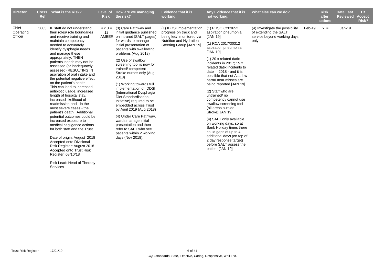| <b>Director</b>               | <b>Cross</b><br>Ref | What is the Risk?                                                                                                                                                                                                                                                                                                                                                                                                                                                                                                                                                                                                                                                                                                                                                                                                                                                                                                     | Level of<br><b>Risk</b> | How are we managing<br>the risk?                                                                                                                                                                                                                                                                                                                                                                                                                                                                                                                                                                                                                          | <b>Evidence that it is</b><br>working.                                                                                              | Any Evidence that it is<br>not working.                                                                                                                                                                                                                                                                                                                                                                                                                                                                                                                                                                                                                            | What else can we do?                                                                            |        | <b>Risk</b><br>after<br>actions | <b>Date Last</b><br><b>Reviewed</b> | <b>TB</b><br><b>Accept</b><br>Risk? |
|-------------------------------|---------------------|-----------------------------------------------------------------------------------------------------------------------------------------------------------------------------------------------------------------------------------------------------------------------------------------------------------------------------------------------------------------------------------------------------------------------------------------------------------------------------------------------------------------------------------------------------------------------------------------------------------------------------------------------------------------------------------------------------------------------------------------------------------------------------------------------------------------------------------------------------------------------------------------------------------------------|-------------------------|-----------------------------------------------------------------------------------------------------------------------------------------------------------------------------------------------------------------------------------------------------------------------------------------------------------------------------------------------------------------------------------------------------------------------------------------------------------------------------------------------------------------------------------------------------------------------------------------------------------------------------------------------------------|-------------------------------------------------------------------------------------------------------------------------------------|--------------------------------------------------------------------------------------------------------------------------------------------------------------------------------------------------------------------------------------------------------------------------------------------------------------------------------------------------------------------------------------------------------------------------------------------------------------------------------------------------------------------------------------------------------------------------------------------------------------------------------------------------------------------|-------------------------------------------------------------------------------------------------|--------|---------------------------------|-------------------------------------|-------------------------------------|
| Chief<br>Operating<br>Officer |                     | 5083 IF staff do not understand<br>their roles/ role boundaries<br>and receive training and<br>maintain competency<br>needed to accurately<br>identify dysphagia needs<br>and manage these<br>appropriately, THEN<br>patients' needs may not be<br>assessed (or inadequately<br>assessed) RESULTING IN<br>aspiration of oral intake and<br>the potential negative effect<br>on the patient's health.<br>This can lead to increased<br>antibiotic usage, increased<br>length of hospital stay,<br>increased likelihood of<br>readmission and - in the<br>most severe cases - the<br>patient's death. Additional<br>potential outcomes could be<br>increased exposure to<br>medical negligence actions<br>for both staff and the Trust.<br>Date of origin: August 2018<br>Accepted onto Divisional<br>Risk Register: August 2018<br><b>Accepted onto Trust Risk</b><br>Register: 08/10/18<br>Risk Lead: Head of Therapy | $4 \times 3 =$<br>12    | (3) Care Pathway and<br>initial guidance published<br>AMBER on intranet (SALT pages)<br>for wards to manage<br>initial presentation of<br>patients with swallowing<br>problems (Aug 2018)<br>(2) Use of swallow<br>screening tool is now for<br>trained/competent<br>Stroke nurses only (Aug<br>2018)<br>(1) Working towards full<br>implementation of IDDSI<br>(International Dysphagia<br>Diet Standardisation<br>Initiative) required to be<br>embedded across Trust<br>by April 2019 (Aug 2018)<br>(4) Under Care Pathway,<br>wards manage initial<br>presentation and then<br>refer to SALT who see<br>patients within 2 working<br>days (Nov 2018). | (1) IDDSI implementation<br>progress on track and<br>being led/ monitored via<br>Nutrition and Hydration<br>Steering Group [JAN 19] | (1) PHSO C203652<br>aspiration pneumonia<br>[JAN 19]<br>(1) RCA 2017/30312<br>aspiration pneumonia<br>[JAN 19]<br>$(1)$ 20 x related datix<br>incidents in 2017: $15x$<br>related datix incidents to<br>date in 2018 - and it is<br>possible that not ALL low<br>harm/ near misses are<br>being reported [JAN 19]<br>(2) Staff who are<br>untrained/no<br>competency cannot use<br>swallow screening tool<br>(all areas outside<br>Stroke)[JAN 19]<br>(4) SALT only available<br>on working days, so at<br>Bank Holiday times there<br>could gaps of up to 4<br>additional days (on top of<br>2 day response target)<br>before SALT assess the<br>patient [JAN 19] | (4) Investigate the possibility<br>of extending the SALT<br>service beyond working days<br>only | Feb-19 | $x =$                           | Jan-19                              |                                     |
|                               |                     | Services                                                                                                                                                                                                                                                                                                                                                                                                                                                                                                                                                                                                                                                                                                                                                                                                                                                                                                              |                         |                                                                                                                                                                                                                                                                                                                                                                                                                                                                                                                                                                                                                                                           |                                                                                                                                     |                                                                                                                                                                                                                                                                                                                                                                                                                                                                                                                                                                                                                                                                    |                                                                                                 |        |                                 |                                     |                                     |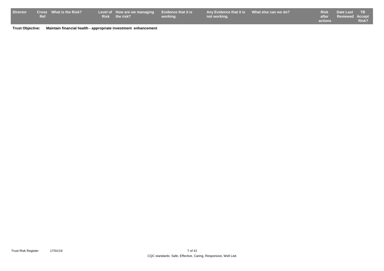| <b>Director</b> |     | <b>Cross</b> What is the Risk? | Level of How are we managing Evidence that it is |          | Any Evidence that it is What else can we do? |                | Risk Date Last TB     |              |
|-----------------|-----|--------------------------------|--------------------------------------------------|----------|----------------------------------------------|----------------|-----------------------|--------------|
|                 | Ref |                                | Risk the risk?                                   | working. | not working.                                 |                | after Reviewed Accept |              |
|                 |     |                                |                                                  |          |                                              | <b>actions</b> |                       | <b>Risk?</b> |

**Trust Objective: Maintain financial health - appropriate investment enhancement**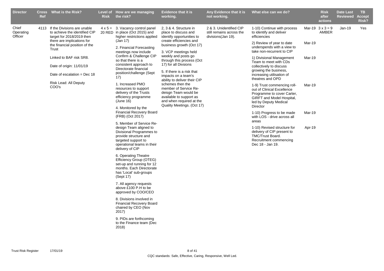| <b>Director</b>               | <b>Ref</b> | Cross What is the Risk?                                                                                                      | <b>Risk</b> | Level of How are we managing<br>the risk?                                                                                                                                       | <b>Evidence that it is</b><br>working.                                                                                             | Any Evidence that it is<br>not working.                                    | What else can we do?                                                                                                                                      |        | <b>Risk</b><br>after<br>actions  | <b>Date Last</b><br><b>Reviewed</b> | TB.<br><b>Accept</b><br>Risk? |
|-------------------------------|------------|------------------------------------------------------------------------------------------------------------------------------|-------------|---------------------------------------------------------------------------------------------------------------------------------------------------------------------------------|------------------------------------------------------------------------------------------------------------------------------------|----------------------------------------------------------------------------|-----------------------------------------------------------------------------------------------------------------------------------------------------------|--------|----------------------------------|-------------------------------------|-------------------------------|
| Chief<br>Operating<br>Officer |            | 4113 If the Divisions are unable<br>to achieve the identified CIP<br>target for 2018/2019 then<br>there are implications for |             | $4 \times 5 = 3$ . Vacancy control panel<br>20 RED in place (Oct 2015) and<br>higher restrictions applied<br>(Jan 17)                                                           | 2. 3 & 4. Structure in<br>place to discuss and<br>identify opportunities to<br>create efficiencies and                             | 2 & 3. Unidentified CIP<br>still remains across the<br>divisions (Jan 19). | 1-10) Continue with process<br>to identify and deliver<br>efficiencies                                                                                    |        | Mar-19 $3 \times 3 = 9$<br>AMBER | $Jan-19$                            | Yes                           |
|                               |            | the financial position of the<br>Trust                                                                                       |             | 2. Financial Forecasting<br>meetings now include                                                                                                                                | business growth (Oct 17)<br>3. VCP meetings held                                                                                   |                                                                            | 2) Review of year to date<br>underspends with a view to<br>take non-recurrent to CIP                                                                      | Mar-19 |                                  |                                     |                               |
|                               |            | Linked to BAF risk SR8.<br>Date of origin: 11/01/19                                                                          |             | Confirm & Challenge CIP<br>so that there is a<br>consistent approach to<br>Directorate financial                                                                                | weekly and posts go<br>through this process (Oct<br>17) for all Divsions                                                           |                                                                            | 1) Divisional Management<br>Team to meet with CDs<br>collectively to discuss<br>growing the business,                                                     | Mar-19 |                                  |                                     |                               |
|                               |            | Date of escalation = Dec $18$<br>Risk Lead: All Deputy                                                                       |             | position/challenge (Sept<br>17)<br>1. Increased PMO                                                                                                                             | 5. If there is a risk that<br>impacts on a team's<br>ability to deliver their CIP<br>schemes then the                              |                                                                            | increasing utilisation of<br>theatres and OPD                                                                                                             |        |                                  |                                     |                               |
|                               |            | COO's                                                                                                                        |             | resources to support<br>delivery of the Trusts<br>efficiency programme<br>(June 16)                                                                                             | member of Service Re-<br>deisgn Team would be<br>available to support as<br>and when required at the<br>Quality Meetings. (Oct 17) |                                                                            | 1-9) Trust commencing roll-<br>out of Clinical Excellence<br>Programme to cover Carter,<br>GIRFT and Model Hospital,<br>led by Deputy Medical<br>Director | Mar-19 |                                  |                                     |                               |
|                               |            |                                                                                                                              |             | 4. Monitored by the<br><b>Financial Recovery Board</b><br>(FRB) (Oct 2017)                                                                                                      |                                                                                                                                    |                                                                            | 1-10) Progress to be made<br>with LOS - drive across all<br>areas                                                                                         | Mar-19 |                                  |                                     |                               |
|                               |            |                                                                                                                              |             | 5. Member of Service Re-<br>design Team aligned to<br>Divisional Programmes to<br>provide structure and<br>targeted support to<br>operational teams in their<br>delivery of CIP |                                                                                                                                    |                                                                            | 1-10) Revised structure for<br>delivery of CIP present to<br>TMC/Trust Board.<br>Recruitment commencing<br>Dec 18 - Jan 19.                               | Apr-19 |                                  |                                     |                               |
|                               |            |                                                                                                                              |             | 6. Operating Theatre<br>Efficiency Group (OTEG)<br>set-up and running for 12<br>months. Each Directorate<br>has 'Local' sub-groups<br>(Sept 17)                                 |                                                                                                                                    |                                                                            |                                                                                                                                                           |        |                                  |                                     |                               |
|                               |            |                                                                                                                              |             | 7. All agency requests<br>above £100 P.H to be<br>approved by COO/CEO                                                                                                           |                                                                                                                                    |                                                                            |                                                                                                                                                           |        |                                  |                                     |                               |
|                               |            |                                                                                                                              |             | 8. Divisions involved in<br><b>Financial Recovery Board</b><br>chaired by CEO (Nov<br>2017)                                                                                     |                                                                                                                                    |                                                                            |                                                                                                                                                           |        |                                  |                                     |                               |
|                               |            |                                                                                                                              |             | 9. PIDs are forthcoming<br>to the Finance team (Dec<br>2018)                                                                                                                    |                                                                                                                                    |                                                                            |                                                                                                                                                           |        |                                  |                                     |                               |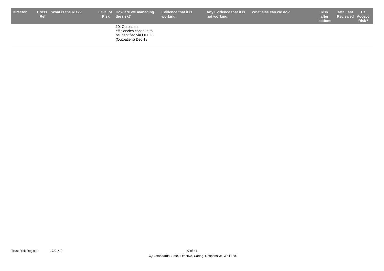| <b>Director</b> | Ref | Cross What is the Risk? | Level of How are we managing<br>Risk the risk?                                              | <b>Evidence that it is</b><br>working. | Any Evidence that it is What else can we do?<br>not working. | <b>Risk</b><br>after<br>actions | Date Last<br><b>Reviewed Accept</b> | <b>TB</b><br>Risk? |
|-----------------|-----|-------------------------|---------------------------------------------------------------------------------------------|----------------------------------------|--------------------------------------------------------------|---------------------------------|-------------------------------------|--------------------|
|                 |     |                         | 10. Outpatient<br>efficiencies continue to<br>be identified via OPEG<br>(Outpatient) Dec 18 |                                        |                                                              |                                 |                                     |                    |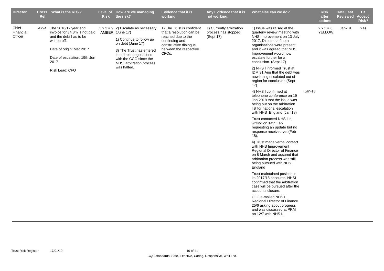| <b>Director</b><br><b>Cross</b><br>Ref | What is the Risk?                                                                                                                                                                          | <b>Risk</b> | Level of How are we managing<br>the risk?                                                                                                                                                                                                  | <b>Evidence that it is</b><br>working.                                                                                                                                 | Any Evidence that it is<br>not working.                      | What else can we do?                                                                                                                                                                                                                                                                                                                                                                                                                                                                                                                                                                                                                                                                                                                                                                                                                                                                                                                                                                                                                                                                                                                                                                                 |          | <b>Risk</b><br>after<br>actions | <b>Date Last</b><br><b>Reviewed</b> | TB.<br>Accept<br>Risk? |
|----------------------------------------|--------------------------------------------------------------------------------------------------------------------------------------------------------------------------------------------|-------------|--------------------------------------------------------------------------------------------------------------------------------------------------------------------------------------------------------------------------------------------|------------------------------------------------------------------------------------------------------------------------------------------------------------------------|--------------------------------------------------------------|------------------------------------------------------------------------------------------------------------------------------------------------------------------------------------------------------------------------------------------------------------------------------------------------------------------------------------------------------------------------------------------------------------------------------------------------------------------------------------------------------------------------------------------------------------------------------------------------------------------------------------------------------------------------------------------------------------------------------------------------------------------------------------------------------------------------------------------------------------------------------------------------------------------------------------------------------------------------------------------------------------------------------------------------------------------------------------------------------------------------------------------------------------------------------------------------------|----------|---------------------------------|-------------------------------------|------------------------|
| Chief<br>Financial<br>Officer          | 4794 The 2016/17 year end<br>invoice for £4.8m is not paid<br>and the debt has to be<br>written off.<br>Date of origin: Mar 2017<br>Date of escalation: 19th Jun<br>2017<br>Risk Lead: CFO |             | $3 \times 3 = 9$ 2) Escalate as necessary<br>AMBER (June 17)<br>1) Continue to follow up<br>on debt (June 17)<br>3) The Trust has entered<br>into direct negotiations<br>with the CCG since the<br>NHSI arbitration process<br>was halted. | 1) The Trust is confident<br>that a resolution can be<br>reached due to the<br>continuing and<br>constructive dialogue<br>between the respective<br>CFO <sub>s</sub> . | 1) Currently arbitration<br>process has stopped<br>(Sept 17) | 1) Issue was raised at the<br>quarterly review meeting with<br>NHS Improvement on 13 July<br>2017. Directors of both<br>organisations were present<br>and it was agreed that NHS<br>Improvement would now<br>escalate further for a<br>conclusion. (Sept 17)<br>2) NHS I informed Trust at<br>IDM 31 Aug that the debt was<br>now being escalated out of<br>region for conclusion (Sept<br>17)<br>4) NHS I confirmed at<br>telephone conference on 19<br>Jan 2018 that the issue was<br>being put on the arbitration<br>list for national escalation<br>with NHS England (Jan 18)<br>Trust contacted NHS I in<br>writing on 14th Feb<br>requesting an update but no<br>response received yet (Feb<br>18).<br>4) Trust made verbal contact<br>with NHS Improvement<br>Regional Director of Finance<br>on 8 March and assured that<br>arbitration process was still<br>being pursued with NHS<br>England<br>Trust maintained position in<br>its 2017/18 accounts. NHSI<br>confirmed that the arbitration<br>case will be pursued after the<br>accounts closure.<br>CFO e-mailed NHS I<br>Regional Director of Finance<br>25/6 asking about progress<br>and was discussed at PRM<br>on 12/7 with NHS I. | $Jan-18$ | $2 \times 3 = 6$<br>YELLOW      | $Jan-19$                            | Yes                    |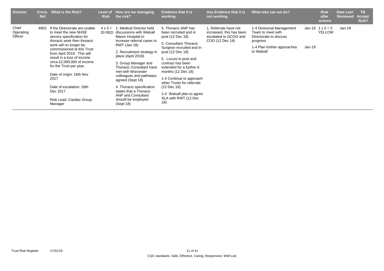| <b>Director</b>               | <b>Cross</b><br><b>Ref</b> | What is the Risk?                                                                                                                                                                   | <b>Risk</b>    | Level of How are we managing<br>the risk?                                                                                                                                        | <b>Evidence that it is</b><br>working.                                                                                                                                                                | Any Evidence that it is<br>not working.                                                       | What else can we do?                                                                 |        | <b>Risk</b><br>after<br>actions       | <b>Date Last</b><br><b>Reviewed</b> | TB.<br><b>Accept</b><br>Risk? |
|-------------------------------|----------------------------|-------------------------------------------------------------------------------------------------------------------------------------------------------------------------------------|----------------|----------------------------------------------------------------------------------------------------------------------------------------------------------------------------------|-------------------------------------------------------------------------------------------------------------------------------------------------------------------------------------------------------|-----------------------------------------------------------------------------------------------|--------------------------------------------------------------------------------------|--------|---------------------------------------|-------------------------------------|-------------------------------|
| Chief<br>Operating<br>Officer | 4903                       | If the Directorate are unable<br>to meet the new NHSE<br>service specification for<br>thoracic work then thoracic<br>work will no longer be                                         | $4 \times 5 =$ | Medical Director held<br>-1<br>20 RED discussions with Walsall<br>Manor Hospital to<br>increase referral cases to<br>RWT (Jan 18)                                                | 5. Thoracic ANP has<br>been recruited and in<br>post (12 Dec 18)<br>5. Consultant Thoracic                                                                                                            | 1. Referrals have not<br>increased, this has been<br>escalated to DCOO and<br>COO (12 Dec 18) | 1-4 Divisional Management<br>Team to meet with<br>Directorate to discuss<br>progress |        | $Jan-19$ 1 $x$ 5 = 5<br><b>YELLOW</b> | Jan-19                              |                               |
|                               |                            | commissioned at this Trust<br>from April 2019. This will<br>result in a loss of income<br>circa £2,000,000 of income<br>for the Trust per year.<br>Date of origin: 16th Nov<br>2017 |                | 2. Recruitment strategy in<br>place (April 2018)<br>3. Group Manager and<br><b>Thoracic Consultant have</b><br>met with Worcester<br>colleagues and pathways<br>agreed (Sept 18) | Surgeon recruited and in<br>post (12 Dec 18)<br>5. Locum in post and<br>contract has been<br>extended for a further 6<br>months (12 Dec 18)<br>1-4 Continue to approach<br>other Trusts for referrals |                                                                                               | 1-4 Plan further approaches<br>to Walsall                                            | Jan-19 |                                       |                                     |                               |
|                               |                            | Date of escalation: 18th<br>Dec 2017<br>Risk Lead: Cardiac Group<br>Manager                                                                                                         |                | 4. Thoracic specification<br>states that a Thoracic<br><b>ANP and Consultant</b><br>should be employed<br>(Sept 18)                                                              | (12 Dec 18)<br>1-4 Walsall plan to agree<br>SLA with RWT (12 Dec<br>(18)                                                                                                                              |                                                                                               |                                                                                      |        |                                       |                                     |                               |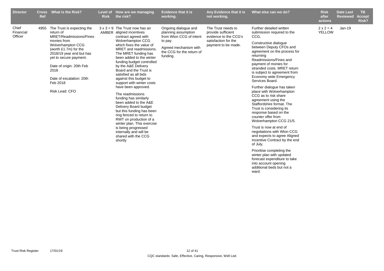| <b>Director</b>               | <b>Cross</b><br>Ref | What is the Risk?                                                                                                                                                                                                                                                                      | Level of<br><b>Risk</b> | How are we managing<br>the risk?                                                                                                                                                                                                                                                                                                                                                                                                                                                                                                                                                                                                                                                                                 | <b>Evidence that it is</b><br>working.                                                                                                              | Any Evidence that it is<br>not working.                                                                          | What else can we do?                                                                                                                                                                                                                                                                                                                                                                                                                                                                                                                                                                                                                                                                                                                         | <b>Risk</b><br>after<br>actions   | <b>Date Last</b><br><b>Reviewed</b> | <b>TB</b><br><b>Accept</b><br>Risk? |
|-------------------------------|---------------------|----------------------------------------------------------------------------------------------------------------------------------------------------------------------------------------------------------------------------------------------------------------------------------------|-------------------------|------------------------------------------------------------------------------------------------------------------------------------------------------------------------------------------------------------------------------------------------------------------------------------------------------------------------------------------------------------------------------------------------------------------------------------------------------------------------------------------------------------------------------------------------------------------------------------------------------------------------------------------------------------------------------------------------------------------|-----------------------------------------------------------------------------------------------------------------------------------------------------|------------------------------------------------------------------------------------------------------------------|----------------------------------------------------------------------------------------------------------------------------------------------------------------------------------------------------------------------------------------------------------------------------------------------------------------------------------------------------------------------------------------------------------------------------------------------------------------------------------------------------------------------------------------------------------------------------------------------------------------------------------------------------------------------------------------------------------------------------------------------|-----------------------------------|-------------------------------------|-------------------------------------|
| Chief<br>Financial<br>Officer | 4955                | The Trust is expecting the<br>return of<br>MRET/Readmissions/Fines<br>monies from<br>Wolverhampton CCG<br>(worth $£1.7m$ ) for the<br>2018/19 year end but has<br>yet to secure payment.<br>Date of origin: 20th Feb<br>2018<br>Date of escalation: 20th<br>Feb 2018<br>Risk Lead: CFO |                         | $3 \times 3 = 9$ The Trust now has an<br>AMBER aligned incentives<br>contract agreed with<br>Wolverhampton CCG<br>which fixes the value of<br>MRET and readmissions.<br>The MRET funding has<br>been added to the winter<br>funding budget controlled<br>by the A&E Delivery<br>Board and the Trust is<br>satisfied as all bids<br>against this budget to<br>support with winter costs<br>have been approved.<br>The readmissions<br>funding has similarly<br>been added to the A&E<br>Delivery Board budget<br>but this funding has been<br>ring fenced to return to<br>RWT on production of a<br>winter plan. This exercise<br>is being progressed<br>internally and will be<br>shared with the CCG<br>shortly | Ongoing dialogue and<br>planning assumption<br>from Wton CCG of intent<br>to pay.<br>Agreed mechanism with<br>the CCG for the return of<br>funding. | The Trust needs to<br>provide sufficient<br>evidence to the CCG's<br>satisfaction for the<br>payment to be made. | Further detailed written<br>submission required to the<br>CCG.<br>Constructive dialogue<br>between Deputy CFOs and<br>agreement on the process for<br>returning<br>Readmissions/Fines and<br>payment of monies for<br>stranded costs. MRET return<br>is subject to agreement from<br>Economy wide Emergency<br>Services Board.<br>Further dialogue has taken<br>place with Wolverhampton<br>CCG as to risk share<br>agreement using the<br>Staffordshire format. The<br>Trust is considering its<br>response based on the<br>counter offer from<br>Wolverhampton CCG 21/5.<br>Trust is now at end of<br>negotiations with Wton CCG<br>and expects to agree Aligned<br>Incentive Contract by the end<br>of July.<br>Prioritise completing the | $2 \times 2 = 4$<br><b>YELLOW</b> | $Jan-19$                            |                                     |

winter plan with updated forecast expenditure to take into account opening additional beds but not a ward.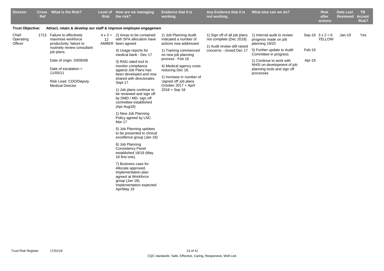| <b>Director</b>               | Cross<br>Ref | What is the Risk?                                                                                                                                                                                                                                | <b>Risk</b> | Level of How are we managing<br>the risk?                                                                                                                                                                                                                                                                                                                                                                                                                                                                                                                                                                                                                                                                                                                                                                       | Evidence that it is<br>working.                                                                                                                                                                                                                                                             | Any Evidence that it is<br>not working.                                                                             | What else can we do?                                                                                                                                                                                                                |                  | <b>Risk</b><br>after<br>actions | <b>Date Last</b><br><b>Reviewed</b> | TB.<br><b>Accept</b><br>Risk? |
|-------------------------------|--------------|--------------------------------------------------------------------------------------------------------------------------------------------------------------------------------------------------------------------------------------------------|-------------|-----------------------------------------------------------------------------------------------------------------------------------------------------------------------------------------------------------------------------------------------------------------------------------------------------------------------------------------------------------------------------------------------------------------------------------------------------------------------------------------------------------------------------------------------------------------------------------------------------------------------------------------------------------------------------------------------------------------------------------------------------------------------------------------------------------------|---------------------------------------------------------------------------------------------------------------------------------------------------------------------------------------------------------------------------------------------------------------------------------------------|---------------------------------------------------------------------------------------------------------------------|-------------------------------------------------------------------------------------------------------------------------------------------------------------------------------------------------------------------------------------|------------------|---------------------------------|-------------------------------------|-------------------------------|
| <b>Trust Objective:</b>       |              | Attract, retain & develop our staff & improve employee engagemen                                                                                                                                                                                 |             |                                                                                                                                                                                                                                                                                                                                                                                                                                                                                                                                                                                                                                                                                                                                                                                                                 |                                                                                                                                                                                                                                                                                             |                                                                                                                     |                                                                                                                                                                                                                                     |                  |                                 |                                     |                               |
| Chief<br>Operating<br>Officer |              | 1713 Failure to effectively<br>maximise workforce<br>productivity; failure to<br>routinely review consultant<br>job plans.<br>Date of origin: 03/06/08<br>Date of escalation $=$<br>11/05/11<br>Risk Lead: COO/Deputy<br><b>Medical Director</b> | 12          | $4 \times 3 = 2$ ) Areas to be contained<br>with SPA allocation have<br>AMBER been agreed<br>4) Usage reports for<br>medical bank - Dec 17<br>3) RAG rated tool to<br>monitor compliance<br>against Job Plans has<br>been developed and now<br>shared with directorates<br>Sept 17.<br>1) Job plans continue to<br>be reviewed and sign off<br>by DMD / MD- sign off<br>committee established<br>(Apr-Aug18)<br>1) New Job Planning<br>Policy agreed by LNC<br>Mar 17<br>5) Job Planning updates<br>to be presented to clinical<br>excellence group (Jan 18)<br>6) Job Planning<br><b>Consistency Panel</b><br>established 18/19 (May<br>18 first one).<br>7) Business case for<br>Allocate approved.<br>Implementation plan<br>agreed at Workforce<br>group (Jan 18).<br>Implementation expected<br>Apr/May 19 | 1) Job Planning Audit<br>indicated a number of<br>actions now addressed<br>1) Training commenced<br>on new job planning<br>process - Feb 16<br>4) Medical agency costs<br>reducing Dec 18.<br>1) Increase in number of<br>'signed off' job plans<br>October 2017 + April<br>$2018 +$ Sep 18 | 1) Sign off of all job plans<br>not complete (Dec 2018)<br>1) Audit review still raised<br>concerns - closed Dec 17 | 1) Internal audit to review<br>progress made on job<br>planning 19/20<br>5) Further update to Audit<br>Committee in progress.<br>1) Continue to work with<br>NHSI on development of job<br>planning tools and sign off<br>processes | Feb-19<br>Apr-19 | Sep-19 $3x2=6$<br><b>YELLOW</b> | $Jan-19$                            | Yes                           |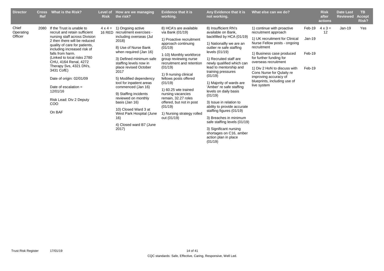| <b>Director</b>               | <b>Cross</b><br><b>Ref</b> | What is the Risk?                                                                                                                                                                                                                                                                                                                                                                                                              | Level of<br><b>Risk</b> | How are we managing<br>the risk?                                                                                                                                                                                                                                                                                                                                                                                                                                                             | <b>Evidence that it is</b><br>working.                                                                                                                                                                                                                                                                                                                                                                                    | Any Evidence that it is<br>not working.                                                                                                                                                                                                                                                                                                                                                                                                                                                                                                                                                      | What else can we do?                                                                                                                                                                                                                                                                                                                                     |                                        | <b>Risk</b><br>after<br>actions | <b>Date Last</b><br><b>Reviewed</b> | TB.<br><b>Accept</b><br>Risk? |
|-------------------------------|----------------------------|--------------------------------------------------------------------------------------------------------------------------------------------------------------------------------------------------------------------------------------------------------------------------------------------------------------------------------------------------------------------------------------------------------------------------------|-------------------------|----------------------------------------------------------------------------------------------------------------------------------------------------------------------------------------------------------------------------------------------------------------------------------------------------------------------------------------------------------------------------------------------------------------------------------------------------------------------------------------------|---------------------------------------------------------------------------------------------------------------------------------------------------------------------------------------------------------------------------------------------------------------------------------------------------------------------------------------------------------------------------------------------------------------------------|----------------------------------------------------------------------------------------------------------------------------------------------------------------------------------------------------------------------------------------------------------------------------------------------------------------------------------------------------------------------------------------------------------------------------------------------------------------------------------------------------------------------------------------------------------------------------------------------|----------------------------------------------------------------------------------------------------------------------------------------------------------------------------------------------------------------------------------------------------------------------------------------------------------------------------------------------------------|----------------------------------------|---------------------------------|-------------------------------------|-------------------------------|
| Chief<br>Operating<br>Officer | 2080                       | If the Trust is unable to<br>recruit and retain sufficient<br>nursing staff across Division<br>2 then there will be reduced<br>quality of care for patients,<br>including increased risk of<br>falls from harm.<br>(Linked to local risks 2780<br>CHU, 4164 Renal, 4272<br>Therapy Svs, 4321 DN's,<br>3431 CofE)<br>Date of origin: 02/01/09<br>Date of escalation $=$<br>12/01/16<br>Risk Lead: Div 2 Deputy<br>COO<br>On BAF |                         | $4 \times 4 = 1$ ) Ongoing active<br>16 RED recruitment exercises -<br>including overseas (Jul<br>2018)<br>8) Use of Nurse Bank<br>when required (Jan 16)<br>3) Defined minimum safe<br>staffing levels now in<br>place revised October<br>2017<br>5) Modified dependency<br>tool for inpatient areas<br>commenced (Jan 16)<br>9) Staffing incidents<br>reviewed on monthly<br>basis (Jan 16)<br>10) Closed Ward 3 at<br>West Park Hospital (June<br>16)<br>4) Closed ward B7 (June<br>2017) | 8) HCA's are available<br>via Bank (01/19)<br>1) Proactive recruitment<br>approach continuing<br>(01/19)<br>1-10) Monthly workforce<br>group reviewing nurse<br>recruitment and retention<br>(01/19)<br>1) 9 nursing clinical<br>fellows posts offered<br>(01/19)<br>1) 60.25 wte trained<br>nursing vacancies<br>remain, 32.27 roles<br>offered, but not in post<br>(01/19)<br>1) Nursing strategy rolled<br>out (01/19) | 8) Insufficient RN's<br>available on Bank,<br>backfilled by HCA (01/19)<br>1) Nationallly we are an<br>outlier re safe staffing<br>levels (01/19)<br>1) Recruited staff are<br>newly qualified which can<br>lead to mentorship and<br>training pressures<br>(01/19)<br>1) Majority of wards are<br>'Amber' re safe staffing<br>levels on daily basis<br>(01/19)<br>3) Issue in relation to<br>ability to provide accurate<br>staffing figures (01/19)<br>3) Breaches in minimum<br>safe staffing levels (01/19)<br>3) Significant nursing<br>shortages on C16, amber<br>action plan in place | 1) continue with proactive<br>recruitment approach<br>1) UK recruitment for Clinical<br>Nurse Fellow posts - ongoing<br>recruitment<br>1) Business case produced<br>for further funding for<br>overseas recruitment<br>1) Div 2 HoN to discuss with<br>Cons Nurse for Qulaity re<br>improving accuracy of<br>blueprints, including use of<br>live system | Feb-19<br>$Jan-19$<br>Feb-19<br>Feb-19 | $4 \times 3 =$<br>12            | $Jan-19$                            | Yes                           |
|                               |                            |                                                                                                                                                                                                                                                                                                                                                                                                                                |                         |                                                                                                                                                                                                                                                                                                                                                                                                                                                                                              |                                                                                                                                                                                                                                                                                                                                                                                                                           | (01/19)                                                                                                                                                                                                                                                                                                                                                                                                                                                                                                                                                                                      |                                                                                                                                                                                                                                                                                                                                                          |                                        |                                 |                                     |                               |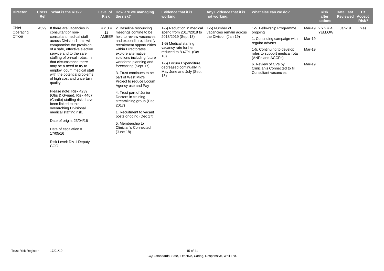| <b>Director</b>               | <b>Cross</b><br><b>Ref</b> | What is the Risk?                                                                                                                                                                                                                                                                                                                                                                                                                                                                                                                                                                                                                                                       | <b>Risk</b>          | Level of How are we managing<br>the risk?                                                                                                                                                                                                                                                                                                                                                                                                                                                                                                                                                  | <b>Evidence that it is</b><br>working.                                                                                                                                                                                                               | Any Evidence that it is<br>not working.                            | What else can we do?                                                                                                                                                                                                                                      |                            | <b>Risk</b><br>after<br>actions          | <b>Date Last</b><br><b>Reviewed</b> | <b>TB</b><br><b>Accept</b><br>Risk? |
|-------------------------------|----------------------------|-------------------------------------------------------------------------------------------------------------------------------------------------------------------------------------------------------------------------------------------------------------------------------------------------------------------------------------------------------------------------------------------------------------------------------------------------------------------------------------------------------------------------------------------------------------------------------------------------------------------------------------------------------------------------|----------------------|--------------------------------------------------------------------------------------------------------------------------------------------------------------------------------------------------------------------------------------------------------------------------------------------------------------------------------------------------------------------------------------------------------------------------------------------------------------------------------------------------------------------------------------------------------------------------------------------|------------------------------------------------------------------------------------------------------------------------------------------------------------------------------------------------------------------------------------------------------|--------------------------------------------------------------------|-----------------------------------------------------------------------------------------------------------------------------------------------------------------------------------------------------------------------------------------------------------|----------------------------|------------------------------------------|-------------------------------------|-------------------------------------|
| Chief<br>Operating<br>Officer | 4529                       | If there are vacancies in<br>consultant or non-<br>consultant medical staff<br>across Division 1, this will<br>compromise the provision<br>of a safe, effective elective<br>service and to the safe<br>staffing of on-call rotas. In<br>that circumstance there<br>may be a need to try to<br>employ locum medical staff<br>with the potential problems<br>of high cost and uncertain<br>quality.<br>Please note: Risk 4239<br>(Obs & Gynae), Risk 4467<br>(Cardio) staffing risks have<br>been linked to this<br>overarching Divisional<br>medical staffing risk.<br>Date of origin: 23/04/16<br>Date of escalation $=$<br>17/05/16<br>Risk Level: Div 1 Deputy<br>COO | $4 \times 3 =$<br>12 | 2. Baseline resourcing<br>meetings contine to be<br>AMBER held to review vacancies<br>and expenditure, identify<br>recruitment opportunities<br>within Directorates<br>explore alternative<br>solutions including future<br>workforce planning and<br>forecasting (Sept 17)<br>3. Trust continues to be<br>part of West Mid's<br>Project to reduce Locum<br>Agency use and Pay<br>4. Trust part of Junior<br>Doctors in-training<br>streamlining group (Dec<br>2017)<br>1. Recuitment to vacant<br>posts ongoing (Dec 17)<br>5. Membership to<br><b>Clinician's Connected</b><br>(June 18) | 1-5) Reduction in medical<br>spend from 2017/2018 to<br>2018/2019 (Sept 18)<br>1-5) Medical staffing<br>vacancy rate further<br>reduced to 8.47% (Oct<br>18)<br>1-5) Locum Expenditure<br>decreased continually in<br>May June and July (Sept<br>18) | 1-5) Number of<br>vacancies remain across<br>the Division (Jan 19) | 1-5. Fellowship Programme<br>ongoing<br>1. Continuing campaign with<br>regular adverts<br>1-5. Continuing to develop<br>roles to support medical rota<br>(ANPs and ACCPs)<br>6. Review of CVs by<br>Clinician's Connected to fill<br>Consultant vacancies | Mar-19<br>Mar-19<br>Mar-19 | Mar-19 $2 \times 2 = 4$<br><b>YELLOW</b> | $Jan-19$                            | Yes                                 |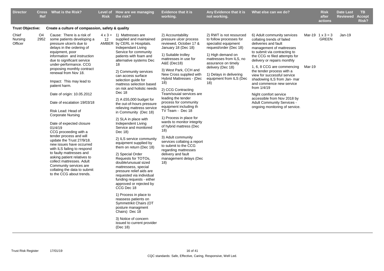| <b>Director</b>             | <b>Cross</b><br><b>Ref</b> | <b>What is the Risk?</b>                                                                                                                                                                                                                                                                                                                                                                                                                                                                                                                                                                                                                                                                                                                                                                                     | <b>Risk</b> | Level of How are we managing<br>the risk?                                                                                                                                                                                                                                                                                                                                                                                                                                                                                                                                                                                                                                                                                                                                                                                                                                                                                                                                                                                                      | <b>Evidence that it is</b><br>working.                                                                                                                                                                                                                                                                                                                                                                                                                                                                                                                                                                                                                    | Any Evidence that it is<br>not working.                                                                                                                                                                                                                       | What else can we do?                                                                                                                                                                                                                                                                                                                                                                                                                                                                                               |        | <b>Risk</b><br>after<br>actions         | <b>Date Last</b><br><b>Reviewed</b> | <b>TB</b><br><b>Accept</b><br>Risk? |
|-----------------------------|----------------------------|--------------------------------------------------------------------------------------------------------------------------------------------------------------------------------------------------------------------------------------------------------------------------------------------------------------------------------------------------------------------------------------------------------------------------------------------------------------------------------------------------------------------------------------------------------------------------------------------------------------------------------------------------------------------------------------------------------------------------------------------------------------------------------------------------------------|-------------|------------------------------------------------------------------------------------------------------------------------------------------------------------------------------------------------------------------------------------------------------------------------------------------------------------------------------------------------------------------------------------------------------------------------------------------------------------------------------------------------------------------------------------------------------------------------------------------------------------------------------------------------------------------------------------------------------------------------------------------------------------------------------------------------------------------------------------------------------------------------------------------------------------------------------------------------------------------------------------------------------------------------------------------------|-----------------------------------------------------------------------------------------------------------------------------------------------------------------------------------------------------------------------------------------------------------------------------------------------------------------------------------------------------------------------------------------------------------------------------------------------------------------------------------------------------------------------------------------------------------------------------------------------------------------------------------------------------------|---------------------------------------------------------------------------------------------------------------------------------------------------------------------------------------------------------------------------------------------------------------|--------------------------------------------------------------------------------------------------------------------------------------------------------------------------------------------------------------------------------------------------------------------------------------------------------------------------------------------------------------------------------------------------------------------------------------------------------------------------------------------------------------------|--------|-----------------------------------------|-------------------------------------|-------------------------------------|
| <b>Trust Objective:</b>     |                            | Create a culture of compassion, safety & quality                                                                                                                                                                                                                                                                                                                                                                                                                                                                                                                                                                                                                                                                                                                                                             |             |                                                                                                                                                                                                                                                                                                                                                                                                                                                                                                                                                                                                                                                                                                                                                                                                                                                                                                                                                                                                                                                |                                                                                                                                                                                                                                                                                                                                                                                                                                                                                                                                                                                                                                                           |                                                                                                                                                                                                                                                               |                                                                                                                                                                                                                                                                                                                                                                                                                                                                                                                    |        |                                         |                                     |                                     |
| Chief<br>Nursing<br>Officer | O4<br>2952                 | Cause: There is a risk of<br>some patients developing a<br>pressure ulcer/s due to<br>delays in the ordering of<br>equipment, poor<br>information and instruction<br>due to significant service<br>under-performance. CCG<br>proposing monthly contract<br>renewal from Nov 18.<br>Impact: This may lead to<br>patient harm.<br>Date of origin: 10.05.2012<br>Date of escalation 19/03/18<br>Risk Lead: Head of<br><b>Corporate Nursing</b><br>Date of expected closure<br>01/4/19<br>CCG proceeding with a<br>tender process and will<br>update the Trust 27/9/18.<br>new issues have occurred<br>with ILS failing to respond<br>to faulty mattresses and<br>asking patient relatives to<br>collect mattresses. Adult<br>Community services are<br>collating the data to submit<br>to the CCG about trends. | 12          | $4 \times 3 = 1$ ) Mattresses are<br>supplied and maintained<br>AMBER by CERL in Hospitals.<br>Independant Living<br>Service for community<br>patients with foam and<br>alternative systems Dec<br>18<br>2) Community services<br>can access surface<br>selection guide for<br>mattress selection based<br>on risk and holistic needs<br>Dec 18<br>2) A £55,000 budget for<br>the out-of-hours pressure<br>relieving mattress service<br>in Community (Dec 18)<br>2) SLA in place with<br>Independent Living<br>Service and monitored<br>Dec 18)<br>2) ILS service community<br>equipment supplied by<br>them on return (Dec 18)<br>2) Special Order<br>Requests for TOTOs,<br>double/unusual sized<br>mattressess, special<br>pressure relief aids are<br>requested via individual<br>funding requests - either<br>approved or rejected by<br>CCG Dec 18<br>1) Process in place to<br>reassess patients on<br>Symmetrikit Chairs (OT<br>posture managment<br>Chairs) Dec 18<br>3) Notice of concern<br>issued to current provider<br>(Dec 18) | 2) Accountability<br>pressure ulcer process<br>reviewed, October 17 &<br>January 18 (Dec 18)<br>1) Suitable trolley<br>mattresses in use for<br>A&E (Dec18)<br>3) West Park, CCH and<br>New Cross supplied with<br>Hybrid Mattresses - (Dec<br>18)<br>2) CCG Contracting<br>Team/souial services are<br>leading the tender<br>process for community<br>equipment including th<br>TV Team - Dec 18<br>1) Process in place for<br>wards to monitor integrity<br>of hybrid mattress (Dec<br>18)<br>3) Adult community<br>services collating a report<br>to submit to the CCG<br>regarding mattresses<br>delivery and fault<br>management delays (Dec<br>(18) | 2) RWT is not resourced<br>to follow processes for<br>specialist equipment<br>request/order (Dec 18)<br>1) High demand on<br>mattresses from ILS, no<br>assurance on timely<br>delivery (Dec 18)<br>1) Delays in delivering<br>equipment from ILS (Dec<br>18) | 6) Adult community services<br>collating trends of failed<br>deliveries and fault<br>management of mattresses<br>to submit via contracting to<br>the CCG re filed attempts for<br>delivery or repairs monthly<br>1, 6, 8 CCG are commencing<br>the tender process with a<br>view for successful service<br>shadowing ILS from Jan- mar<br>and commence new service<br>from $1/4/19$<br>Night comfort service<br>accessible from Nov 2018 by<br><b>Adult Community Services -</b><br>ongoing monitoring of service. | Mar-19 | Mar-19 $1 \times 3 = 3$<br><b>GREEN</b> | $Jan-19$                            |                                     |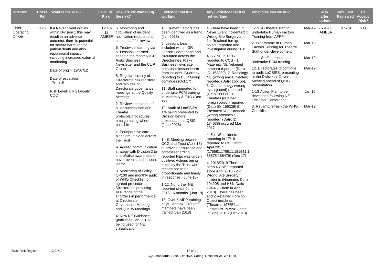| <b>Director</b>               | <b>Ref</b> | Cross What is the Risk?                                                                                                                                                                                                                                                                                                                                | <b>Risk</b>       | Level of How are we managing<br>the risk?                                                                                                                                                                                                                                                                                                                                                                                                                                                                                                                                                                                                                                                                                                                                                                                                                                                                                                                                                                                                                         | <b>Evidence that it is</b><br>working.                                                                                                                                                                                                                                                                                                                                                                                                                                                                                                                                                                                                                                                                                                                                                                                                                                                                                                                                           | Any Evidence that it is<br>not working.                                                                                                                                                                                                                                                                                                                                                                                                                                                                                                                                                                                                                                                                                                                                                                                                                                                                                                                                                                                                                                                           | What else can we do?                                                                                                                                                                                                                                                                                                                                                                                                                                                                        |                                                | <b>Risk</b><br>after<br>actions  | <b>Date Last</b><br><b>Reviewed</b> | TB.<br><b>Accept</b><br>Risk? |
|-------------------------------|------------|--------------------------------------------------------------------------------------------------------------------------------------------------------------------------------------------------------------------------------------------------------------------------------------------------------------------------------------------------------|-------------------|-------------------------------------------------------------------------------------------------------------------------------------------------------------------------------------------------------------------------------------------------------------------------------------------------------------------------------------------------------------------------------------------------------------------------------------------------------------------------------------------------------------------------------------------------------------------------------------------------------------------------------------------------------------------------------------------------------------------------------------------------------------------------------------------------------------------------------------------------------------------------------------------------------------------------------------------------------------------------------------------------------------------------------------------------------------------|----------------------------------------------------------------------------------------------------------------------------------------------------------------------------------------------------------------------------------------------------------------------------------------------------------------------------------------------------------------------------------------------------------------------------------------------------------------------------------------------------------------------------------------------------------------------------------------------------------------------------------------------------------------------------------------------------------------------------------------------------------------------------------------------------------------------------------------------------------------------------------------------------------------------------------------------------------------------------------|---------------------------------------------------------------------------------------------------------------------------------------------------------------------------------------------------------------------------------------------------------------------------------------------------------------------------------------------------------------------------------------------------------------------------------------------------------------------------------------------------------------------------------------------------------------------------------------------------------------------------------------------------------------------------------------------------------------------------------------------------------------------------------------------------------------------------------------------------------------------------------------------------------------------------------------------------------------------------------------------------------------------------------------------------------------------------------------------------|---------------------------------------------------------------------------------------------------------------------------------------------------------------------------------------------------------------------------------------------------------------------------------------------------------------------------------------------------------------------------------------------------------------------------------------------------------------------------------------------|------------------------------------------------|----------------------------------|-------------------------------------|-------------------------------|
| Chief<br>Operating<br>Officer |            | 3069 If a Never Event occurs<br>within Division 1 this may<br>result in an adverse<br>outcome, there is potential<br>for severe harm and/or<br>patient death and also<br>reputational impact<br>including increased external<br>monitoring<br>Date of origin: 19/07/12<br>Date of escalation $=$<br>17/11/15<br>Risk Level: Div 1 Deputy<br><b>COO</b> | $12 \overline{ }$ | $3 \times 4 = 5$ . Monitoring and<br>circulation of incident<br>AMBER notification reports to all<br>senior staff for review<br>6. Trustwide learning via<br>a "Lessons Learned"<br>sheet in the monthly IGR,<br><b>Risky Business</b><br>Newsletter and the CLIP<br>Group.<br>8. Regular scrutiny of<br>Directorate risk registers<br>and minutes of<br>Directorate governance<br>meetings at the Quality<br>Meetings<br>2. Review completed of<br>all documentation and<br>Theatre<br>protocols/procedures<br>amalgamating where<br>possible<br>1. Perioperative care<br>plans are in place across<br>the Trust<br>9. Agreed communication<br>strategy with Division 2 to<br>share/raise awareness of<br>never events and lessons<br>learnt<br>3. Monitoring of Policy<br>OP100 and monthly audit<br>of WHO Checklist for<br>agreed procedures.<br>Directorates providing<br>assurance of the<br>shortfalls in performance<br>at Directorate<br>Governance Meetings<br>and Quality Meetings.<br>4. New NE Guidance<br>(published Jan 2018)<br>being used for NE | 10. Human Factors has<br>been identified as a trend<br>(Jan 2018)<br>6. Lessons Learnt<br>included within IGR<br>Lesson Learnt page and<br>circulated across the<br>Directorates. Risky<br><b>Business newsletter</b><br>contained lesson learnt<br>from incident. Quarterly<br>reporting to CLIP Group<br>continues (Oct 17)<br>11. Staff supported to<br>undertake PCM training<br>in Maternity & T&O (Dec<br>17)<br>12. Audit of LocSSIPs<br>are being presented to<br>Division before<br>presentation at QSIG<br>(June 2018)<br>1 - 8. Meeting between<br>CCG and Trust (April 18)<br>to provide assurance and<br>context regarding<br>reported NEs was largely<br>positive. Actions being<br>taken by the Trust were<br>recognised to be<br>proportionate and timely<br>in response. (June 18)<br>1-12. No further NE<br>reported since June<br>2018 - 6 months (Jan 19)<br>13. Over 5 AfPP training<br>days - approx. 240 staff<br>members have been<br>trained (Jan 2018) | 4. There have been 3 x<br>Never Event incidents 2 x<br>Wrong Site Surgery and<br>1 x Retained foreign<br>object) reported and<br>investigated during 2015<br>4. 5 x NE in 16/17<br>reported to CCG - 1.<br>Maternity NE (retained<br>tampon) reported (Datix<br>ID: 158830), 2. Radiology<br>NE (wrong ankle injected)<br>reported (Datix 165455),<br>3. Opthalmology (wrong<br>eye injected) reported<br>(Datix 166680) 4.<br>Theatres (retained<br>foreign object) reported<br>(Datix ID: 169339) 5.<br>Theatres/T&O Cannock<br>(wrong prosthesis)<br>reported (Datix ID:<br>174038) occured Mar<br>2017<br>4.5 x NE incidents<br>reporting in 17/18<br>reported to CCG from<br>April 2017<br>(175581,179911,181941,1<br>85875 186479) (Dec 17)<br>4. 2018/2019 There has<br>been 4 x NEs reported<br>since April 2018 - 2 x<br><b>Wrong Site Surgery</b><br>incidents (Neonates Datix<br>194205 and H&N Datix<br>194977 - both in April<br>2018). There has been<br>and 2 Retained Foreign<br>Object incidents<br>(Theatres 197654 and<br>Obstetrics 197996 - both<br>in June 2018) (Oct 2018) | 1-13. All theatre staff to<br>undertake Human Factors<br>Training from AFPP<br>2. Programme of Human<br><b>Factors Training for Theatre</b><br>Staff under-development<br>1-11. Staff continue to<br>undertake PCM training<br>12. Directorates to continue<br>to audit LoCSIPS, presenting<br>at the Divisional Governance<br>Meeting ahead of QSIG<br>presentation<br>1-13 Action Plan to be<br>developed following NE<br>Leicester Conference<br>3. Revamp/refresh the WHO<br>Checklists | Mar-19<br>Mar-19<br>Mar-19<br>Jan-19<br>Mar-19 | Mar-19 $2 \times 4 = 8$<br>AMBER | Jan-19                              | Yes                           |
|                               |            |                                                                                                                                                                                                                                                                                                                                                        |                   | classification                                                                                                                                                                                                                                                                                                                                                                                                                                                                                                                                                                                                                                                                                                                                                                                                                                                                                                                                                                                                                                                    |                                                                                                                                                                                                                                                                                                                                                                                                                                                                                                                                                                                                                                                                                                                                                                                                                                                                                                                                                                                  |                                                                                                                                                                                                                                                                                                                                                                                                                                                                                                                                                                                                                                                                                                                                                                                                                                                                                                                                                                                                                                                                                                   |                                                                                                                                                                                                                                                                                                                                                                                                                                                                                             |                                                |                                  |                                     |                               |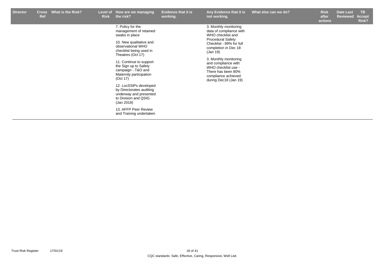| <b>Director</b> | <b>Cross</b><br><b>Ref</b> | What is the Risk? | <b>Risk</b> | Level of How are we managing<br>the risk?                                                                                                                                                                                                                                                                                                                                                                                                               | <b>Evidence that it is</b><br>working. | Any Evidence that it is<br>not working.                                                                                                                                                                                                                                                                        | What else can we do? | <b>Risk</b><br>after<br>actions | <b>Date Last</b><br>Reviewed | <b>TB</b><br>Accept<br>Risk? |
|-----------------|----------------------------|-------------------|-------------|---------------------------------------------------------------------------------------------------------------------------------------------------------------------------------------------------------------------------------------------------------------------------------------------------------------------------------------------------------------------------------------------------------------------------------------------------------|----------------------------------------|----------------------------------------------------------------------------------------------------------------------------------------------------------------------------------------------------------------------------------------------------------------------------------------------------------------|----------------------|---------------------------------|------------------------------|------------------------------|
|                 |                            |                   |             | 7. Policy for the<br>management of retained<br>swabs in place<br>10. New qualitative and<br>observational WHO<br>checklist being used in<br>Theatres (Oct 17)<br>11. Continue to support<br>the Sign up to Safety<br>campaign - T&O and<br>Maternity participation<br>(Oct 17)<br>12. LocSSIPs developed<br>by Directorates auditing<br>underway and presented<br>to Division and QSIG<br>(Jan 2018)<br>13. AFFP Peer Review<br>and Training undertaken |                                        | 3. Monthly monitoring<br>data of compliance with<br>WHO checklist and<br><b>Procedural Safety</b><br>Checklist - 89% for full<br>completion in Dec 18<br>(Jan 19)<br>3. Monthly monitoring<br>and compliance with<br>WHO checklist use -<br>There has been 80%<br>compliance achieved<br>during Dec18 (Jan 19) |                      |                                 |                              |                              |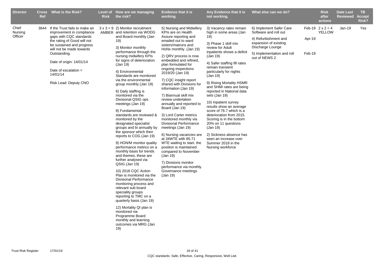| <b>Director</b>             | <b>Ref</b> | Cross What is the Risk?                                                                                                                                                                                                                                                                       | <b>Risk</b> | Level of How are we managing<br>the risk?                                                                                                                                                                                                                                                                                                                                                                                                                                                                                                                                                                                                                                                                                                                                                                                                                                                                                                                                                                                                                                                          | <b>Evidence that it is</b><br>working.                                                                                                                                                                                                                                                                                                                                                                                                                                                                                                                                                                                                                                                                                                                                                    | Any Evidence that it is<br>not working.                                                                                                                                                                                                                                                                                                                                                                                                                                                                                                                                                                                   | What else can we do?                                                                                                                                                 |                  | <b>Risk</b><br>after<br>actions          | <b>Date Last</b><br><b>Reviewed</b> | TB.<br><b>Accept</b><br>Risk? |
|-----------------------------|------------|-----------------------------------------------------------------------------------------------------------------------------------------------------------------------------------------------------------------------------------------------------------------------------------------------|-------------|----------------------------------------------------------------------------------------------------------------------------------------------------------------------------------------------------------------------------------------------------------------------------------------------------------------------------------------------------------------------------------------------------------------------------------------------------------------------------------------------------------------------------------------------------------------------------------------------------------------------------------------------------------------------------------------------------------------------------------------------------------------------------------------------------------------------------------------------------------------------------------------------------------------------------------------------------------------------------------------------------------------------------------------------------------------------------------------------------|-------------------------------------------------------------------------------------------------------------------------------------------------------------------------------------------------------------------------------------------------------------------------------------------------------------------------------------------------------------------------------------------------------------------------------------------------------------------------------------------------------------------------------------------------------------------------------------------------------------------------------------------------------------------------------------------------------------------------------------------------------------------------------------------|---------------------------------------------------------------------------------------------------------------------------------------------------------------------------------------------------------------------------------------------------------------------------------------------------------------------------------------------------------------------------------------------------------------------------------------------------------------------------------------------------------------------------------------------------------------------------------------------------------------------------|----------------------------------------------------------------------------------------------------------------------------------------------------------------------|------------------|------------------------------------------|-------------------------------------|-------------------------------|
| Chief<br>Nursing<br>Officer |            | 3644 If the Trust fails to make an<br>improvement in compliance<br>gaps with CQC standards<br>the rating of Good will not<br>be sustained and progress<br>will not be made towards<br>Outstanding.<br>Date of origin: 14/01/14<br>Date of escalation $=$<br>14/01/14<br>Risk Lead: Deputy CNO |             | $3 \times 3 = 9$ 2) Monitor recruitment<br>AMBER and retention via WODG<br>and Board monthly (Jan<br>19)<br>3) Monitor monthly<br>performance through the<br>nursing midwifery KPIs<br>for signs of deterioration<br>(Jan 19)<br>4) Environmental<br>Standards are monitored<br>via the environmental<br>group monthly (Jan 19)<br>6) Daily staffing is<br>monitored via the<br>Divisional QSIG ops<br>meetings (Jan 19)<br>8) Fundamental<br>standards are reviewed &<br>monitored by the<br>designated specialist<br>groups and bi annually by<br>the sponsor which then<br>reports to COG (Jan 19)<br>9) HON/M monitor quality<br>performance metrics on a<br>monthly basis for trends<br>and themes, these are<br>further analysed via<br>QSIG (Jan 19)<br>10) 2018 CQC Action<br>Plan is monitored via the<br><b>Divisional Performance</b><br>monitoring process and<br>relevant sub board<br>speciality groups<br>reporting to TMC on a<br>quarterly basis (Jan 19)<br>12) Mortality QI plan is<br>monitored via<br>Programme Board<br>monthly and learning<br>outcomes via MRG (Jan<br>19) | 5) Nursing and Midwifery<br>KPIs are on Health<br>Assure reporting and<br>emailed out to ward<br>sisters/matrons and<br>HoNs monthly. (Jan 19)<br>2) QRV process is now<br>embedded and refined,<br>plan formulated for<br>ongoing inspections<br>2019/20 (Jan 19)<br>7) CQC insight report<br>shared with Divisions for<br>information (Jan 19)<br>7) Biannual skill mix<br>review undertaken<br>annually and reported to<br>Board (Jan 19)<br>3) Lord Carter metrics<br>monitored monthly via<br><b>Divisional Performance</b><br>meetings (Jan 19)<br>6) Nursing vacancies are<br>at 34WTE with 85.71<br>WTE waiting to start. the<br>posiiton is maintained<br>compared to November<br>(Jan 19)<br>7) Divisions monitor<br>performance via monthly<br>Governance meetings<br>(Jan 19) | 3) Vacancy rates remain<br>high in some areas (Jan<br>19)<br>3) Phase 1 skill mix<br>review for Adult<br>inpatients shows a deficit<br>(Jan 19)<br>4) Safer staffing fill rates<br>remain transient<br>particularly for nights<br>(Jan 19)<br>9) Rising Mortality HSMR<br>and SHMI rates are being<br>reported in National data<br>sets (Jan 19)<br>10) Inpatient survey<br>results show an average<br>score of 76.7 which is a<br>deterioration from 2015.<br>Scoring is in the bottom<br>20% on 11 questions<br>(Jan 19)<br>2) Sickness absence has<br>seen an increase over<br>Summer 2018 in the<br>Nursing workforce | 6) Implement Safer Care<br>Software and roll out<br>4) Refurbishment and<br>expansion of existing<br>Discharge Lounge<br>5) Implementation and roll<br>out of NEWS 2 | Apr-19<br>Feb-19 | Feb-19 $2 \times 2 = 4$<br><b>YELLOW</b> | Jan-19                              | Yes                           |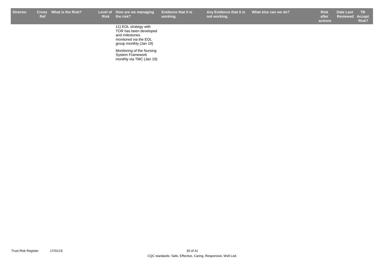r Cross What is the Risk? Level of How are we managing Evidence that it is Any Evidence that it is What else can we do? Risk Date Last TB **not working.**

**Risk after actions Date Last Reviewed Accept Risk?**

11) EOL strategy with TOR has been developed and milestones monitored via the EOL group monthly (Jan 19)

Monitoring of the Nursing System Framework monthly via TMC (Jan 19)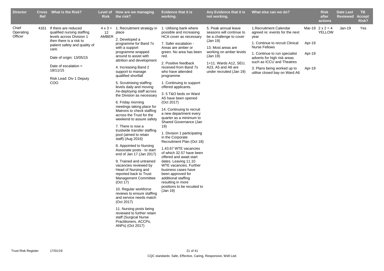| Chief<br>Mar-19 $2 \times 2 = 4$<br>4161<br>If there are reduced<br>$4 \times 3 = 1$ . Recruitment strategy in<br>1. Utilising bank where<br>5. Peak annual leave<br>1. Recruitment Calendar<br>$Jan-19$<br>Yes<br>Operating<br>qualified nursing staffing<br>possible and increasing<br>seasons will continue to<br><b>YELLOW</b><br>12<br>place<br>agreed re: events for the next<br>Officer<br>levels across Division 1<br>AMBER<br>HCA cover as necessary<br>be a challenge to cover<br>year<br>2. Developed a<br>then there is a risk to<br>(Jan 19)<br>1. Continue to recruit Clinical<br>Apr-19<br>7. Safer escalation -<br>programme for Band 7s<br>patient safety and quality of<br><b>Nurse Fellows</b><br>Areas are amber or<br>13. Most areas are<br>with a support<br>care.<br>programme wrapped<br>green. No area has been<br>working on amber levels<br>1. Continue to run specialist<br>Apr-19<br>around to assist with<br>(Jan 19)<br>red.<br>Date of origin: 13/05/15<br>adverts for high risk areas<br>attrition and development<br>such as ICCU and Theatres<br>2. Positive feedback<br>1+11. Wards A12, SEU,<br>Date of escalation $=$<br>4. Increasing Band 2<br>received from Band 7s<br>A23, A5 and A6 are<br>3. Plans being worked up to<br>Apr-19<br>18/11/15<br>support to manage<br>who have attended<br>under recruited (Jan 19)<br>utilise closed bay on Ward A6<br>qualified shortfall<br>programme<br>Risk Lead: Div 1 Deputy<br>COO<br>5. Scrutinising staffing<br>1. Continuing to support<br>levels daily and moving<br>offered applicants.<br>/re-deploying staff across<br>3.5 T&O beds on Ward<br>the Division as necessary<br>A5 have been opened<br>6. Friday morning<br>(Oct 2017)<br>meetings taking place for<br>14. Continuing to recruit<br>Matrons to check staffing<br>a new department every<br>across the Trust for the<br>quarter as a minimum to<br>weekend to assure safety<br>Shared Governance (Jan<br>7. There is now a<br>19)<br>trustwide transfer staffing<br>1. Division 1 participating<br>pool (aimed to retain<br>in the Corporate<br>staff) (Aug 2016)<br>Recruitment Plan (Oct 18)<br>8. Appointed to Nursing<br>1.43.67 WTE vacancies<br>Associate posts - to start<br>of which 32.57 have been<br>end of Jan 17 (Jan 2017)<br>offered and await start<br>dates. Leaving 11.10<br>9. Trained and untrained<br>vacancies reviewed by<br>WTE vacancies. Further<br>Head of Nursing and<br>business cases have<br>been approved for<br>reported back to Trust<br>additional staffing<br><b>Management Committee</b><br>(Oct 17)<br>resulting in more<br>positions to be recuited to<br>10. Regular workforce<br>(Jan 19)<br>reviews to ensure staffing<br>and service needs match<br>(Oct 2017)<br>11. Nursing posts being<br>reviewed to further retain<br>staff (Surgical Nurse<br>Practitioners, ACCPs,<br>ANPs) (Oct 2017) | <b>Director</b> | <b>Ref</b> | Cross What is the Risk? | <b>Risk</b> | Level of How are we managing<br>the risk? | <b>Evidence that it is</b><br>working. | Any Evidence that it is<br>not working. | What else can we do? | <b>Risk</b><br>after<br>actions | <b>Date Last</b><br><b>Reviewed</b> | TB.<br><b>Accept</b><br>Risk? |
|----------------------------------------------------------------------------------------------------------------------------------------------------------------------------------------------------------------------------------------------------------------------------------------------------------------------------------------------------------------------------------------------------------------------------------------------------------------------------------------------------------------------------------------------------------------------------------------------------------------------------------------------------------------------------------------------------------------------------------------------------------------------------------------------------------------------------------------------------------------------------------------------------------------------------------------------------------------------------------------------------------------------------------------------------------------------------------------------------------------------------------------------------------------------------------------------------------------------------------------------------------------------------------------------------------------------------------------------------------------------------------------------------------------------------------------------------------------------------------------------------------------------------------------------------------------------------------------------------------------------------------------------------------------------------------------------------------------------------------------------------------------------------------------------------------------------------------------------------------------------------------------------------------------------------------------------------------------------------------------------------------------------------------------------------------------------------------------------------------------------------------------------------------------------------------------------------------------------------------------------------------------------------------------------------------------------------------------------------------------------------------------------------------------------------------------------------------------------------------------------------------------------------------------------------------------------------------------------------------------------------------------------------------------------------------------------------------------------------------------------------------------------------------------------------------------------------------------------------------------------------------------------|-----------------|------------|-------------------------|-------------|-------------------------------------------|----------------------------------------|-----------------------------------------|----------------------|---------------------------------|-------------------------------------|-------------------------------|
|                                                                                                                                                                                                                                                                                                                                                                                                                                                                                                                                                                                                                                                                                                                                                                                                                                                                                                                                                                                                                                                                                                                                                                                                                                                                                                                                                                                                                                                                                                                                                                                                                                                                                                                                                                                                                                                                                                                                                                                                                                                                                                                                                                                                                                                                                                                                                                                                                                                                                                                                                                                                                                                                                                                                                                                                                                                                                              |                 |            |                         |             |                                           |                                        |                                         |                      |                                 |                                     |                               |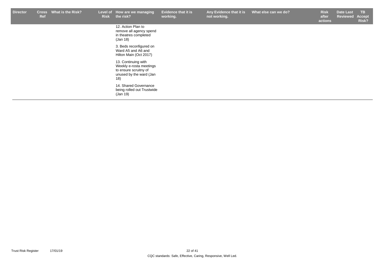| <b>Director</b> | <b>Cross</b><br><b>Ref</b> | What is the Risk? | <b>Risk</b> | Level of How are we managing<br>the risk?                                                                 | <b>Evidence that it is</b><br>working. | Any Evidence that it is<br>not working. | What else can we do? | <b>Risk</b><br>after<br>actions | <b>Date Last</b><br>Reviewed | TB.<br>Accept<br>Risk? |
|-----------------|----------------------------|-------------------|-------------|-----------------------------------------------------------------------------------------------------------|----------------------------------------|-----------------------------------------|----------------------|---------------------------------|------------------------------|------------------------|
|                 |                            |                   |             | 12. Action Plan to<br>remove all agency spend<br>in theatres completed<br>(Jan 18)                        |                                        |                                         |                      |                                 |                              |                        |
|                 |                            |                   |             | 3. Beds reconfigured on<br>Ward A5 and A6 and<br>Hilton Main (Oct 2017)                                   |                                        |                                         |                      |                                 |                              |                        |
|                 |                            |                   |             | 13. Continuing with<br>Weekly e-rosta meetings<br>to ensure scruitny of<br>unused by the ward (Jan<br>18) |                                        |                                         |                      |                                 |                              |                        |
|                 |                            |                   |             | 14. Shared Governance<br>being rolled out Trustwide<br>(Jan 19)                                           |                                        |                                         |                      |                                 |                              |                        |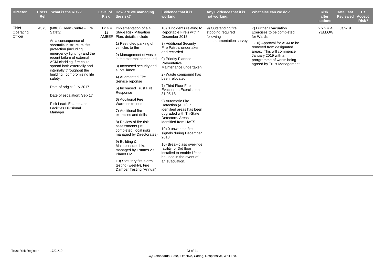| <b>Director</b>               | <b>Cross</b><br><b>Ref</b> | What is the Risk?                                                                                                                                                                                                                                                                                                                                                                                                                                    | <b>Risk</b> | Level of How are we managing<br>the risk?                                                                                                                                                                                                                                                                                                                                                                                                                                                                                                                                                                                                                                                   | <b>Evidence that it is</b><br>working.                                                                                                                                                                                                                                                                                                                                                                                                                                                                                                                                                                                                                              | Any Evidence that it is<br>not working.                                          | What else can we do?                                                                                                                                                                                                                      | <b>Risk</b><br>after<br>actions   | <b>Date Last</b><br><b>Reviewed</b> | TB.<br><b>Accept</b><br>Risk? |
|-------------------------------|----------------------------|------------------------------------------------------------------------------------------------------------------------------------------------------------------------------------------------------------------------------------------------------------------------------------------------------------------------------------------------------------------------------------------------------------------------------------------------------|-------------|---------------------------------------------------------------------------------------------------------------------------------------------------------------------------------------------------------------------------------------------------------------------------------------------------------------------------------------------------------------------------------------------------------------------------------------------------------------------------------------------------------------------------------------------------------------------------------------------------------------------------------------------------------------------------------------------|---------------------------------------------------------------------------------------------------------------------------------------------------------------------------------------------------------------------------------------------------------------------------------------------------------------------------------------------------------------------------------------------------------------------------------------------------------------------------------------------------------------------------------------------------------------------------------------------------------------------------------------------------------------------|----------------------------------------------------------------------------------|-------------------------------------------------------------------------------------------------------------------------------------------------------------------------------------------------------------------------------------------|-----------------------------------|-------------------------------------|-------------------------------|
| Chief<br>Operating<br>Officer | 4375                       | (NX87) Heart Centre - Fire<br>Safety:<br>As a consequence of<br>shortfalls in structural fire<br>protection (including<br>emergency lighting) and the<br>recent failure of external<br>ACM cladding, fire could<br>spread both externally and<br>internally throughout the<br>building, compromising life<br>safety.<br>Date of origin: July 2017<br>Date of escalation: Sep 17<br>Risk Lead: Estates and<br><b>Facilities Divisional</b><br>Manager | 12          | $3 \times 4 =$ Implementation of a 4<br><b>Stage Risk Mitigation</b><br>AMBER Plan: details include<br>1) Restricted parking of<br>vehicles to 6m<br>2) Management of waste<br>in the external compound<br>3) Increased security and<br>surveillance<br>4) Augmented Fire<br>Service reponse<br>5) Increased Trust Fire<br>Response<br>6) Additional Fire<br>Wardens trained<br>7) Additional fire<br>exercises and drills<br>8) Review of fire risk<br>assessments (15<br>completed, local risks<br>managed by Directorates)<br>9) Building &<br>Maintenance risks<br>managed by Estates via<br>Planet FM<br>10) Statutory fire alarm<br>testing (weekly), Fire<br>Damper Testing (Annual) | 10) 0 incidents relating to<br>Reportable Fire's within<br>December 2018<br>3) Additional Security<br>Fire Patrols undertaken<br>and recorded<br>9) Priority Planned<br>Preventative<br>Maintenance undertaken<br>2) Waste compound has<br>been relocated<br>7) Third Floor Fire<br>Evacuation Exercise on<br>31.05.18<br>9) Automatic Fire<br>Detection (AFD) in<br>identified areas has been<br>upgraded with Tri-State<br>Detectors, Areas<br>identified from UwFS<br>10) 0 unwanted fire<br>signals during December<br>2018<br>10) Break-glass over-ride<br>facility for 3rd floor<br>installed to enable lifts to<br>be used in the event of<br>an evacuation. | 9) Outstanding fire<br>stopping required<br>following<br>compartmentation survey | 7) Further Evacuation<br>Exercises to be completed<br>for Wards<br>1-10) Approval for ACM to be<br>removed from designated<br>areas. This will commence<br>January 2019 with a<br>prorgramme of works being<br>agreed by Trust Management | $2 \times 2 = 4$<br><b>YELLOW</b> | $Jan-19$                            |                               |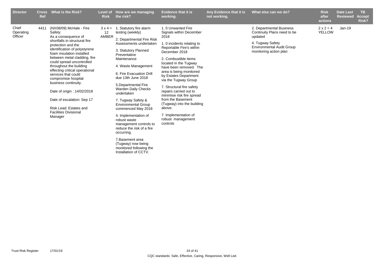| <b>Director</b>               | <b>Cross</b><br><b>Ref</b> | What is the Risk?                                                                                                                                                                                                                                                                                                                                                                                                                                                                                               | <b>Risk</b> | Level of How are we managing<br>the risk?                                                                                                                                                                                                                                                                                                                                                                                                                                                                                                                                                             | <b>Evidence that it is</b><br>working.                                                                                                                                                                                                                                                                                                                                                                                                                                                           | Any Evidence that it is<br>not working. | What else can we do?                                                                                                                                 | <b>Risk</b><br>after<br>actions   | <b>Date Last</b><br><b>Reviewed</b> | TB.<br><b>Accept</b><br>Risk? |
|-------------------------------|----------------------------|-----------------------------------------------------------------------------------------------------------------------------------------------------------------------------------------------------------------------------------------------------------------------------------------------------------------------------------------------------------------------------------------------------------------------------------------------------------------------------------------------------------------|-------------|-------------------------------------------------------------------------------------------------------------------------------------------------------------------------------------------------------------------------------------------------------------------------------------------------------------------------------------------------------------------------------------------------------------------------------------------------------------------------------------------------------------------------------------------------------------------------------------------------------|--------------------------------------------------------------------------------------------------------------------------------------------------------------------------------------------------------------------------------------------------------------------------------------------------------------------------------------------------------------------------------------------------------------------------------------------------------------------------------------------------|-----------------------------------------|------------------------------------------------------------------------------------------------------------------------------------------------------|-----------------------------------|-------------------------------------|-------------------------------|
| Chief<br>Operating<br>Officer | 4411                       | (NX08/09) McHale - Fire<br>Safety:<br>As a consequence of<br>shortfalls in structural fire<br>protection and the<br>identification of polystyrene<br>foam insulation installed<br>between metal cladding, fire<br>could spread uncontrolled<br>throughout the building<br>effecting critical operational<br>services that could<br>compromise hospital<br>business continuity.<br>Date of origin: 14/02/2018<br>Date of escalation: Sep 17<br>Risk Lead: Estates and<br><b>Facilities Divisional</b><br>Manager | 12<br>AMBER | $3x 4 = 1$ . Statutory fire alarm<br>testing (weekly)<br>2. Departmental Fire Risk<br>Assessments undertaken<br>3. Statutory Planned<br>Preventative<br>Maintenance<br>4. Waste Management<br>6. Fire Evacuation Drill<br>due 13th June 2018<br>5. Departmental Fire<br><b>Warden Daily Checks</b><br>undertaken<br>7. Tugway Safety &<br><b>Environmental Group</b><br>commenced May 2018<br>4. Implementation of<br>robust waste<br>management controls to<br>reduce the risk of a fire<br>occurring.<br>7. Basement area<br>(Tugway) now being<br>monitored following the<br>Installation of CCTV. | 1.0 Unwanted Fire<br>Signals within December<br>2018<br>1. 0 incidents relating to<br>Reportable Fire's within<br>December 2018<br>2. Combustible items<br>located in the Tugway<br>have been removed. The<br>area is being monitored<br>by Estates Department<br>via the Tugway Group<br>7. Structural fire safety<br>repairs carried out to<br>minimise risk fire spread<br>from the Basement<br>(Tugway) into the building<br>above.<br>7. Implementation of<br>robust management<br>controls |                                         | 2. Departmental Business<br>Continuity Plans need to be<br>updated<br>4. Tugway Safety<br><b>Environmental Audit Group</b><br>monitoring action plan | $2 \times 2 = 4$<br><b>YELLOW</b> | $Jan-19$                            |                               |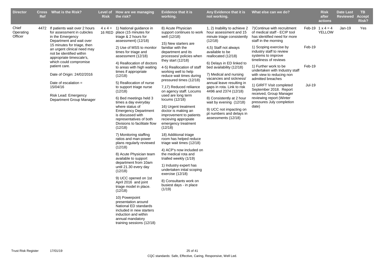| <b>Director</b>               | Ref | Cross What is the Risk?                                                                                                                                                                                                                                                                                                                               | <b>Risk</b> | Level of How are we managing<br>the risk?                                                                                                                                                                                                                                                                                                                                                                                                                                                                                                                                                                                                                                  | <b>Evidence that it is</b><br>working.                                                                                                                                                                                                                                                                                                                                                                                                                                                                      | Any Evidence that it is<br>not working.                                                                                                                                                                                                                                                                                                     | What else can we do?                                                                                                                                                                                                                                                                                                                                               |                                   | <b>Risk</b><br>after<br>actions          | <b>Date Last</b><br><b>Reviewed</b> | TB.<br><b>Accept</b><br>Risk? |
|-------------------------------|-----|-------------------------------------------------------------------------------------------------------------------------------------------------------------------------------------------------------------------------------------------------------------------------------------------------------------------------------------------------------|-------------|----------------------------------------------------------------------------------------------------------------------------------------------------------------------------------------------------------------------------------------------------------------------------------------------------------------------------------------------------------------------------------------------------------------------------------------------------------------------------------------------------------------------------------------------------------------------------------------------------------------------------------------------------------------------------|-------------------------------------------------------------------------------------------------------------------------------------------------------------------------------------------------------------------------------------------------------------------------------------------------------------------------------------------------------------------------------------------------------------------------------------------------------------------------------------------------------------|---------------------------------------------------------------------------------------------------------------------------------------------------------------------------------------------------------------------------------------------------------------------------------------------------------------------------------------------|--------------------------------------------------------------------------------------------------------------------------------------------------------------------------------------------------------------------------------------------------------------------------------------------------------------------------------------------------------------------|-----------------------------------|------------------------------------------|-------------------------------------|-------------------------------|
| Chief<br>Operating<br>Officer |     | 4472 If patients wait over 2 hours<br>for assessment in cubicles<br>in the Emergency<br>Department and wait over<br>15 minutes for triage, then<br>an urgent clinical need may<br>not be identified within<br>appropriate timescale's,<br>which could compromise<br>patient care.<br>Date of Origin: 24/02/2016<br>Date of escalation $=$<br>15/04/16 |             | $4 \times 4 = 1$ ) National guidance in<br>16 RED place (15 minutes for<br>triage & 2 hours for<br>assessment) (12/18)<br>2) Use of MSS to monitor<br>times for triage and<br>assessment (12/18)<br>4) Reallocation of doctors<br>to areas with high waiting<br>times if appropriate<br>(12/18)<br>5) Reallocation of nurse<br>to support triage nurse                                                                                                                                                                                                                                                                                                                     | 8) Acute Physician<br>support continues to work<br>well (12/18)<br>15) New starters are<br>familiar with the<br>department and its<br>processes/ policies when<br>they start $(12/18)$<br>4-5) Reallocation of staff<br>working well to help<br>reduce wait times during<br>pressured times (12/18)<br>7,17) Reduced reliiance                                                                                                                                                                              | 1, 2) Inability to achieve 2<br>hour assessment and 15<br>minute triage consistently<br>(12/18)<br>4,5) Staff not always<br>available to be<br>reallocated (12/18)<br>6) Delays in ED linked to<br>bed availability (12/18)<br>7) Medical and nursing<br>vacancies and sickness/<br>annual leave resulting in<br>gaps in rota. Link to risk | 7) Continue with recruitment<br>of medical staff - ECIP tool<br>has identified need for more<br>staff in the morning<br>1) Scoping exercise by<br>industry staff to review<br>systems to improve<br>timeliness of reviews<br>1) Further work to be<br>undertaken with Industry staff<br>with view to reducing non<br>admitted breaches<br>1) GIRFT Visit completed | Feb-19<br>Feb-19<br><b>Jul-19</b> | Feb-19 $1 \times 4 = 4$<br><b>YELLOW</b> | Jan-19                              | Yes                           |
|                               |     | Risk Lead: Emergency<br>Department Group Manager                                                                                                                                                                                                                                                                                                      |             | (12/18)<br>6) Bed meetings held 3<br>times a day everyday<br>where status of<br><b>Emergency Department</b><br>is discussed with<br>representatives of both<br>Divisions to facilitate flow<br>(12/18)<br>7) Monitoring staffing<br>ratios and man-power<br>plans regularly reviewed<br>(12/18)<br>8) Acute Physician team<br>available to support<br>department from 10am<br>until 21.30 every day<br>(12/18)<br>9) UCC opened on 1st<br>April 2016 and joint<br>triage model in place.<br>(12/18)<br>10) Powerpoint<br>presentation around<br>National ED standards<br>included in new starters<br>induction and within<br>annual mandatory<br>training sessions (12/18) | on agency staff. Locums<br>used are long term<br>locums (12/18)<br>16) Urgent treatment<br>doctor is making an<br>improvement to patients<br>recieving appropiate<br>emergency treatment<br>(12/18)<br>18) Additional triage<br>room has helped reduce<br>triage wait times (12/18)<br>4) ACP's now included on<br>the medical rota and<br>trialled weekly (1/19)<br>1) Industry expert has<br>undertaken intial scoping<br>exercise (12/18)<br>8) Consultants work on<br>busiest days - in place<br>(1/19) | 4496 and 2374 (12/18)<br>8) Consistently at 2 hour<br>wait by evening (12/18)<br>9) UCC not impacting on<br>pt numbers and delays in<br>assessments (12/18)                                                                                                                                                                                 | September 2018. Report<br>received, Group Manager<br>reviewing report (Winter<br>pressures July completion<br>date)                                                                                                                                                                                                                                                |                                   |                                          |                                     |                               |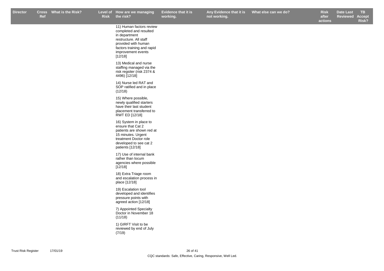11) Human factors review completed and resulted

**Any Evidence that it is not working.**

**Risk after What else can we do? Box Black Elect Elect Property Risk Date Last** 

**actions ReviewedAccept Risk?**

in department restructure. All staff provided with human factors training and rapid improvement events  $[12/18]$ 13) Medical and nurse staffing managed via the risk regsiter (risk 2374 & 4496) [12/18] 14) Nurse led RAT and SOP ratified and in place (12/18) 15) Where possible, newly qualified starters have their last student placement transferred to RWT ED [12/18] 16) System in place to ensure that Cat 2 patients are shown red at 15 minutes. Urgent treatment Doctor role developed to see cat 2 patients [12/18] 17) Use of internal bank rather than locum agencies where possible [12/18] 18) Extra Triage room and escalation process in place [12/18] 19) Escalation tool developed and identifies pressure points with agreed action [12/18] 7) Appointed Specialty Doctor in November 18 (11/18) 1) GIRFT Visit to be reviewed by end of July (7/19)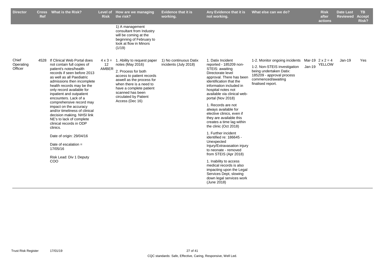| <b>Director</b><br><b>Cross</b><br>Ref | <b>What is the Risk?</b>                                                                                                                                                                                                                                                                                                                                                                                                                                                                                                                                                                 | Level of<br><b>Risk</b> | How are we managing<br>the risk?                                                                                                                                                                                                                                       | <b>Evidence that it is</b><br>working.          | Any Evidence that it is<br>not working.                                                                                                                                                                                                                                                                                                                                                                                                                                                                                                                                                                                                                                                                           | What else can we do?                                                                                                                                              |          | <b>Risk</b><br>after<br>actions   | <b>Date Last</b><br><b>Reviewed</b> | TB.<br><b>Accept</b><br>Risk? |
|----------------------------------------|------------------------------------------------------------------------------------------------------------------------------------------------------------------------------------------------------------------------------------------------------------------------------------------------------------------------------------------------------------------------------------------------------------------------------------------------------------------------------------------------------------------------------------------------------------------------------------------|-------------------------|------------------------------------------------------------------------------------------------------------------------------------------------------------------------------------------------------------------------------------------------------------------------|-------------------------------------------------|-------------------------------------------------------------------------------------------------------------------------------------------------------------------------------------------------------------------------------------------------------------------------------------------------------------------------------------------------------------------------------------------------------------------------------------------------------------------------------------------------------------------------------------------------------------------------------------------------------------------------------------------------------------------------------------------------------------------|-------------------------------------------------------------------------------------------------------------------------------------------------------------------|----------|-----------------------------------|-------------------------------------|-------------------------------|
|                                        |                                                                                                                                                                                                                                                                                                                                                                                                                                                                                                                                                                                          |                         | 1) A management<br>consultant from Industry<br>will be coming at the<br>beginning of February to<br>look at flow in Minors<br>(1/19)                                                                                                                                   |                                                 |                                                                                                                                                                                                                                                                                                                                                                                                                                                                                                                                                                                                                                                                                                                   |                                                                                                                                                                   |          |                                   |                                     |                               |
| Chief<br>4528<br>Operating<br>Officer  | If Clinical Web Portal does<br>not contain full copies of<br>patient's notes/health<br>records if seen before 2013<br>as well as all Paediatric<br>admissions then incomplete<br>health records may be the<br>only record available for<br>inpatient and outpatient<br>encounters. Lack of a<br>comprehensive record may<br>impact on the accuracy<br>and/or timeliness of clinical<br>decision making. NHSI link<br>NE's to lack of complete<br>clinical records in ODP<br>clinics.<br>Date of origin: 29/04/16<br>Date of escalation $=$<br>17/05/16<br>Risk Lead: Div 1 Deputy<br>COO | 12<br>AMBER             | $4 \times 3 = 1$ . Ability to request paper<br>notes (May 2016)<br>2. Process for both<br>access to patient records<br>aswell as the process for<br>when there is a need to<br>have a complete patient<br>scanned has been<br>circulated by Patient<br>Access (Dec 16) | 1) No continuous Datix<br>incidents (July 2018) | 1. Datix Incident<br>reported - 185209 non-<br>STEIS: awaiting<br>Directorate level<br>approval. There has been<br>identification that the<br>information included in<br>hospital notes not<br>available via clinical web-<br>portal (Nov 2018)<br>1. Records are not<br>always available for<br>elective clinics, even if<br>they are available this<br>creates a time lag within<br>the clinic (Oct 2018)<br>1. Further incident<br>identified re: 186645 -<br>Unexpected<br>Injury/Extravasation injury<br>to neonate - removed<br>from STEIS (Apr 2018)<br>1. Inability to access<br>medical records is also<br>impacting upon the Legal<br>Services Dept, slowing<br>down legal services work<br>(June 2018) | 1-2. Monitor ongoing incidents<br>1-2. Non-STEIS investigation<br>being undertaken Datix:<br>185209 - approval process<br>commenced/awaiting<br>finalised report. | $Jan-19$ | Mar-19 $2 \times 2 = 4$<br>YELLOW | $Jan-19$                            | Yes                           |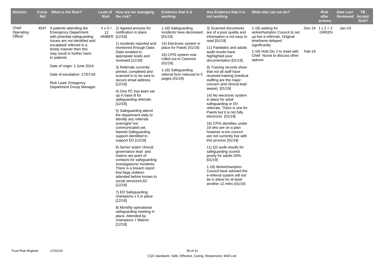| <b>Director</b>               | <b>Ref</b> | Cross What is the Risk?                                                                                                                                                                                                                                                                                                                       | <b>Risk</b> | Level of How are we managing<br>the risk?                                                                                                                                                                                                                                                                                                                                                                                                                                                                                                                                                                                                                                                                                                                                                                                                                                                                                                                                                                                               | <b>Evidence that it is</b><br>working.                                                                                                                                                                                                            | Any Evidence that it is<br>not working.                                                                                                                                                                                                                                                                                                                                                                                                                                                                                                                                                                                                                                                                                                                                                                                                                                                          | What else can we do?                                                                                                                                                                                |        | <b>Risk</b><br>after<br>actions         | <b>Date Last</b><br><b>Reviewed</b> | <b>TB</b><br><b>Accept</b><br><b>Risk?</b> |
|-------------------------------|------------|-----------------------------------------------------------------------------------------------------------------------------------------------------------------------------------------------------------------------------------------------------------------------------------------------------------------------------------------------|-------------|-----------------------------------------------------------------------------------------------------------------------------------------------------------------------------------------------------------------------------------------------------------------------------------------------------------------------------------------------------------------------------------------------------------------------------------------------------------------------------------------------------------------------------------------------------------------------------------------------------------------------------------------------------------------------------------------------------------------------------------------------------------------------------------------------------------------------------------------------------------------------------------------------------------------------------------------------------------------------------------------------------------------------------------------|---------------------------------------------------------------------------------------------------------------------------------------------------------------------------------------------------------------------------------------------------|--------------------------------------------------------------------------------------------------------------------------------------------------------------------------------------------------------------------------------------------------------------------------------------------------------------------------------------------------------------------------------------------------------------------------------------------------------------------------------------------------------------------------------------------------------------------------------------------------------------------------------------------------------------------------------------------------------------------------------------------------------------------------------------------------------------------------------------------------------------------------------------------------|-----------------------------------------------------------------------------------------------------------------------------------------------------------------------------------------------------|--------|-----------------------------------------|-------------------------------------|--------------------------------------------|
| Chief<br>Operating<br>Officer | 4547       | If patients attending the<br><b>Emergency Department</b><br>with potential safeguarding<br>issues are not identified and<br>escalated/referred in a<br>timely manner then this<br>may result in further harm<br>to patients<br>Date of origin: 1 June 2016<br>Date of escalation: 17/07/18<br>Risk Lead: Emegency<br>Department Group Manager | 12          | $4 \times 3 = 2$ ) Agreed process for<br>notification in place<br>AMBER [12/18]<br>1) Incidents reported and<br>monitored through Datix.<br>Datix emailed to<br>appropiate leads and<br>reviewed [12/18]<br>3) Referrals currently<br>printed, completed and<br>scanned in to be sent to<br>secure email address<br>[12/18]<br>4) One PC has been set<br>up in base B for<br>safeguarding referrals<br>[12/18]<br>5) Safeguarding attend<br>the department daily to<br>identify any referrals<br>overnight/ not<br>communicated yet.<br>Named Safeguarding<br>support identified to<br>support ED [12/18]<br>6) Senior sister/clinical<br>governance lead and<br>matron are point of<br>contacts for safeguarding<br>investigations/ incidents.<br>There is a breach report<br>that flags children<br>attended before known to<br>social services/LAC<br>[12/18]<br>7) ED Safeguarding<br>champions x 5 in place<br>[12/18]<br>8) Monthly operational<br>safeguarding meeting in<br>place. Attended by<br>champions + Matron<br>[12/18] | 1-18) Safeguarding<br>incidents have decreased<br>[01/19]<br>14) Electronic system in<br>place for Paeds (01/19)<br>16) CPIS system now<br>rolled out to Cannock<br>(01/19).<br>1-18) Safeguarding<br>referral form reduced to 5<br>pages (01/19) | 3) Scanned documents<br>are of a poor quality and<br>information is not easy to<br>read [01/19]<br>11) Paediatric and adults<br>audit results have<br>highlighted poor<br>documentation [01/19]<br>9) Training records show<br>that not all staff have<br>received training (medical<br>staffing are the major<br>concern and clinical lead<br>aware) [01/19]<br>14) No electronic system<br>in place for adult<br>safeguarding or DV<br>referrals. There is one for<br>Paeds but it is not fully<br>electronic [01/19]<br>16) CPIS identifies under<br>18 who are on a plan<br>however w-ton council<br>are not currently live with<br>this process [01/19]<br>11) Q2 audit results for<br>safeguarding scored<br>poorly for adults 50%.<br>$[01/19]$<br>1-18) Wolverhampton<br>Council have advised the<br>e-referral system will not<br>be in place for at least<br>another 12 mths $(01/19)$ | 1-18) waiting for<br>wolverhampton Council to set<br>up live e-referrals. Original<br>timeframe delayed<br>significantly<br>1-18) HoN Div 2 to meet with<br>Chief Nurse to discuss other<br>options | Feb-19 | Dec-19 $1 \times 2 = 2$<br><b>GREEN</b> | $Jan-19$                            |                                            |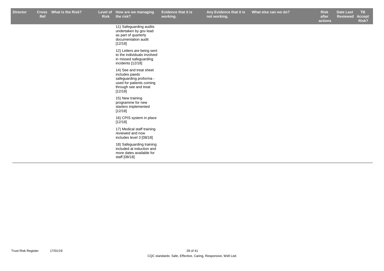**Any Evidence that it is not working.**

r Cross What is the Risk? Level of How are we managing Evidence that it is Any Evidence that it is What else can we do? Risk Date Last TB **Risk after What else can we do? Date Last <b>Risk Date Last** 

**actions Reviewed Accept Risk?**

11) Safeguarding audits undertaken by gov lead as part of quarterly documentation audit [12/18] 12) Letters are being sent

to the individuals involved in missed safeguarding incidents [12/18]

14) See and treat sheet includes paeds safeguarding proforma used for patients coming through see and treat  $[12/18]$ 

15) New training programme for new starters implemented [12/18]

16) CPIS system in place  $[12/18]$ 

17) Medical staff training reviewed and now includes level 3 [08/18]

18) Safeguarding training included at induction and more dates available for staff [08/18]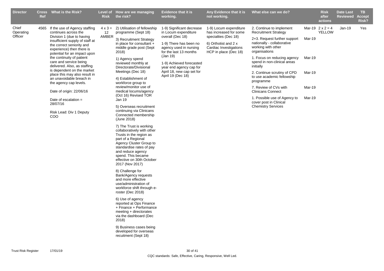| <b>Director</b>               | Ref  | Cross What is the Risk?                                                                                                                                                                                                                                                                                                                                                                                                                                                                                                         | <b>Risk</b> | Level of How are we managing<br>the risk?                                                                                                                                                                                                                                                                                                                                                                                                                                                                                                                                                                                                                                                                                                                                                                                                                                                                                                                                                                                                                                                                             | <b>Evidence that it is</b><br>working.                                                                                                                                                                                                                                   | Any Evidence that it is<br>not working.                                                                                                             | What else can we do?                                                                                                                                                                                                                                                                                                                                                                                                                                          |                                                | <b>Risk</b><br>after<br>actions          | <b>Date Last</b><br><b>Reviewed</b> | TB.<br><b>Accept</b><br>Risk? |
|-------------------------------|------|---------------------------------------------------------------------------------------------------------------------------------------------------------------------------------------------------------------------------------------------------------------------------------------------------------------------------------------------------------------------------------------------------------------------------------------------------------------------------------------------------------------------------------|-------------|-----------------------------------------------------------------------------------------------------------------------------------------------------------------------------------------------------------------------------------------------------------------------------------------------------------------------------------------------------------------------------------------------------------------------------------------------------------------------------------------------------------------------------------------------------------------------------------------------------------------------------------------------------------------------------------------------------------------------------------------------------------------------------------------------------------------------------------------------------------------------------------------------------------------------------------------------------------------------------------------------------------------------------------------------------------------------------------------------------------------------|--------------------------------------------------------------------------------------------------------------------------------------------------------------------------------------------------------------------------------------------------------------------------|-----------------------------------------------------------------------------------------------------------------------------------------------------|---------------------------------------------------------------------------------------------------------------------------------------------------------------------------------------------------------------------------------------------------------------------------------------------------------------------------------------------------------------------------------------------------------------------------------------------------------------|------------------------------------------------|------------------------------------------|-------------------------------------|-------------------------------|
| Chief<br>Operating<br>Officer | 4565 | If the use of Agency staffing<br>continues across the<br>Division 1 (due to having<br>insufficient supply of staff at<br>the correct seniority and<br>experience) then there is<br>potential for an impact upon<br>the continuity of patient<br>care and service being<br>delivered. Also, as staffing<br>is dependent on the market<br>place this may also result in<br>an unavoidable breach in<br>the agency cap levels.<br>Date of origin: 22/06/16<br>Date of escalation $=$<br>28/07/16<br>Risk Lead: Div 1 Deputy<br>COO | 12<br>AMBER | $4 \times 3 = 2$ ) Utilisation of fellowship<br>programme (Sept 18)<br>3) Recruitment Strategy<br>in place for consultant +<br>middle grade post (Sept<br>2018)<br>1) Agency spend<br>reviewed monthly at<br>Directorate/Divisional<br>Meetings (Dec 18)<br>4) Establishment of<br>workforce group to<br>review/monitor use of<br>medical locums/agency<br>(Oct 16) Revised TOR<br>Jan 19<br>5) Overseas recruitment<br>continuing via Clinicans<br>Connected membership<br>(June 2018)<br>7) The Trust is working<br>collaboratively with other<br>Trusts in the region as<br>part of a Regional<br>Agency Cluster Group to<br>standardise rates of pay<br>and reduce agency<br>spend. This became<br>effective on 30th October<br>2017 (Nov 2017)<br>8) Challenge for<br>Bank/Agency requests<br>and more effective<br>use/administration of<br>workforce shift through e-<br>roster (Dec 2018)<br>6) Use of agency<br>reported at Ops Finance<br>+ Finance + Performance<br>meeting + directorates<br>via the dashboard (Dec<br>2018)<br>9) Business cases being<br>developed for overseas<br>recuitment (Sept 18) | 1-9) Significant decrease<br>in Locum expenditure<br>overall (Dec 18)<br>1-9) There has been no<br>agency used in nursing<br>for the last 13 months<br>(Jan 19)<br>1-9) Achieved forecasted<br>year end agency cap for<br>April 18, new cap set for<br>April 19 (Dec 18) | 1-9) Locum expenditure<br>has increased for some<br>specialties (Dec 18)<br>6) Orthotist and 2 x<br>Cardiac Investigations<br>HCP in place (Dec 18) | 2. Continue to implement<br><b>Recruitment Strategy</b><br>2+3. Request further support<br>nationally - collaborative<br>working with other<br>organisations<br>1. Focus on reducing agency<br>spend in non-clinical areas<br>initially<br>2. Continue scrutiny of CPD<br>to use academic fellowship<br>programme<br>7. Review of CVs with<br><b>Clinicans Connect</b><br>1. Possible use of Agency to<br>cover post in Clinical<br><b>Chemistry Services</b> | Mar-19<br>Mar-19<br>Mar-19<br>Mar-19<br>Mar-19 | Mar-19 $2 \times 2 = 4$<br><b>YELLOW</b> | Jan-19                              | Yes                           |
|                               |      |                                                                                                                                                                                                                                                                                                                                                                                                                                                                                                                                 |             |                                                                                                                                                                                                                                                                                                                                                                                                                                                                                                                                                                                                                                                                                                                                                                                                                                                                                                                                                                                                                                                                                                                       |                                                                                                                                                                                                                                                                          |                                                                                                                                                     |                                                                                                                                                                                                                                                                                                                                                                                                                                                               |                                                |                                          |                                     |                               |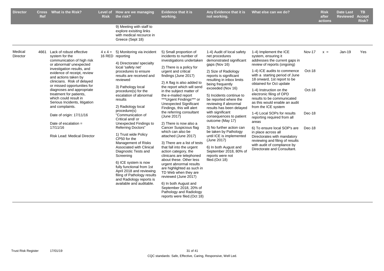| <b>Director</b>     | Ref  | Cross What is the Risk?                                                                                                                                                                                                                                                                                                                                                                                                                                                                      | <b>Risk</b> | Level of How are we managing<br>the risk?                                                                                                                                                                                                                                                                                                                                                                                                                                                                                                                                                      | <b>Evidence that it is</b><br>working.                                                                                                                                                                                                                                                                                                                                                                                                                                                                                                                                                                                                                                                                             | Any Evidence that it is<br>not working.                                                                                                                                                                                                                                                                                                                                                                                                                                                                                                                                                 | What else can we do?                                                                                                                                                                                                                                                                                                                                                                                                                                                                                                                                                                                                                                |                                                | <b>Risk</b><br>after<br>actions | <b>Date Last</b><br><b>Reviewed</b> | TB.<br><b>Accept</b><br>Risk? |
|---------------------|------|----------------------------------------------------------------------------------------------------------------------------------------------------------------------------------------------------------------------------------------------------------------------------------------------------------------------------------------------------------------------------------------------------------------------------------------------------------------------------------------------|-------------|------------------------------------------------------------------------------------------------------------------------------------------------------------------------------------------------------------------------------------------------------------------------------------------------------------------------------------------------------------------------------------------------------------------------------------------------------------------------------------------------------------------------------------------------------------------------------------------------|--------------------------------------------------------------------------------------------------------------------------------------------------------------------------------------------------------------------------------------------------------------------------------------------------------------------------------------------------------------------------------------------------------------------------------------------------------------------------------------------------------------------------------------------------------------------------------------------------------------------------------------------------------------------------------------------------------------------|-----------------------------------------------------------------------------------------------------------------------------------------------------------------------------------------------------------------------------------------------------------------------------------------------------------------------------------------------------------------------------------------------------------------------------------------------------------------------------------------------------------------------------------------------------------------------------------------|-----------------------------------------------------------------------------------------------------------------------------------------------------------------------------------------------------------------------------------------------------------------------------------------------------------------------------------------------------------------------------------------------------------------------------------------------------------------------------------------------------------------------------------------------------------------------------------------------------------------------------------------------------|------------------------------------------------|---------------------------------|-------------------------------------|-------------------------------|
|                     |      |                                                                                                                                                                                                                                                                                                                                                                                                                                                                                              |             | 9) Meeting with staff to<br>explore exisiting links<br>with medical recource in<br>Greece (Sept 18)                                                                                                                                                                                                                                                                                                                                                                                                                                                                                            |                                                                                                                                                                                                                                                                                                                                                                                                                                                                                                                                                                                                                                                                                                                    |                                                                                                                                                                                                                                                                                                                                                                                                                                                                                                                                                                                         |                                                                                                                                                                                                                                                                                                                                                                                                                                                                                                                                                                                                                                                     |                                                |                                 |                                     |                               |
| Medical<br>Director | 4661 | Lack of robust effective<br>system for the<br>communication of high risk<br>or abnormal/ unexpected<br>investigation results, and<br>evidence of receipt, review<br>and actions taken by<br>clinicians. Risk of delayed<br>or missed opportunities for<br>diagnoses and appropriate<br>treatment for patients,<br>which could result in<br>Serious Incidents, litigation<br>and complaints.<br>Date of origin: 17/11/16<br>Date of escalation $=$<br>17/11/16<br>Risk Lead: Medical Director |             | $4 \times 4 = 5$ ) Monitoring via incident<br>16 RED reporting<br>4) Directorate/ specialty<br>local 'safety net'<br>procedures to ensure<br>results are received and<br>reviewed<br>3) Pathology local<br>procedure(s) for the<br>escalation of abnormal<br>results<br>2) Radiology local<br>procedure(s)<br>"Communication of<br>Critical and/or<br>Unexpected Findings to<br><b>Referring Doctors"</b><br>1) Trust wide Policy<br>CP50 for the<br>Management of Risks<br>Associated with Clinical<br>Diagnostic Tests and<br>Screening<br>6) ICE system is now<br>fully functional from 1st | 5) Small proportion of<br>incidents to number of<br>investigations undertaken<br>2) There is a policy for<br>urgent and critical<br>findings (June 2017)<br>2) A flag is also added to<br>the report which will send<br>in the subject matter of<br>the e-mailed report<br>***Urgent Findings*** or<br><b>Unexpected Significant</b><br>Findings, this will alert<br>the referring consultant<br>(June 2017)<br>2) There is now also a<br>Cancer Suspicious flag<br>which can also be<br>attached (June 2017)<br>3) There are a list of tests<br>that fall into the urgent<br>action category, the<br>clinicans are telephoned<br>about these. Other less<br>urgent abnormal results<br>are highlighted as such in | 1-4) Audit of local safety<br>net procedures<br>demonstrated significant<br>gaps (Nov 16)<br>2) Size of Radiology<br>reports is significant<br>resulting in inbox limits<br>being frequently<br>exceeded (Nov 16)<br>5) Incidents continue to<br>be reported where the<br>reviewing if abnormal<br>results has been delayed<br>with significant<br>consequences to patient<br>outcome (May 17)<br>3) No further action can<br>be taken by Pathology<br>until ICE is implemented<br>(June 2017)<br>6) In both August and<br>September 2018, 80% of<br>reports were not<br>filed.(Oct 18) | 1-4) Implement the ICE<br>system, ensuring it<br>addresses the current gaps in<br>review of reports (ongoing)<br>1-4) ICE audits to commence<br>with a starting period of June<br>18 onward, 1st report to be<br>obtained for Oct update<br>1-4) Instruction on the<br>electronic filing of OPD<br>results to be communicated<br>as this would enable an audit<br>from the ICE system<br>1-4) Local SOPs for results<br>reporting required from all<br>areas<br>6) To ensure local SOP's are<br>in place across all<br>Directorates with mandatory<br>reviewing and filing of results<br>with audit of compliance by<br>Directorate and Consultant. | Nov-17<br>Oct-18<br>Oct-18<br>Dec-18<br>Dec-18 | $x =$                           | $Jan-19$                            | Yes                           |
|                     |      |                                                                                                                                                                                                                                                                                                                                                                                                                                                                                              |             | April 2018 and reviewing<br>filing of Pathology results<br>and Radiology reports is<br>available and auditable.                                                                                                                                                                                                                                                                                                                                                                                                                                                                                | TD Web when they are<br>reviewed (June 2017)<br>6) In both August and<br>September 2018, 20% of<br>Pathology and Radiology<br>reports were filed. (Oct 18)                                                                                                                                                                                                                                                                                                                                                                                                                                                                                                                                                         |                                                                                                                                                                                                                                                                                                                                                                                                                                                                                                                                                                                         |                                                                                                                                                                                                                                                                                                                                                                                                                                                                                                                                                                                                                                                     |                                                |                                 |                                     |                               |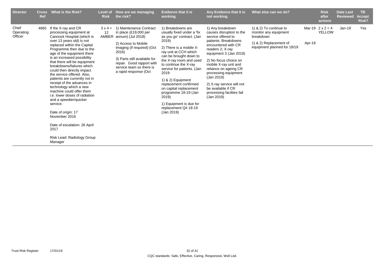| <b>Director</b>               | <b>Cross</b><br>Ref | What is the Risk?                                                                                                                                                                                                                                                                                                                                                                                                                                                                                                                                                                                                                                                               | Level of<br><b>Risk</b>       | How are we managing<br>the risk?                                                                                                                                                                                                                        | <b>Evidence that it is</b><br>working.                                                                                                                                                                                                                                                                                                                                                                                                  | Any Evidence that it is<br>not working.                                                                                                                                                                                                                                                                                                                                        | What else can we do?                                                                                                  |        | <b>Risk</b><br>after<br>actions          | <b>Date Last</b><br><b>Reviewed</b> | <b>TB</b><br><b>Accept</b><br>Risk? |
|-------------------------------|---------------------|---------------------------------------------------------------------------------------------------------------------------------------------------------------------------------------------------------------------------------------------------------------------------------------------------------------------------------------------------------------------------------------------------------------------------------------------------------------------------------------------------------------------------------------------------------------------------------------------------------------------------------------------------------------------------------|-------------------------------|---------------------------------------------------------------------------------------------------------------------------------------------------------------------------------------------------------------------------------------------------------|-----------------------------------------------------------------------------------------------------------------------------------------------------------------------------------------------------------------------------------------------------------------------------------------------------------------------------------------------------------------------------------------------------------------------------------------|--------------------------------------------------------------------------------------------------------------------------------------------------------------------------------------------------------------------------------------------------------------------------------------------------------------------------------------------------------------------------------|-----------------------------------------------------------------------------------------------------------------------|--------|------------------------------------------|-------------------------------------|-------------------------------------|
| Chief<br>Operating<br>Officer | 4665                | If the X-ray and CR<br>processing equipment at<br>Cannock Hospital (which is<br>over 13 years old) is not<br>replaced within the Capital<br>Programme then due to the<br>age of the equipment there<br>is an increased possibility<br>that there will be equipment<br>breakdowns/failures which<br>could then directly impact<br>the service offered. Also.<br>patients are currently not in<br>receipt of the advances in<br>technology which a new<br>machine could offer them<br>i.e. lower doses of radiation<br>and a speedier/quicker<br>service.<br>Date of origin: 17<br>November 2016<br>Date of escalation: 26 April<br>2017<br>Risk Lead: Radiology Group<br>Manager | $3 \times 4 =$<br>12<br>AMBER | 1) Maintenance Contract<br>in place $(E19,000$ per<br>annum) (Jul 2018)<br>2) Access to Mobile<br>Imaging (if required) (Oct<br>2016)<br>3) Parts still available for<br>repair. Good rapport with<br>service team so there is<br>a rapid response (Oct | 1) Breakdowns are<br>usually fixed under a 'fix<br>as you go' contract. (Jan<br>2019)<br>2) There is a mobile X-<br>ray unit at CCH which<br>can be brought down to<br>the X-ray room and used<br>to continue the X-ray<br>service for patients. (Jan<br>2019<br>1) & 2) Equipment<br>replacement confirmed<br>on capital replacement<br>programme 18-19 (Jan<br>2019)<br>1) Equipment is due for<br>replacement Q4 18-19<br>(Jan 2019) | 1) Any breakdown<br>causes disruption to the<br>service offered to<br>patients. Breakdowns<br>encountered with CR<br>readers 2; X-ray<br>equipment 3 (Jan 2019)<br>2) No focus choice on<br>mobile X-ray unit and<br>reliance on ageing CR<br>processing equipment<br>(Jan 2019)<br>2) X-ray service will not<br>be available if CR<br>processing facilites fail<br>(Jan 2019) | 1) & 2) To continue to<br>monitor any equipment<br>breakdown<br>1) & 2) Replacement of<br>equipment planned for 18/19 | Apr-19 | Mar-19 $2 \times 2 = 4$<br><b>YELLOW</b> | $Jan-19$                            | Yes                                 |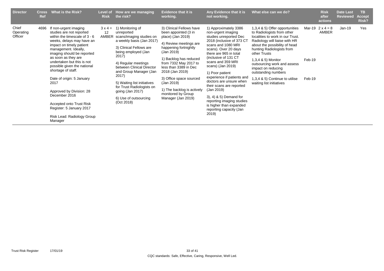| <b>Director</b>               | <b>Cross</b><br><b>Ref</b> | What is the Risk?                                                                                                                                                                                                                                                                                                                                                                                                                                                                                | Level of<br><b>Risk</b>       | How are we managing<br>the risk?                                                                                                                                                                                                                                                                                                                                 | <b>Evidence that it is</b><br>working.                                                                                                                                                                                                                                                                                                                   | Any Evidence that it is<br>not working.                                                                                                                                                                                                                                                                                                                                                                                                                                                  | What else can we do?                                                                                                                                                                                                                                                                                                                                                            |                  | <b>Risk</b><br>after<br>actions  | <b>Date Last</b><br><b>Reviewed</b> | <b>TB</b><br>Accept<br>Risk? |
|-------------------------------|----------------------------|--------------------------------------------------------------------------------------------------------------------------------------------------------------------------------------------------------------------------------------------------------------------------------------------------------------------------------------------------------------------------------------------------------------------------------------------------------------------------------------------------|-------------------------------|------------------------------------------------------------------------------------------------------------------------------------------------------------------------------------------------------------------------------------------------------------------------------------------------------------------------------------------------------------------|----------------------------------------------------------------------------------------------------------------------------------------------------------------------------------------------------------------------------------------------------------------------------------------------------------------------------------------------------------|------------------------------------------------------------------------------------------------------------------------------------------------------------------------------------------------------------------------------------------------------------------------------------------------------------------------------------------------------------------------------------------------------------------------------------------------------------------------------------------|---------------------------------------------------------------------------------------------------------------------------------------------------------------------------------------------------------------------------------------------------------------------------------------------------------------------------------------------------------------------------------|------------------|----------------------------------|-------------------------------------|------------------------------|
| Chief<br>Operating<br>Officer | 4696                       | If non-urgent imaging<br>studies are not reported<br>within the timescale of $3 - 6$<br>weeks, delays may have an<br>impact on timely patient<br>management. Ideally,<br>imaging should be reported<br>as soon as they are<br>undertaken but this is not<br>possible given the national<br>shortage of staff.<br>Date of origin: 5 January<br>2017<br>Approved by Division: 28<br>December 2016<br>Accepted onto Trust Risk<br>Register: 5 January 2017<br>Risk Lead: Radiology Group<br>Manager | $3 \times 4 =$<br>12<br>AMBER | 1) Monitoring of<br>unreported<br>scans/imaging studies on<br>a weekly basis (Jan 2017)<br>3) Clinical Fellows are<br>being employed (Jan<br>2017)<br>4) Regular meetings<br>between Clinical Director<br>and Group Manager (Jan<br>2017)<br>5) Waiting list initiatives<br>for Trust Radiologists on<br>going (Jan 2017)<br>6) Use of outsourcing<br>(Oct 2018) | 3) Clinical Fellows have<br>been appointed (3 in<br>place) (Jan 2019)<br>4) Review meetings are<br>happening fortnightly<br>(Jan 2019)<br>1) Backlog has reduced<br>from 7332 May 2017 to<br>less than 3389 in Dec<br>2018 (Jan 2019)<br>3) Office space sourced<br>(Jan 2019)<br>1) The backlog is actively<br>monitored by Group<br>Manager (Jan 2019) | 1) Approximately 3386<br>non-urgent imaging<br>studies unreported Dec<br>2018 (inclusive of 373 CT<br>scans and 1080 MRI<br>scans). Over 20 days<br>there are 965 in total<br>(inclusive of 131 CT<br>scans and 359 MRI<br>scans) (Jan 2019)<br>1) Poor patient<br>experience if patients and<br>doctors are unsure when<br>their scans are reported<br>(Jan 2019)<br>3), 4) & 5) Demand for<br>reporting imaging studies<br>is higher than expanded<br>reporting capacity (Jan<br>2019) | 1,3,4 & 5) Offer opportunities<br>to Radiologists from other<br>localities to work in our Trust.<br>Radiology will liaise with HR<br>about the possibility of head<br>hunting Radiologists from<br>other Trusts<br>1,3,4 & 5) Monitor<br>outsourcing work and assess<br>impact on reducing<br>outstanding numbers<br>1,3,4 & 5) Continue to utilise<br>waiting list initiatives | Feb-19<br>Feb-19 | Mar-19 $2 \times 4 = 8$<br>AMBER | Jan-19                              | Yes                          |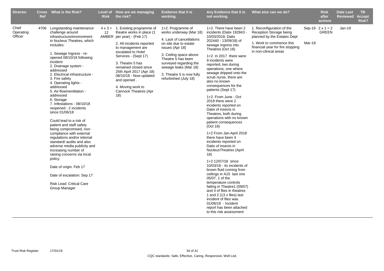| <b>Director</b>               | <b>Cross</b><br>Ref | <b>What is the Risk?</b>                                                                                                                                                                                                                                                                                                                                                                                                                                                                                                                                                                                                                                                                                                                                                                                                                                | <b>Risk</b> | Level of How are we managing<br>the risk?                                                                                                                                                                                                                                                                                                                                  | <b>Evidence that it is</b><br>working.                                                                                                                                                                                                                                        | Any Evidence that it is<br>not working.                                                                                                                                                                                                                                                                                                                                                                                                                                                                                                                                                                                                                                                                                                                                                                                                                                                                                                                                                                                                                 | What else can we do?                                                                                                                                                         |        | <b>Risk</b><br>after<br>actions         | <b>Date Last</b><br><b>Reviewed</b> | TB.<br><b>Accept</b><br>Risk? |
|-------------------------------|---------------------|---------------------------------------------------------------------------------------------------------------------------------------------------------------------------------------------------------------------------------------------------------------------------------------------------------------------------------------------------------------------------------------------------------------------------------------------------------------------------------------------------------------------------------------------------------------------------------------------------------------------------------------------------------------------------------------------------------------------------------------------------------------------------------------------------------------------------------------------------------|-------------|----------------------------------------------------------------------------------------------------------------------------------------------------------------------------------------------------------------------------------------------------------------------------------------------------------------------------------------------------------------------------|-------------------------------------------------------------------------------------------------------------------------------------------------------------------------------------------------------------------------------------------------------------------------------|---------------------------------------------------------------------------------------------------------------------------------------------------------------------------------------------------------------------------------------------------------------------------------------------------------------------------------------------------------------------------------------------------------------------------------------------------------------------------------------------------------------------------------------------------------------------------------------------------------------------------------------------------------------------------------------------------------------------------------------------------------------------------------------------------------------------------------------------------------------------------------------------------------------------------------------------------------------------------------------------------------------------------------------------------------|------------------------------------------------------------------------------------------------------------------------------------------------------------------------------|--------|-----------------------------------------|-------------------------------------|-------------------------------|
| Chief<br>Operating<br>Officer | 4706                | Longstanding maintenance<br>challenge around<br>infrastructure/environment<br>in Nucleus Theatres, which<br>includes:<br>1. Sewage Ingress - re-<br>opened 08/10/18 following<br>incident<br>2. Drainage system -<br>addressed<br>2. Electrical infrastructure -<br>3. Fire safety<br>4. Operating lights -<br>addressed<br>5. Air-flow/ventilation -<br>addressed<br>6. Storage<br>7. Infestations - 08/10/18<br>reopened - 2 incidents<br>since 01/06/18<br>Could lead to a risk of<br>patient and staff safety<br>being compromised, non-<br>compliance with external<br>regulations and/or internal<br>standard/ audits and also<br>adverse media publicity and<br>increasing number of<br>raising concerns via local<br>policy.<br>Date of origin: Feb 17<br>Date of escalation: Sep 17<br><b>Risk Lead: Critical Care</b><br><b>Group Manager</b> | 12          | $4 \times 3 = 1$ . Existing programme of<br>theatre works in place (1<br>AMBER per year) - (Feb 17)<br>2. All incidents reported<br>to management are<br>escalated to Hotel<br>Services - (Sept 17)<br>3. Theatre 5 has<br>remained closed since<br>25th April 2017 (Apr 18)<br>08/10/18 - Now updated<br>and opened.<br>4. Moving work to<br>Cannock Theatres (Apr<br>18) | 1+2. Programme of<br>works underway (Mar 18)<br>4. Lack of cancellations<br>on site due to estate<br>issues (Apr 18)<br>3. Ceiling space above<br>Theatre 5 has been<br>surveyed regarding the<br>sewage leaks (Mar 18)<br>3. Theatre 5 is now fully<br>refurbished (July 18) | 1+2. There have been 2<br>incidents (Datix 192843 -<br>10/03/2018, Datix<br>202440 - 13/09/18) of<br>sewage ingress into<br>Theatres (Oct 18)<br>1+2. In 2017 there were<br>9 incidents were<br>reported, two during<br>operations, one where<br>sewage dripped onto the<br>scrub nurse, there are<br>also no known<br>consequences for the<br>patients (Sept 17)<br>1+2. From June - Oct<br>2018 there were 2<br>incidents reported on<br>Datix of insects in<br>Theatres, both during<br>operations with no known<br>patient consequences<br>(Oct 18)<br>1+2 From Jan-April 2018<br>there have been 4<br>incidents reported on<br>Datix of insects in<br><b>NucleusTheatres (April)</b><br>18)<br>1+2 12/07/18 since<br>10/03/18 - 4x incidents of<br>brown fluid coming from<br>ceilings in A15 last one<br>05/07, 1 of the<br>temperature controls<br>failing in Theatre1 (09/07)<br>and 4 of flies in theatres<br>1 and 2 (13 x flies) last<br>incident of flies was<br>01/06/18 - Incident<br>report has been attached<br>to this risk assessment | 1. Reconfiguration of the<br>Reception Storage being<br>planned by the Estates Dept<br>1. Work to commence this<br>financial year for fire stopping<br>in non-clinical areas | Mar-19 | Sep-19 $2 \times 1 = 2$<br><b>GREEN</b> | $Jan-19$                            |                               |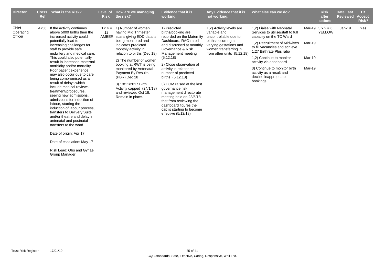| <b>Director</b>               | <b>Cross</b><br>Ref | What is the Risk?                                                                                                                                                                                                                                                                                                                                                                                                                                                                                                                                                                                                                                                                                                                                                                                        | Level of<br><b>Risk</b> | How are we managing<br>the risk?                                                                                                                                                                                                                                                                                                                                                                             | <b>Evidence that it is</b><br>working.                                                                                                                                                                                                                                                                                                                                                                                                                                                    | Any Evidence that it is<br>not working.                                                                                                                                   | What else can we do?                                                                                                                                                                                                                                                                                                                           |                            | <b>Risk</b><br>after<br>actions    | <b>Date Last</b><br><b>Reviewed</b> | <b>TB</b><br><b>Accept</b><br>Risk? |
|-------------------------------|---------------------|----------------------------------------------------------------------------------------------------------------------------------------------------------------------------------------------------------------------------------------------------------------------------------------------------------------------------------------------------------------------------------------------------------------------------------------------------------------------------------------------------------------------------------------------------------------------------------------------------------------------------------------------------------------------------------------------------------------------------------------------------------------------------------------------------------|-------------------------|--------------------------------------------------------------------------------------------------------------------------------------------------------------------------------------------------------------------------------------------------------------------------------------------------------------------------------------------------------------------------------------------------------------|-------------------------------------------------------------------------------------------------------------------------------------------------------------------------------------------------------------------------------------------------------------------------------------------------------------------------------------------------------------------------------------------------------------------------------------------------------------------------------------------|---------------------------------------------------------------------------------------------------------------------------------------------------------------------------|------------------------------------------------------------------------------------------------------------------------------------------------------------------------------------------------------------------------------------------------------------------------------------------------------------------------------------------------|----------------------------|------------------------------------|-------------------------------------|-------------------------------------|
| Chief<br>Operating<br>Officer | 4756                | If the activity continues<br>above 5000 births then the<br>increased activity could<br>potentially lead to<br>increasing challenges for<br>staff to provide safe<br>midwifery and medical care.<br>This could also potentially<br>result in increased maternal<br>morbidity and/or mortality.<br>Poor patient experience<br>may also occur due to care<br>being compromised as a<br>result of delays which<br>include medical reviews.<br>treatment/procedures,<br>seeing new admissions,<br>admissions for induction of<br>labour, starting the<br>induction of labour process,<br>transfers to Delivery Suite<br>and/or theatre and delay in<br>antenatal and postnatal<br>transfers to the ward.<br>Date of origin: Apr 17<br>Date of escalation: May 17<br>Risk Lead: Obs and Gynae<br>Group Manager | $3 \times 4 =$<br>12    | 1) Number of women<br>having Mid Trimester<br>AMBER scans giving EDD data is<br>being monitored and<br>indicates predicted<br>monthly activity in<br>relation to births (Dec 18)<br>2) The number of women<br>booking at RWT is being<br>monitored by Antenatal<br><b>Payment By Results</b><br>(PBR) Dec 18<br>3) 13/11/2017 Birth<br>Activity capped (24/1/18)<br>and reviewed Oct 18.<br>Remain in place. | 1) Predicted<br>births/booking are<br>recorded on the Maternity<br>Dashboard, RAG-rated<br>and discussed at monthly<br>Governance & Risk<br>Management meeting<br>(5.12.18)<br>2) Close observation of<br>activity in relation to<br>number of predicted<br>births (5.12.18)<br>3) HOM raised at the last<br>governance risk<br>management directorate<br>meeting held on 23/5/18<br>that from reviewing the<br>dashboard figures the<br>cap is starting to become<br>effective (5/12/18) | 1,2) Activity levels are<br>variable and<br>uncontrollable due to<br>births occurring at<br>varying gestations and<br>women transferring in<br>from other units (5.12.18) | 1,2) Liaise with Neonatal<br>Services to utilise/staff to full<br>capacity on the TC Ward<br>1,2) Recruitment of Midwives<br>to fill vacancies and achieve<br>1:27 Birthrate Plus ratio<br>1,2) Continue to monitor<br>activity via dashboard<br>3) Continue to monitor birth<br>activity as a result and<br>decline inappropriate<br>bookings | Mar-19<br>Mar-19<br>Mar-19 | Mar-19 $3x^2 = 6$<br><b>YELLOW</b> | $Jan-19$                            | Yes                                 |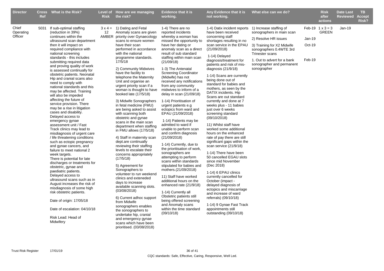| <b>Director</b>               | <b>Cross</b><br>Ref | What is the Risk?                                                                                                                                                                                                                                                                                                                                                                                                                                                                                                                                                                                                                                                                                                                                                                                                                                                                                                                                                                                                                                                                                                                                                                                                                   | <b>Risk</b> | Level of How are we managing<br>the risk?                                                                                                                                                                                                                                                                                                                                                                                                                                                                                                                                                                                                                                                                                                                                                                                                                                                                                                                                                                                                                                                                                                                   | <b>Evidence that it is</b><br>working.                                                                                                                                                                                                                                                                                                                                                                                                                                                                                                                                                                                                                                                                                                                                                                                                                                                                                                                                                                                                         | Any Evidence that it is<br>not working.                                                                                                                                                                                                                                                                                                                                                                                                                                                                                                                                                                                                                                                                                                                                                                                                                                                                                                                                                                                                                                 | What else can we do?                                                                                                                                                                                     |                            | <b>Risk</b><br>after<br><b>actions</b>  | <b>Date Last</b><br><b>Reviewed</b> | TB.<br><b>Accept</b><br>Risk? |
|-------------------------------|---------------------|-------------------------------------------------------------------------------------------------------------------------------------------------------------------------------------------------------------------------------------------------------------------------------------------------------------------------------------------------------------------------------------------------------------------------------------------------------------------------------------------------------------------------------------------------------------------------------------------------------------------------------------------------------------------------------------------------------------------------------------------------------------------------------------------------------------------------------------------------------------------------------------------------------------------------------------------------------------------------------------------------------------------------------------------------------------------------------------------------------------------------------------------------------------------------------------------------------------------------------------|-------------|-------------------------------------------------------------------------------------------------------------------------------------------------------------------------------------------------------------------------------------------------------------------------------------------------------------------------------------------------------------------------------------------------------------------------------------------------------------------------------------------------------------------------------------------------------------------------------------------------------------------------------------------------------------------------------------------------------------------------------------------------------------------------------------------------------------------------------------------------------------------------------------------------------------------------------------------------------------------------------------------------------------------------------------------------------------------------------------------------------------------------------------------------------------|------------------------------------------------------------------------------------------------------------------------------------------------------------------------------------------------------------------------------------------------------------------------------------------------------------------------------------------------------------------------------------------------------------------------------------------------------------------------------------------------------------------------------------------------------------------------------------------------------------------------------------------------------------------------------------------------------------------------------------------------------------------------------------------------------------------------------------------------------------------------------------------------------------------------------------------------------------------------------------------------------------------------------------------------|-------------------------------------------------------------------------------------------------------------------------------------------------------------------------------------------------------------------------------------------------------------------------------------------------------------------------------------------------------------------------------------------------------------------------------------------------------------------------------------------------------------------------------------------------------------------------------------------------------------------------------------------------------------------------------------------------------------------------------------------------------------------------------------------------------------------------------------------------------------------------------------------------------------------------------------------------------------------------------------------------------------------------------------------------------------------------|----------------------------------------------------------------------------------------------------------------------------------------------------------------------------------------------------------|----------------------------|-----------------------------------------|-------------------------------------|-------------------------------|
| Chief<br>Operating<br>Officer |                     | 5031 If sub-optimal staffing<br>(reduction in 39%)<br>continues within the<br>ultrasound scan department<br>then it will impact on<br>required compliance with<br>national screening<br>standards - this includes<br>submitting required data<br>and proving quality of work<br>is assessed continually for<br>obstetric patients. Neonatal<br>Hip and cranial scans also<br>need to comply with<br>national standards and this<br>may be affected. Training<br>will also be impeded<br>affecting the future of<br>service provision. There<br>may be a rise in litigation<br>cases and disability.<br>Delayed access to<br>emergency gynae<br>assessment unit / Fast<br>Track clinics may lead to<br>misdiagnosis of urgent care<br>/ life threatening conditions<br>such as ectopic pregnancy<br>and gynae cancers, and<br>failure to meet national 2<br>week targets.<br>There is potential for late<br>discharges or treatments for<br>obstetric, gynae and<br>paediatric patients.<br>Delayed access to<br>ultrasound scans such as in<br>August increases the risk of<br>misdiagnosis of some high<br>risk obstetric patients.<br>Date of origin: 17/05/18<br>Date of escalation: 04/10/18<br>Risk Lead: Head of<br>Midwifery | 12          | $3 \times 4 = 1$ ) Dating and Fetal<br>Anomaly scans are given<br>AMBER priority over Gynaecology<br>scans to ensure women<br>have their scan<br>performed in accordance<br>with the national<br>programme standards.<br>17/5/18<br>2) Community Midwives<br>have the facility to<br>telephone the Maternity<br>Unit and organise an<br>urgent priority scan if a<br>woman is thought to have<br>booked late (17/5/18)<br>3) Midwife Sonographers<br>in fetal medicine (FMU)<br>are being asked to assist<br>with scanning both<br>obstetric and gynae<br>scans in the main scan<br>department when staffing<br>in FMU allows (17/5/18)<br>4) Staff in maternity scan<br>dept.are continually<br>reviewing their staffing<br>levels to escalate their<br>concerns appropriately<br>(17/5/18)<br>5) Agreement for<br>Sonographers to<br>volunteer to run weekend<br>clinics and exteneded<br>days to increase<br>available scanning slots.<br>(03/08/2018)<br>6) Current adhoc support<br>from Midwife<br>sonographers enables<br>the sonographers to<br>undertake hip, cranial<br>and emergency gynae<br>scans which have been<br>prioritised. (03/08/2018) | 1-4) There are no<br>reported incidents<br>whereby a woman has<br>missed the opportunity to<br>have her dating or<br>anomaly scan as a direct<br>result of sub standard<br>staffing within main scan<br>(21/09/18)<br>1-3) The Antenatal<br><b>Screening Coordinator</b><br>(Midwife) has not<br>received any notifications<br>from any community<br>midwives to inform of a<br>delay in scan (21/09/18)<br>1-14) Prioritisation of<br>urgent patients e.g<br>ectopics from ward and<br>EPAU (21/09/2018)<br>1-14) Patients may be<br>admitted to ward if<br>unable to perform scan<br>and confirm diagnosis<br>(21/09/2018)<br>1-14) Currently, due to<br>the prioritisation of work,<br>sonographers are<br>attempting to perform<br>scans within standards<br>stipulated for babies and<br>mothers.(21/09/2018)<br>11) Staff have worked<br>additional hours on the<br>enhanced rate (21/9/18)<br>1-14) Currently all<br>Obstetric patients still<br>being offered screening<br>and Anomaly scans<br>within the time standard<br>(09/10/18) | 1-4) Datix incident reports 1) Increase staffing of<br>have been received<br>concerning staff<br>shortages resulting in no<br>scan service in the EPAU<br>(21/09/2018)<br>1-14) Delayed<br>diagnosis/treatment for<br>patients and risk of mis-<br>diagnosis $(21/9/18)$<br>1-14) Scans are currently<br>being done out of<br>standard for babies and<br>mothers, as seen by the<br>DATIX incidents. Hip<br>Scans are out standard<br>currently and done at 7<br>weeks plus - 11 babies<br>just over 6 weeks<br>screening standard<br>(09/10/2018)<br>11) Whilst staff have<br>worked some additional<br>hours on the enhanced<br>rate of pay there are still<br>significant gaps within the<br>scan service (21/9/18)<br>1-14) There have been<br>50 cancelled EGAU slots<br>since mid November<br>(Dec 2018)<br>1-14) 6 EPAU clinics<br>currently cancelled for<br>October (impact -<br>delayed diagnosis of<br>ectopics and miscarriage<br>and increase of ward<br>referrals) (09/10/18)<br>1-14) 9 Gynae Fast Track<br>appointments still<br>outstanding (09/10/18) | sonographers in main scan<br>2) Resolve HR issues<br>3) Training for X2 Midwife<br>sonographers 0.4WTE 3rd<br>Trinester scans<br>1. Out to advert for a bank<br>sonographer and permanent<br>sonographer | Jan-19<br>Oct-19<br>Feb-19 | Feb-19 $1 \times 3 = 3$<br><b>GREEN</b> | Jan-19                              |                               |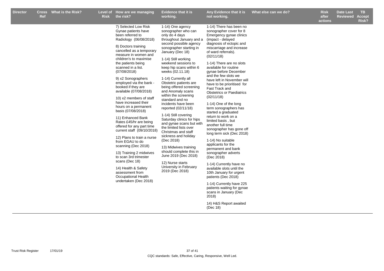| <b>Director</b> | <b>Cross</b><br><b>Ref</b> | <b>What is the Risk?</b> | <b>Risk</b> | Level of How are we managing<br>the risk?                                                                                                                                                                                                                                                                                                                                                                                                                                                                                                                                                                                                                                                                                                                                                                      | <b>Evidence that it is</b><br>working.                                                                                                                                                                                                                                                                                                                                                                                                                                                                                                                                                                                                                                                                                                                                     | Any Evidence that it is<br>not working.                                                                                                                                                                                                                                                                                                                                                                                                                                                                                                                                                                                                                                                                                                                                                                                                                                                                                                                                                     | What else can we do? | <b>Risk</b><br>after<br>actions | <b>Date Last</b><br><b>Reviewed</b> | <b>TB</b><br><b>Accept</b><br>Risk? |
|-----------------|----------------------------|--------------------------|-------------|----------------------------------------------------------------------------------------------------------------------------------------------------------------------------------------------------------------------------------------------------------------------------------------------------------------------------------------------------------------------------------------------------------------------------------------------------------------------------------------------------------------------------------------------------------------------------------------------------------------------------------------------------------------------------------------------------------------------------------------------------------------------------------------------------------------|----------------------------------------------------------------------------------------------------------------------------------------------------------------------------------------------------------------------------------------------------------------------------------------------------------------------------------------------------------------------------------------------------------------------------------------------------------------------------------------------------------------------------------------------------------------------------------------------------------------------------------------------------------------------------------------------------------------------------------------------------------------------------|---------------------------------------------------------------------------------------------------------------------------------------------------------------------------------------------------------------------------------------------------------------------------------------------------------------------------------------------------------------------------------------------------------------------------------------------------------------------------------------------------------------------------------------------------------------------------------------------------------------------------------------------------------------------------------------------------------------------------------------------------------------------------------------------------------------------------------------------------------------------------------------------------------------------------------------------------------------------------------------------|----------------------|---------------------------------|-------------------------------------|-------------------------------------|
|                 |                            |                          |             | 7) Selected Low Risk<br>Gynae patients have<br>been referred to<br>Radiology (06/08/2018)<br>8) Doctors training<br>cancelled as a temporary<br>measure in women and<br>children's to maximise<br>the patients being<br>scanned in a list.<br>(07/08/2018)<br>9) x2 Sonographers<br>employed via the bank -<br>booked if they are<br>available (07/08/2018)<br>10) x2 members of staff<br>have increased their<br>hours on a permanent<br>basis (07/08/2018)<br>11) Enhanced Bank<br>Rates £45/hr are being<br>offered for any part time<br>current staff (09/10/2018)<br>12) Plans to train a nurse<br>from EGAU to do<br>scanning (Dec 2018)<br>13) Training 2 midwives<br>to scan 3rd trimester<br>scans (Dec 18)<br>14) Health & Safety<br>assessment from<br>Occupational Health<br>undertaken (Dec 2018) | 1-14) One agency<br>sonographer who can<br>only do 4 days<br>throughout January and a<br>second possible agency<br>sonographer starting in<br>January (Dec 18)<br>1-14) Still working<br>weekend sessions to<br>keep hip scans within 6<br>weeks (02.11.18)<br>1-14) Currently all<br>Obstetric patients are<br>being offered screening<br>and Anomaly scans<br>within the screening<br>standard and no<br>incidents have been<br>reported (02/11/18)<br>1-14) Still covering<br>Saturday clinics for hips<br>and gynae scans but with<br>the limited lists over<br>Christmas and staff<br>sickness and holiday<br>(Dec 2018)<br>13) Midwives training<br>should complete this in<br>June 2019 (Dec 2018)<br>12) Nurse starts<br>University in February<br>2019 (Dec 2018) | 1-14) There has been no<br>sonographer cover for 8<br>Emergency gynae clinics<br>(impact - delayed<br>diagnosis of ectopic and<br>miscarriage and increase<br>of ward referrals).<br>(02/11/18)<br>1-14) There are no slots<br>available for routine<br>gynae before December<br>and the few slots we<br>have left in November will<br>have to be prioritised for<br>Fast Track and<br><b>Obstetrics or Paediatrics</b><br>(02/11/18)<br>1-14) One of the long<br>term sonographers has<br>started a graduated<br>return to work on a<br>limited basis, but<br>another full time<br>sonographer has gone off<br>long term sick (Dec 2018)<br>1-14) No suitable<br>applicants for the<br>permanent and bank<br>sonographer adverts<br>(Dec 2018)<br>1-14) Currently have no<br>available slots until the<br>10th January for urgent<br>patients (Dec 2018)<br>1-14) Currently have 225<br>patients waiting for gynae<br>scans in January (Dec<br>2018)<br>14) H&S Report awaited<br>(Dec 18) |                      |                                 |                                     |                                     |
|                 |                            |                          |             |                                                                                                                                                                                                                                                                                                                                                                                                                                                                                                                                                                                                                                                                                                                                                                                                                |                                                                                                                                                                                                                                                                                                                                                                                                                                                                                                                                                                                                                                                                                                                                                                            |                                                                                                                                                                                                                                                                                                                                                                                                                                                                                                                                                                                                                                                                                                                                                                                                                                                                                                                                                                                             |                      |                                 |                                     |                                     |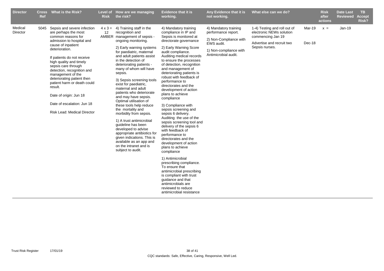| <b>Director</b>     | <b>Cross</b><br>Ref | <b>What is the Risk?</b>                                                                                                                                                                                                                                                                                                                                                                                                                                | Level of<br><b>Risk</b> | How are we managing<br>the risk?                                                                                                                                                                                                                                                                                                                                                                                                                                                                                                                                                                                                                                                                                                                    | <b>Evidence that it is</b><br>working.                                                                                                                                                                                                                                                                                                                                                                                                                                                                                                                                                                                                                                                                                                                                                                                                                                                                                        | Any Evidence that it is<br>not working.                                                                                                | What else can we do?                                                                                                         |                  | <b>Risk</b><br>after<br>actions | <b>Date Last</b><br><b>Reviewed</b> | TB.<br><b>Accept</b><br>Risk? |
|---------------------|---------------------|---------------------------------------------------------------------------------------------------------------------------------------------------------------------------------------------------------------------------------------------------------------------------------------------------------------------------------------------------------------------------------------------------------------------------------------------------------|-------------------------|-----------------------------------------------------------------------------------------------------------------------------------------------------------------------------------------------------------------------------------------------------------------------------------------------------------------------------------------------------------------------------------------------------------------------------------------------------------------------------------------------------------------------------------------------------------------------------------------------------------------------------------------------------------------------------------------------------------------------------------------------------|-------------------------------------------------------------------------------------------------------------------------------------------------------------------------------------------------------------------------------------------------------------------------------------------------------------------------------------------------------------------------------------------------------------------------------------------------------------------------------------------------------------------------------------------------------------------------------------------------------------------------------------------------------------------------------------------------------------------------------------------------------------------------------------------------------------------------------------------------------------------------------------------------------------------------------|----------------------------------------------------------------------------------------------------------------------------------------|------------------------------------------------------------------------------------------------------------------------------|------------------|---------------------------------|-------------------------------------|-------------------------------|
| Medical<br>Director | 5045                | Sepsis and severe infection<br>are perhaps the most<br>common reasons for<br>admission to hospital and<br>cause of inpatient<br>deterioration.<br>If patients do not receive<br>high quality and timely<br>sepsis care through<br>detection, recognition and<br>management of the<br>deteriorating patient then<br>patient harm or death could<br>result.<br>Date of origin: Jun 18<br>Date of escalation: Jun 18<br><b>Risk Lead: Medical Director</b> | 12                      | $4 \times 3 = 4$ ) Training staff in the<br>recognition and<br>AMBER management of sepsis -<br>ongoing monitoring.<br>2) Early warning systems<br>for paediatric, maternal<br>and adult patients assist<br>in the detection of<br>deteriorating patients -<br>many of whom will have<br>sepsis.<br>3) Sepsis screening tools<br>exist for paediatric.<br>maternal and adult<br>patients who deteriorate<br>and may have sepsis.<br>Optimal utilisation of<br>these tools help reduce<br>the mortality and<br>morbidity from sepsis.<br>1) A trust antimicrobial<br>guideline has been<br>developed to advise<br>appropriate antibiotics for<br>given indications. This is<br>available as an app and<br>on the intranet and is<br>subject to audit. | 4) Mandatory training<br>compliance in IP and<br>Sepsis is monitored at<br>directorate governance<br>2) Early Warning Score<br>audit compliance.<br>Auditing medical records<br>to ensure the processes<br>of detection, recognition<br>and management of<br>deteriorating patients is<br>robust with feedback of<br>performance to<br>directorates and the<br>development of action<br>plans to achieve<br>compliance<br>3) Compliance with<br>sepsis screening and<br>sepsis 6 delivery.<br>Auditing the use of the<br>sepsis screening tool and<br>delivery of the sepsis 6<br>with feedback of<br>performance to<br>directorates and the<br>development of action<br>plans to achieve<br>compliance<br>1) Antimicrobial<br>prescribing compliance.<br>To ensure that<br>antimicrobial prescribing<br>is compliant with trust<br>guidance and that<br>antimicrobials are<br>reviewed to reduce<br>antimicrobial resistance | 4) Mandatory training<br>performance report.<br>2) Non-Compliance with<br>EWS audit.<br>1) Non-compliance with<br>Antimicrobial audit. | 1-4) Testing and roll out of<br>electronic NEWs solution<br>commencing Jan 19<br>Advertise and recruit two<br>Sepsis nurses. | Mar-19<br>Dec-18 | $x =$                           | $Jan-19$                            |                               |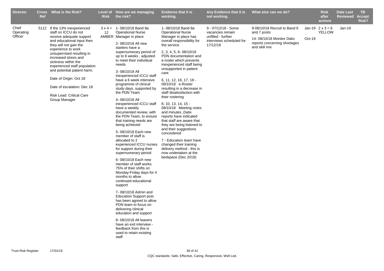| <b>Director</b>               | <b>Ref</b> | Cross What is the Risk?                                                                                                                                                                                                                                                                                                                                                                                         | <b>Risk</b> | Level of How are we managing<br>the risk?                                                                                                                                                                                                                                                                                                                                                                                                                                                                                                                                                                                                                                                                                                                                                                                                                                                                                                                                                                                                                                                                                                | <b>Evidence that it is</b><br>working.                                                                                                                                                                                                                                                                                                                                                                                                                                                                                                                                                                                                                                                                                                 | Any Evidence that it is<br>not working.                                                               | What else can we do?                                                                                                      |        | <b>Risk</b><br>after<br>actions          | <b>Date Last</b><br>Reviewed | TB.<br><b>Accept</b><br>Risk? |
|-------------------------------|------------|-----------------------------------------------------------------------------------------------------------------------------------------------------------------------------------------------------------------------------------------------------------------------------------------------------------------------------------------------------------------------------------------------------------------|-------------|------------------------------------------------------------------------------------------------------------------------------------------------------------------------------------------------------------------------------------------------------------------------------------------------------------------------------------------------------------------------------------------------------------------------------------------------------------------------------------------------------------------------------------------------------------------------------------------------------------------------------------------------------------------------------------------------------------------------------------------------------------------------------------------------------------------------------------------------------------------------------------------------------------------------------------------------------------------------------------------------------------------------------------------------------------------------------------------------------------------------------------------|----------------------------------------------------------------------------------------------------------------------------------------------------------------------------------------------------------------------------------------------------------------------------------------------------------------------------------------------------------------------------------------------------------------------------------------------------------------------------------------------------------------------------------------------------------------------------------------------------------------------------------------------------------------------------------------------------------------------------------------|-------------------------------------------------------------------------------------------------------|---------------------------------------------------------------------------------------------------------------------------|--------|------------------------------------------|------------------------------|-------------------------------|
| Chief<br>Operating<br>Officer |            | 5112 If the 13% inexperienced<br>staff on ICCU do not<br>receive adequate support<br>and educational input then<br>they will not gain the<br>experience to work<br>unsupervised resulting in<br>increased stress and<br>sickness within the<br>experienced staff population<br>and potential patient harm.<br>Date of Origin: Oct 18<br>Date of escalation: Dec 18<br>Risk Lead: Critical Care<br>Group Manager | 12          | $3 \times 4 = 1 - 08/10/18$ Band 8a<br><b>Operational Nurse</b><br>AMBER Manager in place<br>2-08/10/18 All new<br>starters have a<br>supernumerary period of<br>up to 6 weeks, adjusted<br>to meet their individual<br>needs<br>3-08/10/18 All<br>inexperienced ICCU staff<br>have a 6 week intensive<br>programme of clinical<br>study days, supported by<br>the PDN Team<br>4-08/10/18 All<br>inexperienced ICCU staff<br>have a weekly<br>documented review, with<br>the PDN Team, to ensure<br>that training needs are<br>being achieved<br>5-08/10/18 Each new<br>member of staff is<br>allocated to 2<br>experienced ICCU nurses<br>for support during their<br>supernumerary period<br>6-08/10/18 Each new<br>member of staff works<br>75% of their shifts on<br>Monday-Friday days for 4<br>months to allow<br>continued educational<br>support<br>7-08/10/18 Admin and<br><b>Education Support post</b><br>has been agreed to allow<br>PDN team to focus on<br>delivering clinical<br>education and support<br>8-08/10/18 All leavers<br>have an exit interview -<br>feedback from this is<br>used to retain existing<br>staff | 1-08/10/18 Band 8a<br><b>Operational Nurse</b><br>Manager in place has<br>overall responsibility for<br>the service<br>2, 3, 4, 5, 6-08/10/18<br>PDN documentation and<br>e-roster which prevents<br>inexperienced staff being<br>unsupported in patient<br>care<br>6, 11, 12, 16, 17, 18 -<br>08/10/18 e-Roster<br>resulting in a decrease in<br>staff disatissfaction with<br>their rostering<br>8, 10, 13, 14, 15 -<br>08/10/18 Meeting notes<br>and minutes , Datix<br>reports have indicated<br>that staff are aware that<br>they are being listened to<br>and their suggestions<br>concisdered<br>7 - Education team have<br>changed their training<br>delivery method - this is<br>now undertaken at the<br>bedspace (Dec 2018) | 9 - 07/12/18 - Some<br>vacancies remain<br>unfilled - further<br>interviews scheduled for<br>17/12/18 | 9-08/10/18 Recruit to Band 6<br>and 7 posts<br>14-08/10/18 Monitor Datix<br>reports concerning shortages<br>and skill mix | Oct-19 | Jan-19 $2 \times 3 = 6$<br><b>YELLOW</b> | $Jan-19$                     |                               |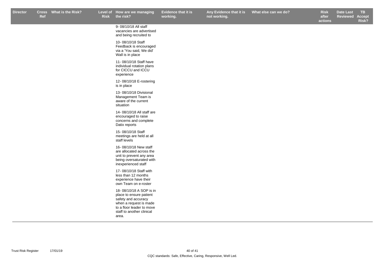r Cross What is the Risk? Level of How are we managing Evidence that it is Any Evidence that it is What else can we do? Risk Date Last TB **Any Evidence that it is not working.**

**Risk after actions What else can we do? Box Black Elect Elect Property Risk Date Last ReviewedAccept Risk?**

9- 08/10/18 All staff vacancies are advertised and being recruited to

10- 08/10/18 Staff Feedback is encouraged via a 'You said, We did' Wall is in place

11- 08/10/18 Staff have individual rotation plans for CICCU and ICCU experience

12- 08/10/18 E-rostering is in place

13- 08/10/18 Divisional Management Team is aware of the current situation

14- 08/10/18 All staff are encouraged to raise concerns and complete Datix reports

15- 08/10/18 Staff meetings are held at all staff levels

16- 08/10/18 New staff are allocated across the unit to prevent any area being oversaturated with inexperienced staff

17- 08/10/18 Staff with less than 12 months experience have their own Team on e-roster

18- 08/10/18 A SOP is in place to ensure patient safety and accuracy when a request is made to a floor leader to move staff to another clinical area.